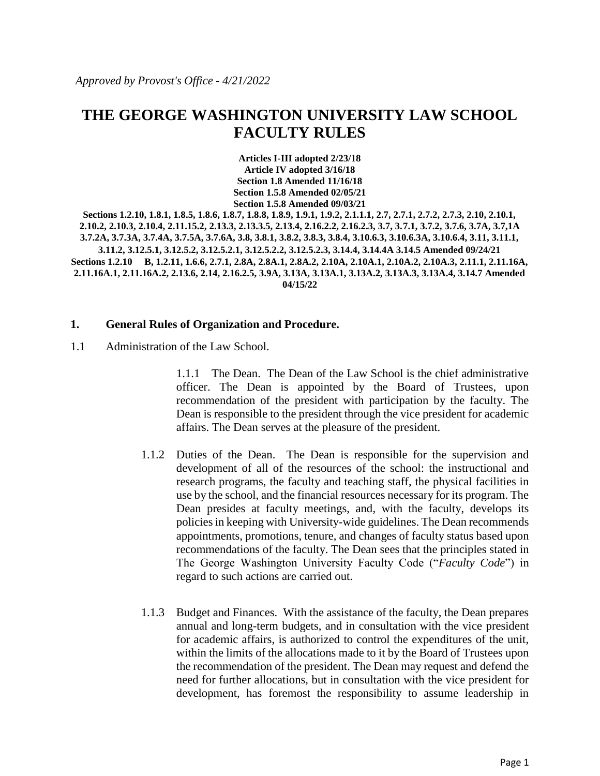# **THE GEORGE WASHINGTON UNIVERSITY LAW SCHOOL FACULTY RULES**

**Articles I-III adopted 2/23/18 Article IV adopted 3/16/18 Section 1.8 Amended 11/16/18 Section 1.5.8 Amended 02/05/21 Section 1.5.8 Amended 09/03/21**

**Sections 1.2.10, 1.8.1, 1.8.5, 1.8.6, 1.8.7, 1.8.8, 1.8.9, 1.9.1, 1.9.2, 2.1.1.1, 2.7, 2.7.1, 2.7.2, 2.7.3, 2.10, 2.10.1, 2.10.2, 2.10.3, 2.10.4, 2.11.15.2, 2.13.3, 2.13.3.5, 2.13.4, 2.16.2.2, 2.16.2.3, 3.7, 3.7.1, 3.7.2, 3.7.6, 3.7A, 3.7,1A 3.7.2A, 3.7.3A, 3.7.4A, 3.7.5A, 3.7.6A, 3.8, 3.8.1, 3.8.2, 3.8.3, 3.8.4, 3.10.6.3, 3.10.6.3A, 3.10.6.4, 3.11, 3.11.1, 3.11.2, 3.12.5.1, 3.12.5.2, 3.12.5.2.1, 3.12.5.2.2, 3.12.5.2.3, 3.14.4, 3.14.4A 3.14.5 Amended 09/24/21 Sections 1.2.10 B, 1.2.11, 1.6.6, 2.7.1, 2.8A, 2.8A.1, 2.8A.2, 2.10A, 2.10A.1, 2.10A.2, 2.10A.3, 2.11.1, 2.11.16A, 2.11.16A.1, 2.11.16A.2, 2.13.6, 2.14, 2.16.2.5, 3.9A, 3.13A, 3.13A.1, 3.13A.2, 3.13A.3, 3.13A.4, 3.14.7 Amended 04/15/22**

#### **1. General Rules of Organization and Procedure.**

1.1 Administration of the Law School.

1.1.1 The Dean. The Dean of the Law School is the chief administrative officer. The Dean is appointed by the Board of Trustees, upon recommendation of the president with participation by the faculty. The Dean is responsible to the president through the vice president for academic affairs. The Dean serves at the pleasure of the president.

- 1.1.2 Duties of the Dean. The Dean is responsible for the supervision and development of all of the resources of the school: the instructional and research programs, the faculty and teaching staff, the physical facilities in use by the school, and the financial resources necessary for its program. The Dean presides at faculty meetings, and, with the faculty, develops its policies in keeping with University-wide guidelines. The Dean recommends appointments, promotions, tenure, and changes of faculty status based upon recommendations of the faculty. The Dean sees that the principles stated in The George Washington University Faculty Code ("*Faculty Code*") in regard to such actions are carried out.
- 1.1.3 Budget and Finances. With the assistance of the faculty, the Dean prepares annual and long-term budgets, and in consultation with the vice president for academic affairs, is authorized to control the expenditures of the unit, within the limits of the allocations made to it by the Board of Trustees upon the recommendation of the president. The Dean may request and defend the need for further allocations, but in consultation with the vice president for development, has foremost the responsibility to assume leadership in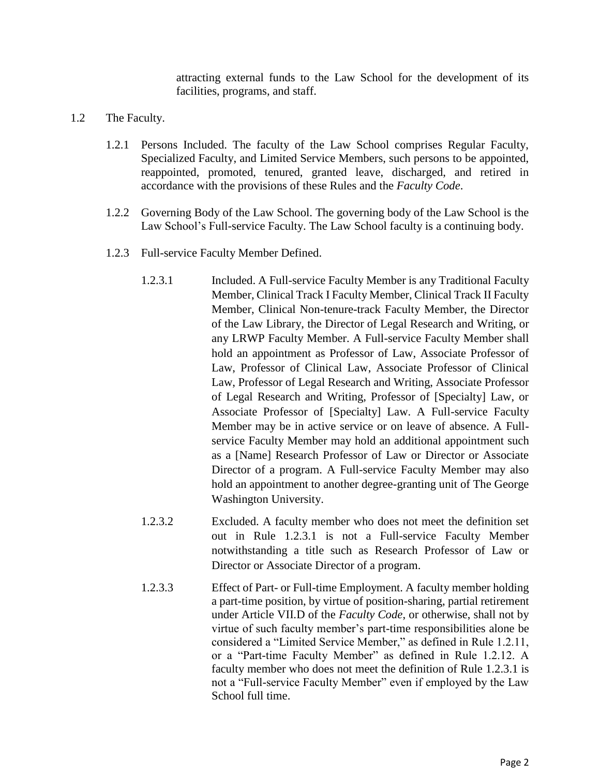attracting external funds to the Law School for the development of its facilities, programs, and staff.

- 1.2 The Faculty.
	- 1.2.1 Persons Included. The faculty of the Law School comprises Regular Faculty, Specialized Faculty, and Limited Service Members, such persons to be appointed, reappointed, promoted, tenured, granted leave, discharged, and retired in accordance with the provisions of these Rules and the *Faculty Code*.
	- 1.2.2 Governing Body of the Law School. The governing body of the Law School is the Law School's Full-service Faculty. The Law School faculty is a continuing body.
	- 1.2.3 Full-service Faculty Member Defined.
		- 1.2.3.1 Included. A Full-service Faculty Member is any Traditional Faculty Member, Clinical Track I Faculty Member, Clinical Track II Faculty Member, Clinical Non-tenure-track Faculty Member, the Director of the Law Library, the Director of Legal Research and Writing, or any LRWP Faculty Member. A Full-service Faculty Member shall hold an appointment as Professor of Law, Associate Professor of Law, Professor of Clinical Law, Associate Professor of Clinical Law, Professor of Legal Research and Writing, Associate Professor of Legal Research and Writing, Professor of [Specialty] Law, or Associate Professor of [Specialty] Law. A Full-service Faculty Member may be in active service or on leave of absence. A Fullservice Faculty Member may hold an additional appointment such as a [Name] Research Professor of Law or Director or Associate Director of a program. A Full-service Faculty Member may also hold an appointment to another degree-granting unit of The George Washington University.
		- 1.2.3.2 Excluded. A faculty member who does not meet the definition set out in Rule 1.2.3.1 is not a Full-service Faculty Member notwithstanding a title such as Research Professor of Law or Director or Associate Director of a program.
		- 1.2.3.3 Effect of Part- or Full-time Employment. A faculty member holding a part-time position, by virtue of position-sharing, partial retirement under Article VII.D of the *Faculty Code*, or otherwise, shall not by virtue of such faculty member's part-time responsibilities alone be considered a "Limited Service Member," as defined in Rule 1.2.11, or a "Part-time Faculty Member" as defined in Rule 1.2.12. A faculty member who does not meet the definition of Rule 1.2.3.1 is not a "Full-service Faculty Member" even if employed by the Law School full time.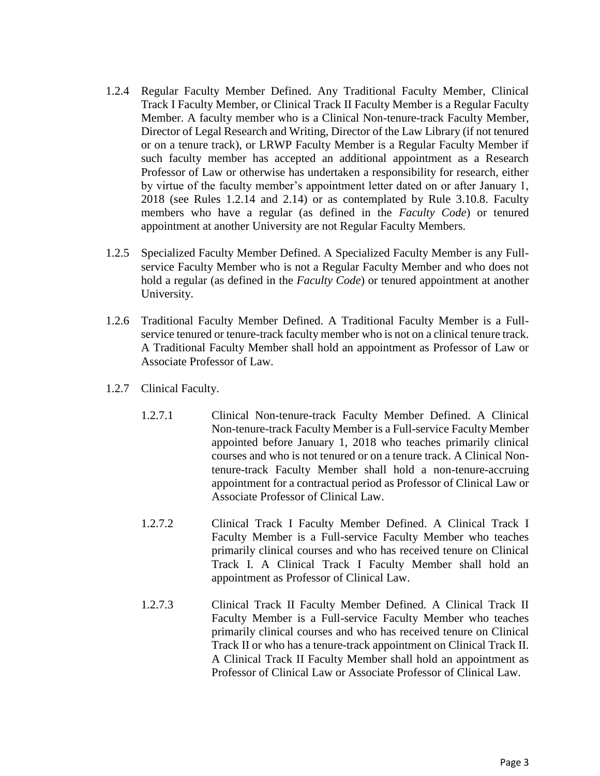- 1.2.4 Regular Faculty Member Defined. Any Traditional Faculty Member, Clinical Track I Faculty Member, or Clinical Track II Faculty Member is a Regular Faculty Member. A faculty member who is a Clinical Non-tenure-track Faculty Member, Director of Legal Research and Writing, Director of the Law Library (if not tenured or on a tenure track), or LRWP Faculty Member is a Regular Faculty Member if such faculty member has accepted an additional appointment as a Research Professor of Law or otherwise has undertaken a responsibility for research, either by virtue of the faculty member's appointment letter dated on or after January 1, 2018 (see Rules 1.2.14 and 2.14) or as contemplated by Rule 3.10.8. Faculty members who have a regular (as defined in the *Faculty Code*) or tenured appointment at another University are not Regular Faculty Members.
- 1.2.5 Specialized Faculty Member Defined. A Specialized Faculty Member is any Fullservice Faculty Member who is not a Regular Faculty Member and who does not hold a regular (as defined in the *Faculty Code*) or tenured appointment at another University.
- 1.2.6 Traditional Faculty Member Defined. A Traditional Faculty Member is a Fullservice tenured or tenure-track faculty member who is not on a clinical tenure track. A Traditional Faculty Member shall hold an appointment as Professor of Law or Associate Professor of Law.
- 1.2.7 Clinical Faculty.
	- 1.2.7.1 Clinical Non-tenure-track Faculty Member Defined. A Clinical Non-tenure-track Faculty Member is a Full-service Faculty Member appointed before January 1, 2018 who teaches primarily clinical courses and who is not tenured or on a tenure track. A Clinical Nontenure-track Faculty Member shall hold a non-tenure-accruing appointment for a contractual period as Professor of Clinical Law or Associate Professor of Clinical Law.
	- 1.2.7.2 Clinical Track I Faculty Member Defined. A Clinical Track I Faculty Member is a Full-service Faculty Member who teaches primarily clinical courses and who has received tenure on Clinical Track I. A Clinical Track I Faculty Member shall hold an appointment as Professor of Clinical Law.
	- 1.2.7.3 Clinical Track II Faculty Member Defined. A Clinical Track II Faculty Member is a Full-service Faculty Member who teaches primarily clinical courses and who has received tenure on Clinical Track II or who has a tenure-track appointment on Clinical Track II. A Clinical Track II Faculty Member shall hold an appointment as Professor of Clinical Law or Associate Professor of Clinical Law.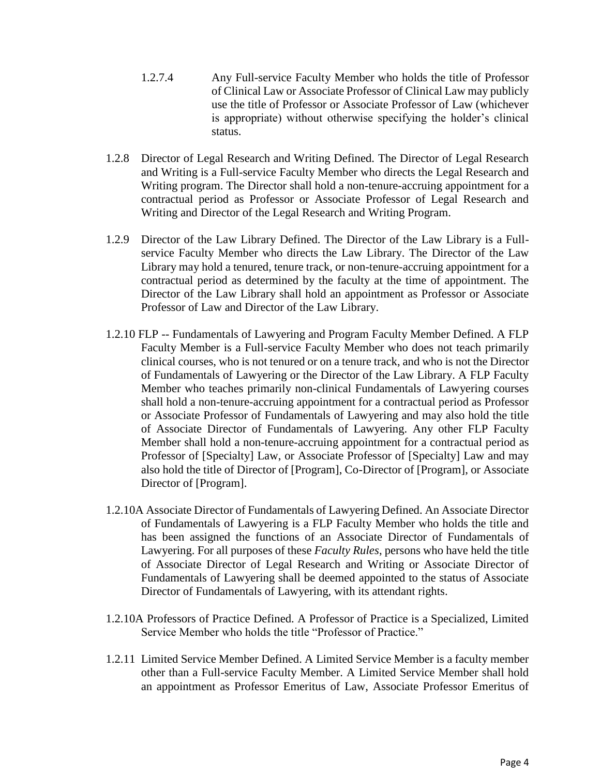- 1.2.7.4 Any Full-service Faculty Member who holds the title of Professor of Clinical Law or Associate Professor of Clinical Law may publicly use the title of Professor or Associate Professor of Law (whichever is appropriate) without otherwise specifying the holder's clinical status.
- 1.2.8 Director of Legal Research and Writing Defined. The Director of Legal Research and Writing is a Full-service Faculty Member who directs the Legal Research and Writing program. The Director shall hold a non-tenure-accruing appointment for a contractual period as Professor or Associate Professor of Legal Research and Writing and Director of the Legal Research and Writing Program.
- 1.2.9 Director of the Law Library Defined. The Director of the Law Library is a Fullservice Faculty Member who directs the Law Library. The Director of the Law Library may hold a tenured, tenure track, or non-tenure-accruing appointment for a contractual period as determined by the faculty at the time of appointment. The Director of the Law Library shall hold an appointment as Professor or Associate Professor of Law and Director of the Law Library.
- 1.2.10 FLP -- Fundamentals of Lawyering and Program Faculty Member Defined. A FLP Faculty Member is a Full-service Faculty Member who does not teach primarily clinical courses, who is not tenured or on a tenure track, and who is not the Director of Fundamentals of Lawyering or the Director of the Law Library. A FLP Faculty Member who teaches primarily non-clinical Fundamentals of Lawyering courses shall hold a non-tenure-accruing appointment for a contractual period as Professor or Associate Professor of Fundamentals of Lawyering and may also hold the title of Associate Director of Fundamentals of Lawyering. Any other FLP Faculty Member shall hold a non-tenure-accruing appointment for a contractual period as Professor of [Specialty] Law, or Associate Professor of [Specialty] Law and may also hold the title of Director of [Program], Co-Director of [Program], or Associate Director of [Program].
- 1.2.10A Associate Director of Fundamentals of Lawyering Defined. An Associate Director of Fundamentals of Lawyering is a FLP Faculty Member who holds the title and has been assigned the functions of an Associate Director of Fundamentals of Lawyering. For all purposes of these *Faculty Rules*, persons who have held the title of Associate Director of Legal Research and Writing or Associate Director of Fundamentals of Lawyering shall be deemed appointed to the status of Associate Director of Fundamentals of Lawyering, with its attendant rights.
- 1.2.10A Professors of Practice Defined. A Professor of Practice is a Specialized, Limited Service Member who holds the title "Professor of Practice."
- 1.2.11 Limited Service Member Defined. A Limited Service Member is a faculty member other than a Full-service Faculty Member. A Limited Service Member shall hold an appointment as Professor Emeritus of Law, Associate Professor Emeritus of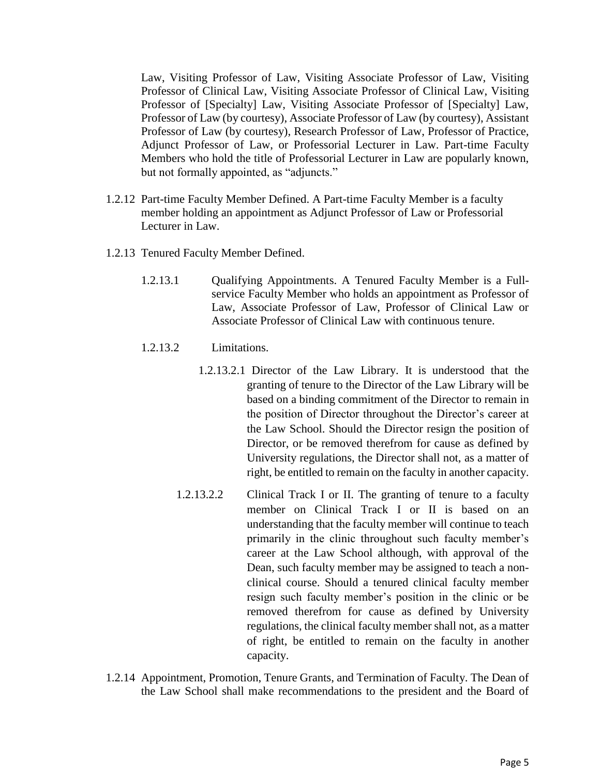Law, Visiting Professor of Law, Visiting Associate Professor of Law, Visiting Professor of Clinical Law, Visiting Associate Professor of Clinical Law, Visiting Professor of [Specialty] Law, Visiting Associate Professor of [Specialty] Law, Professor of Law (by courtesy), Associate Professor of Law (by courtesy), Assistant Professor of Law (by courtesy), Research Professor of Law, Professor of Practice, Adjunct Professor of Law, or Professorial Lecturer in Law. Part-time Faculty Members who hold the title of Professorial Lecturer in Law are popularly known, but not formally appointed, as "adjuncts."

- 1.2.12 Part-time Faculty Member Defined. A Part-time Faculty Member is a faculty member holding an appointment as Adjunct Professor of Law or Professorial Lecturer in Law.
- 1.2.13 Tenured Faculty Member Defined.
	- 1.2.13.1 Qualifying Appointments. A Tenured Faculty Member is a Fullservice Faculty Member who holds an appointment as Professor of Law, Associate Professor of Law, Professor of Clinical Law or Associate Professor of Clinical Law with continuous tenure.
	- 1.2.13.2 Limitations.
		- 1.2.13.2.1 Director of the Law Library. It is understood that the granting of tenure to the Director of the Law Library will be based on a binding commitment of the Director to remain in the position of Director throughout the Director's career at the Law School. Should the Director resign the position of Director, or be removed therefrom for cause as defined by University regulations, the Director shall not, as a matter of right, be entitled to remain on the faculty in another capacity.
		- 1.2.13.2.2 Clinical Track I or II. The granting of tenure to a faculty member on Clinical Track I or II is based on an understanding that the faculty member will continue to teach primarily in the clinic throughout such faculty member's career at the Law School although, with approval of the Dean, such faculty member may be assigned to teach a nonclinical course. Should a tenured clinical faculty member resign such faculty member's position in the clinic or be removed therefrom for cause as defined by University regulations, the clinical faculty member shall not, as a matter of right, be entitled to remain on the faculty in another capacity.
- 1.2.14 Appointment, Promotion, Tenure Grants, and Termination of Faculty. The Dean of the Law School shall make recommendations to the president and the Board of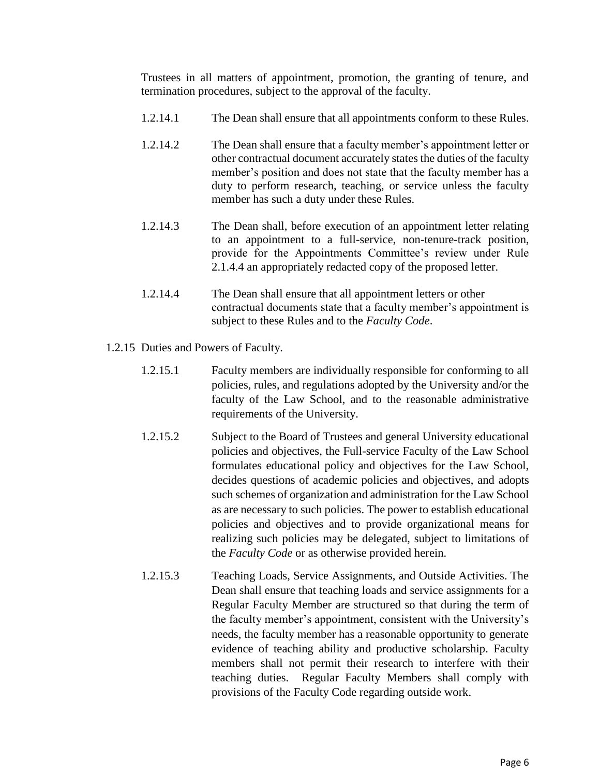Trustees in all matters of appointment, promotion, the granting of tenure, and termination procedures, subject to the approval of the faculty.

- 1.2.14.1 The Dean shall ensure that all appointments conform to these Rules.
- 1.2.14.2 The Dean shall ensure that a faculty member's appointment letter or other contractual document accurately states the duties of the faculty member's position and does not state that the faculty member has a duty to perform research, teaching, or service unless the faculty member has such a duty under these Rules.
- 1.2.14.3 The Dean shall, before execution of an appointment letter relating to an appointment to a full-service, non-tenure-track position, provide for the Appointments Committee's review under Rule 2.1.4.4 an appropriately redacted copy of the proposed letter.
- 1.2.14.4 The Dean shall ensure that all appointment letters or other contractual documents state that a faculty member's appointment is subject to these Rules and to the *Faculty Code*.
- 1.2.15 Duties and Powers of Faculty.
	- 1.2.15.1 Faculty members are individually responsible for conforming to all policies, rules, and regulations adopted by the University and/or the faculty of the Law School, and to the reasonable administrative requirements of the University.
	- 1.2.15.2 Subject to the Board of Trustees and general University educational policies and objectives, the Full-service Faculty of the Law School formulates educational policy and objectives for the Law School, decides questions of academic policies and objectives, and adopts such schemes of organization and administration for the Law School as are necessary to such policies. The power to establish educational policies and objectives and to provide organizational means for realizing such policies may be delegated, subject to limitations of the *Faculty Code* or as otherwise provided herein.
	- 1.2.15.3 Teaching Loads, Service Assignments, and Outside Activities. The Dean shall ensure that teaching loads and service assignments for a Regular Faculty Member are structured so that during the term of the faculty member's appointment, consistent with the University's needs, the faculty member has a reasonable opportunity to generate evidence of teaching ability and productive scholarship. Faculty members shall not permit their research to interfere with their teaching duties. Regular Faculty Members shall comply with provisions of the Faculty Code regarding outside work.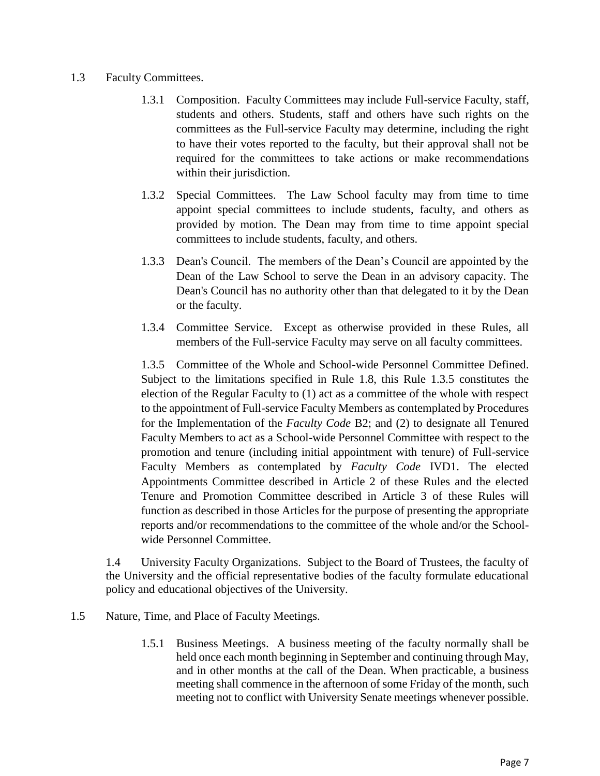### 1.3 Faculty Committees.

- 1.3.1 Composition. Faculty Committees may include Full-service Faculty, staff, students and others. Students, staff and others have such rights on the committees as the Full-service Faculty may determine, including the right to have their votes reported to the faculty, but their approval shall not be required for the committees to take actions or make recommendations within their jurisdiction.
- 1.3.2 Special Committees. The Law School faculty may from time to time appoint special committees to include students, faculty, and others as provided by motion. The Dean may from time to time appoint special committees to include students, faculty, and others.
- 1.3.3 Dean's Council. The members of the Dean's Council are appointed by the Dean of the Law School to serve the Dean in an advisory capacity. The Dean's Council has no authority other than that delegated to it by the Dean or the faculty.
- 1.3.4 Committee Service. Except as otherwise provided in these Rules, all members of the Full-service Faculty may serve on all faculty committees.

1.3.5 Committee of the Whole and School-wide Personnel Committee Defined. Subject to the limitations specified in Rule 1.8, this Rule 1.3.5 constitutes the election of the Regular Faculty to (1) act as a committee of the whole with respect to the appointment of Full-service Faculty Members as contemplated by Procedures for the Implementation of the *Faculty Code* B2; and (2) to designate all Tenured Faculty Members to act as a School-wide Personnel Committee with respect to the promotion and tenure (including initial appointment with tenure) of Full-service Faculty Members as contemplated by *Faculty Code* IVD1. The elected Appointments Committee described in Article 2 of these Rules and the elected Tenure and Promotion Committee described in Article 3 of these Rules will function as described in those Articles for the purpose of presenting the appropriate reports and/or recommendations to the committee of the whole and/or the Schoolwide Personnel Committee.

1.4 University Faculty Organizations. Subject to the Board of Trustees, the faculty of the University and the official representative bodies of the faculty formulate educational policy and educational objectives of the University.

- 1.5 Nature, Time, and Place of Faculty Meetings.
	- 1.5.1 Business Meetings. A business meeting of the faculty normally shall be held once each month beginning in September and continuing through May, and in other months at the call of the Dean. When practicable, a business meeting shall commence in the afternoon of some Friday of the month, such meeting not to conflict with University Senate meetings whenever possible.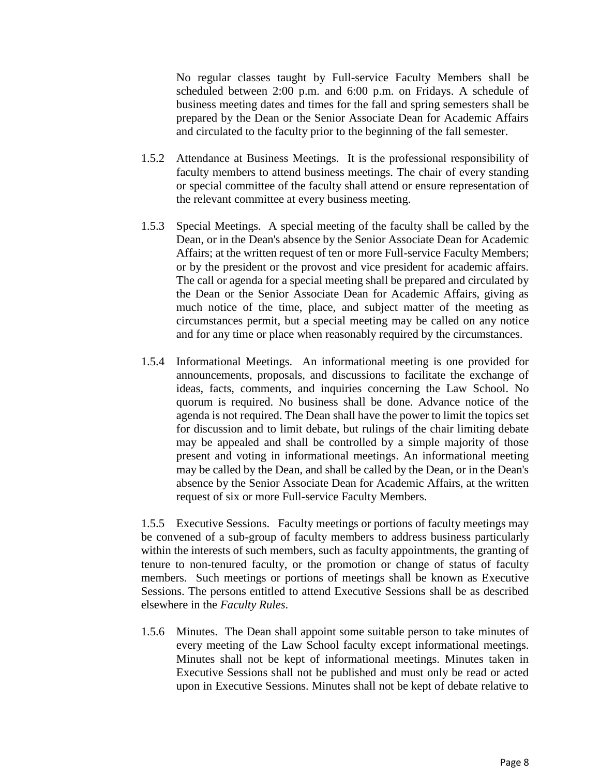No regular classes taught by Full-service Faculty Members shall be scheduled between 2:00 p.m. and 6:00 p.m. on Fridays. A schedule of business meeting dates and times for the fall and spring semesters shall be prepared by the Dean or the Senior Associate Dean for Academic Affairs and circulated to the faculty prior to the beginning of the fall semester.

- 1.5.2 Attendance at Business Meetings. It is the professional responsibility of faculty members to attend business meetings. The chair of every standing or special committee of the faculty shall attend or ensure representation of the relevant committee at every business meeting.
- 1.5.3 Special Meetings. A special meeting of the faculty shall be called by the Dean, or in the Dean's absence by the Senior Associate Dean for Academic Affairs; at the written request of ten or more Full-service Faculty Members; or by the president or the provost and vice president for academic affairs. The call or agenda for a special meeting shall be prepared and circulated by the Dean or the Senior Associate Dean for Academic Affairs, giving as much notice of the time, place, and subject matter of the meeting as circumstances permit, but a special meeting may be called on any notice and for any time or place when reasonably required by the circumstances.
- 1.5.4 Informational Meetings. An informational meeting is one provided for announcements, proposals, and discussions to facilitate the exchange of ideas, facts, comments, and inquiries concerning the Law School. No quorum is required. No business shall be done. Advance notice of the agenda is not required. The Dean shall have the power to limit the topics set for discussion and to limit debate, but rulings of the chair limiting debate may be appealed and shall be controlled by a simple majority of those present and voting in informational meetings. An informational meeting may be called by the Dean, and shall be called by the Dean, or in the Dean's absence by the Senior Associate Dean for Academic Affairs, at the written request of six or more Full-service Faculty Members.

1.5.5 Executive Sessions. Faculty meetings or portions of faculty meetings may be convened of a sub-group of faculty members to address business particularly within the interests of such members, such as faculty appointments, the granting of tenure to non-tenured faculty, or the promotion or change of status of faculty members. Such meetings or portions of meetings shall be known as Executive Sessions. The persons entitled to attend Executive Sessions shall be as described elsewhere in the *Faculty Rules*.

1.5.6 Minutes. The Dean shall appoint some suitable person to take minutes of every meeting of the Law School faculty except informational meetings. Minutes shall not be kept of informational meetings. Minutes taken in Executive Sessions shall not be published and must only be read or acted upon in Executive Sessions. Minutes shall not be kept of debate relative to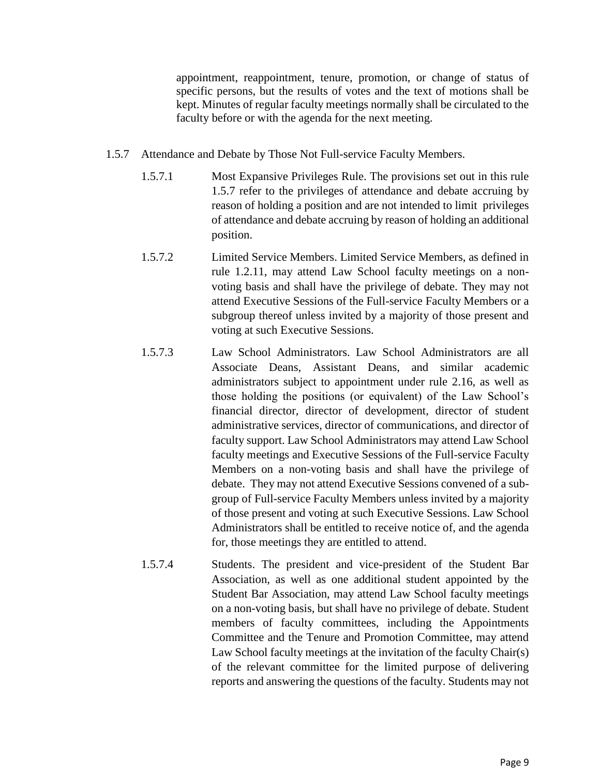appointment, reappointment, tenure, promotion, or change of status of specific persons, but the results of votes and the text of motions shall be kept. Minutes of regular faculty meetings normally shall be circulated to the faculty before or with the agenda for the next meeting.

- 1.5.7 Attendance and Debate by Those Not Full-service Faculty Members.
	- 1.5.7.1 Most Expansive Privileges Rule. The provisions set out in this rule 1.5.7 refer to the privileges of attendance and debate accruing by reason of holding a position and are not intended to limit privileges of attendance and debate accruing by reason of holding an additional position.
	- 1.5.7.2 Limited Service Members. Limited Service Members, as defined in rule 1.2.11, may attend Law School faculty meetings on a nonvoting basis and shall have the privilege of debate. They may not attend Executive Sessions of the Full-service Faculty Members or a subgroup thereof unless invited by a majority of those present and voting at such Executive Sessions.
	- 1.5.7.3 Law School Administrators. Law School Administrators are all Associate Deans, Assistant Deans, and similar academic administrators subject to appointment under rule 2.16, as well as those holding the positions (or equivalent) of the Law School's financial director, director of development, director of student administrative services, director of communications, and director of faculty support. Law School Administrators may attend Law School faculty meetings and Executive Sessions of the Full-service Faculty Members on a non-voting basis and shall have the privilege of debate. They may not attend Executive Sessions convened of a subgroup of Full-service Faculty Members unless invited by a majority of those present and voting at such Executive Sessions. Law School Administrators shall be entitled to receive notice of, and the agenda for, those meetings they are entitled to attend.
	- 1.5.7.4 Students. The president and vice-president of the Student Bar Association, as well as one additional student appointed by the Student Bar Association, may attend Law School faculty meetings on a non-voting basis, but shall have no privilege of debate. Student members of faculty committees, including the Appointments Committee and the Tenure and Promotion Committee, may attend Law School faculty meetings at the invitation of the faculty Chair(s) of the relevant committee for the limited purpose of delivering reports and answering the questions of the faculty. Students may not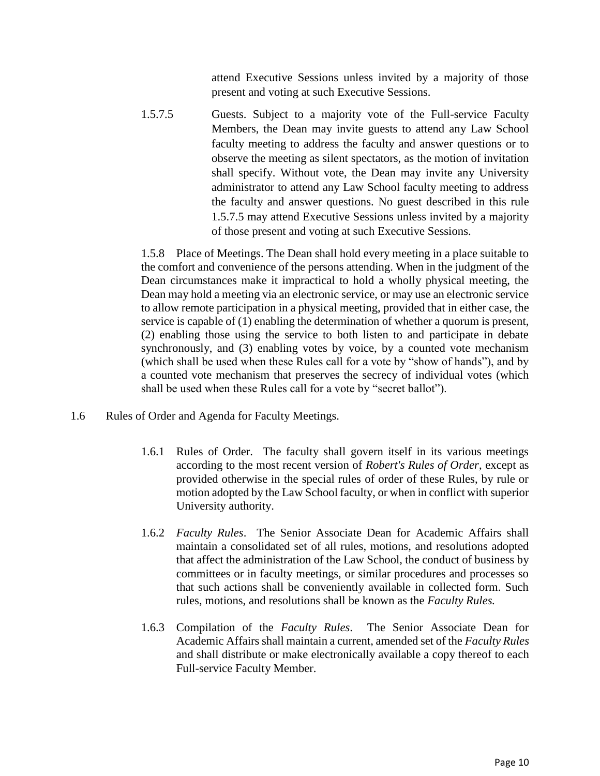attend Executive Sessions unless invited by a majority of those present and voting at such Executive Sessions.

1.5.7.5 Guests. Subject to a majority vote of the Full-service Faculty Members, the Dean may invite guests to attend any Law School faculty meeting to address the faculty and answer questions or to observe the meeting as silent spectators, as the motion of invitation shall specify. Without vote, the Dean may invite any University administrator to attend any Law School faculty meeting to address the faculty and answer questions. No guest described in this rule 1.5.7.5 may attend Executive Sessions unless invited by a majority of those present and voting at such Executive Sessions.

1.5.8 Place of Meetings. The Dean shall hold every meeting in a place suitable to the comfort and convenience of the persons attending. When in the judgment of the Dean circumstances make it impractical to hold a wholly physical meeting, the Dean may hold a meeting via an electronic service, or may use an electronic service to allow remote participation in a physical meeting, provided that in either case, the service is capable of (1) enabling the determination of whether a quorum is present, (2) enabling those using the service to both listen to and participate in debate synchronously, and (3) enabling votes by voice, by a counted vote mechanism (which shall be used when these Rules call for a vote by "show of hands"), and by a counted vote mechanism that preserves the secrecy of individual votes (which shall be used when these Rules call for a vote by "secret ballot").

- 1.6 Rules of Order and Agenda for Faculty Meetings.
	- 1.6.1 Rules of Order. The faculty shall govern itself in its various meetings according to the most recent version of *Robert's Rules of Order*, except as provided otherwise in the special rules of order of these Rules, by rule or motion adopted by the Law School faculty, or when in conflict with superior University authority.
	- 1.6.2 *Faculty Rules*. The Senior Associate Dean for Academic Affairs shall maintain a consolidated set of all rules, motions, and resolutions adopted that affect the administration of the Law School, the conduct of business by committees or in faculty meetings, or similar procedures and processes so that such actions shall be conveniently available in collected form. Such rules, motions, and resolutions shall be known as the *Faculty Rules.*
	- 1.6.3 Compilation of the *Faculty Rules*. The Senior Associate Dean for Academic Affairs shall maintain a current, amended set of the *Faculty Rules*  and shall distribute or make electronically available a copy thereof to each Full-service Faculty Member.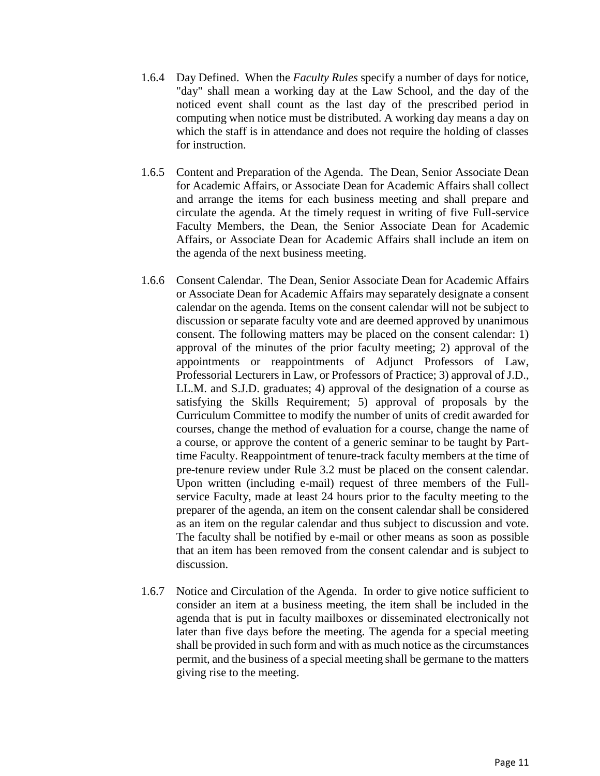- 1.6.4 Day Defined. When the *Faculty Rules* specify a number of days for notice, "day" shall mean a working day at the Law School, and the day of the noticed event shall count as the last day of the prescribed period in computing when notice must be distributed. A working day means a day on which the staff is in attendance and does not require the holding of classes for instruction.
- 1.6.5 Content and Preparation of the Agenda. The Dean, Senior Associate Dean for Academic Affairs, or Associate Dean for Academic Affairs shall collect and arrange the items for each business meeting and shall prepare and circulate the agenda. At the timely request in writing of five Full-service Faculty Members, the Dean, the Senior Associate Dean for Academic Affairs, or Associate Dean for Academic Affairs shall include an item on the agenda of the next business meeting.
- 1.6.6 Consent Calendar. The Dean, Senior Associate Dean for Academic Affairs or Associate Dean for Academic Affairs may separately designate a consent calendar on the agenda. Items on the consent calendar will not be subject to discussion or separate faculty vote and are deemed approved by unanimous consent. The following matters may be placed on the consent calendar: 1) approval of the minutes of the prior faculty meeting; 2) approval of the appointments or reappointments of Adjunct Professors of Law, Professorial Lecturers in Law, or Professors of Practice; 3) approval of J.D., LL.M. and S.J.D. graduates; 4) approval of the designation of a course as satisfying the Skills Requirement; 5) approval of proposals by the Curriculum Committee to modify the number of units of credit awarded for courses, change the method of evaluation for a course, change the name of a course, or approve the content of a generic seminar to be taught by Parttime Faculty. Reappointment of tenure-track faculty members at the time of pre-tenure review under Rule 3.2 must be placed on the consent calendar. Upon written (including e-mail) request of three members of the Fullservice Faculty, made at least 24 hours prior to the faculty meeting to the preparer of the agenda, an item on the consent calendar shall be considered as an item on the regular calendar and thus subject to discussion and vote. The faculty shall be notified by e-mail or other means as soon as possible that an item has been removed from the consent calendar and is subject to discussion.
- 1.6.7 Notice and Circulation of the Agenda. In order to give notice sufficient to consider an item at a business meeting, the item shall be included in the agenda that is put in faculty mailboxes or disseminated electronically not later than five days before the meeting. The agenda for a special meeting shall be provided in such form and with as much notice as the circumstances permit, and the business of a special meeting shall be germane to the matters giving rise to the meeting.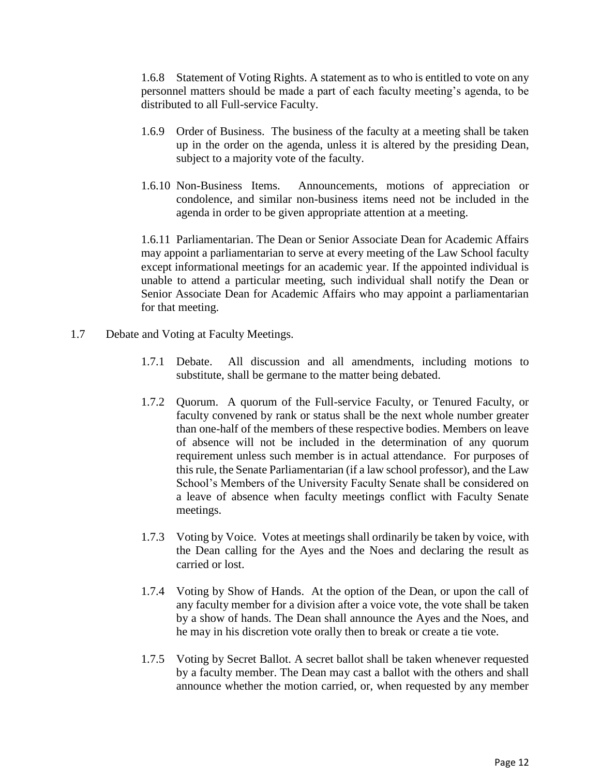1.6.8 Statement of Voting Rights. A statement as to who is entitled to vote on any personnel matters should be made a part of each faculty meeting's agenda, to be distributed to all Full-service Faculty.

- 1.6.9 Order of Business. The business of the faculty at a meeting shall be taken up in the order on the agenda, unless it is altered by the presiding Dean, subject to a majority vote of the faculty.
- 1.6.10 Non-Business Items. Announcements, motions of appreciation or condolence, and similar non-business items need not be included in the agenda in order to be given appropriate attention at a meeting.

1.6.11 Parliamentarian. The Dean or Senior Associate Dean for Academic Affairs may appoint a parliamentarian to serve at every meeting of the Law School faculty except informational meetings for an academic year. If the appointed individual is unable to attend a particular meeting, such individual shall notify the Dean or Senior Associate Dean for Academic Affairs who may appoint a parliamentarian for that meeting.

- 1.7 Debate and Voting at Faculty Meetings.
	- 1.7.1 Debate. All discussion and all amendments, including motions to substitute, shall be germane to the matter being debated.
	- 1.7.2 Quorum. A quorum of the Full-service Faculty, or Tenured Faculty, or faculty convened by rank or status shall be the next whole number greater than one-half of the members of these respective bodies. Members on leave of absence will not be included in the determination of any quorum requirement unless such member is in actual attendance. For purposes of this rule, the Senate Parliamentarian (if a law school professor), and the Law School's Members of the University Faculty Senate shall be considered on a leave of absence when faculty meetings conflict with Faculty Senate meetings.
	- 1.7.3 Voting by Voice. Votes at meetings shall ordinarily be taken by voice, with the Dean calling for the Ayes and the Noes and declaring the result as carried or lost.
	- 1.7.4 Voting by Show of Hands. At the option of the Dean, or upon the call of any faculty member for a division after a voice vote, the vote shall be taken by a show of hands. The Dean shall announce the Ayes and the Noes, and he may in his discretion vote orally then to break or create a tie vote.
	- 1.7.5 Voting by Secret Ballot. A secret ballot shall be taken whenever requested by a faculty member. The Dean may cast a ballot with the others and shall announce whether the motion carried, or, when requested by any member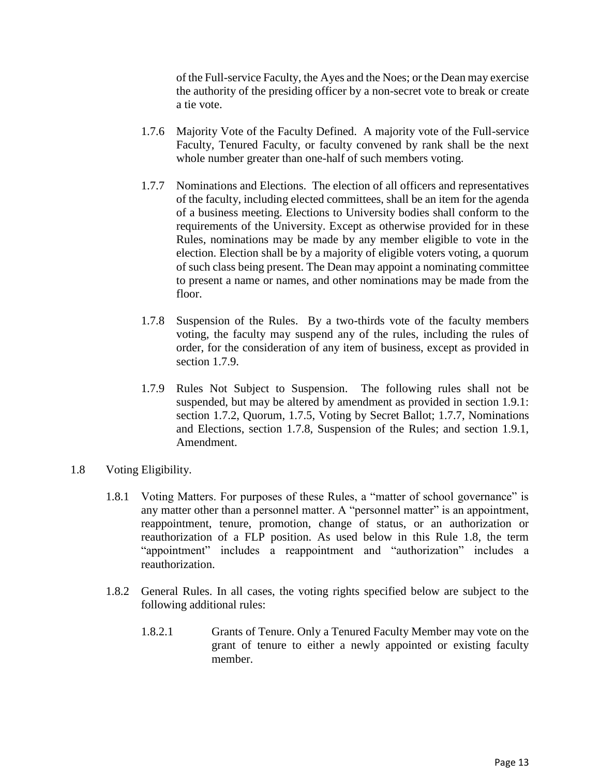of the Full-service Faculty, the Ayes and the Noes; or the Dean may exercise the authority of the presiding officer by a non-secret vote to break or create a tie vote.

- 1.7.6 Majority Vote of the Faculty Defined. A majority vote of the Full-service Faculty, Tenured Faculty, or faculty convened by rank shall be the next whole number greater than one-half of such members voting.
- 1.7.7 Nominations and Elections. The election of all officers and representatives of the faculty, including elected committees, shall be an item for the agenda of a business meeting. Elections to University bodies shall conform to the requirements of the University. Except as otherwise provided for in these Rules, nominations may be made by any member eligible to vote in the election. Election shall be by a majority of eligible voters voting, a quorum of such class being present. The Dean may appoint a nominating committee to present a name or names, and other nominations may be made from the floor.
- 1.7.8 Suspension of the Rules. By a two-thirds vote of the faculty members voting, the faculty may suspend any of the rules, including the rules of order, for the consideration of any item of business, except as provided in section 1.7.9.
- 1.7.9 Rules Not Subject to Suspension. The following rules shall not be suspended, but may be altered by amendment as provided in section 1.9.1: section 1.7.2, Quorum, 1.7.5, Voting by Secret Ballot; 1.7.7, Nominations and Elections, section 1.7.8, Suspension of the Rules; and section 1.9.1, Amendment.
- 1.8 Voting Eligibility.
	- 1.8.1 Voting Matters. For purposes of these Rules, a "matter of school governance" is any matter other than a personnel matter. A "personnel matter" is an appointment, reappointment, tenure, promotion, change of status, or an authorization or reauthorization of a FLP position. As used below in this Rule 1.8, the term "appointment" includes a reappointment and "authorization" includes a reauthorization.
	- 1.8.2 General Rules. In all cases, the voting rights specified below are subject to the following additional rules:
		- 1.8.2.1 Grants of Tenure. Only a Tenured Faculty Member may vote on the grant of tenure to either a newly appointed or existing faculty member.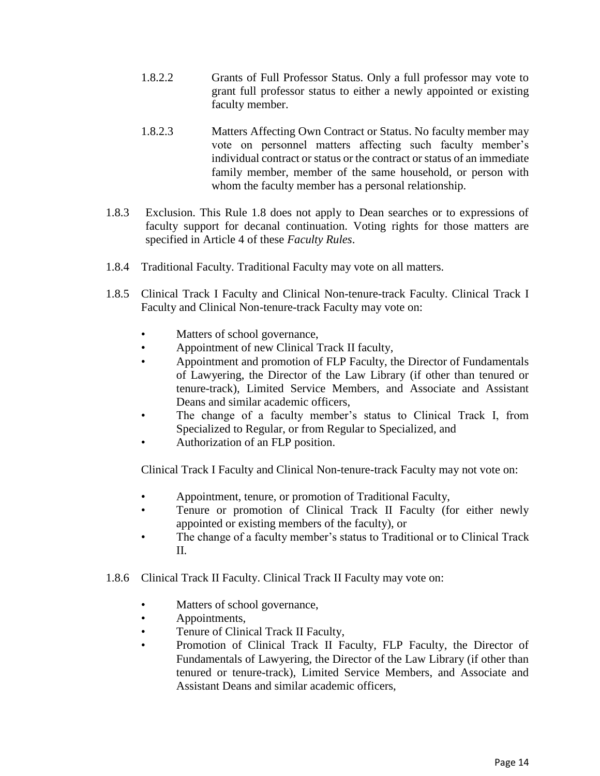- 1.8.2.2 Grants of Full Professor Status. Only a full professor may vote to grant full professor status to either a newly appointed or existing faculty member.
- 1.8.2.3 Matters Affecting Own Contract or Status. No faculty member may vote on personnel matters affecting such faculty member's individual contract or status or the contract or status of an immediate family member, member of the same household, or person with whom the faculty member has a personal relationship.
- 1.8.3 Exclusion. This Rule 1.8 does not apply to Dean searches or to expressions of faculty support for decanal continuation. Voting rights for those matters are specified in Article 4 of these *Faculty Rules*.
- 1.8.4 Traditional Faculty. Traditional Faculty may vote on all matters.
- 1.8.5 Clinical Track I Faculty and Clinical Non-tenure-track Faculty. Clinical Track I Faculty and Clinical Non-tenure-track Faculty may vote on:
	- Matters of school governance,
	- Appointment of new Clinical Track II faculty,
	- Appointment and promotion of FLP Faculty, the Director of Fundamentals of Lawyering, the Director of the Law Library (if other than tenured or tenure-track), Limited Service Members, and Associate and Assistant Deans and similar academic officers,
	- The change of a faculty member's status to Clinical Track I, from Specialized to Regular, or from Regular to Specialized, and
	- Authorization of an FLP position.

Clinical Track I Faculty and Clinical Non-tenure-track Faculty may not vote on:

- Appointment, tenure, or promotion of Traditional Faculty,
- Tenure or promotion of Clinical Track II Faculty (for either newly appointed or existing members of the faculty), or
- The change of a faculty member's status to Traditional or to Clinical Track II.
- 1.8.6 Clinical Track II Faculty. Clinical Track II Faculty may vote on:
	- Matters of school governance,
	- Appointments,
	- Tenure of Clinical Track II Faculty,
	- Promotion of Clinical Track II Faculty, FLP Faculty, the Director of Fundamentals of Lawyering, the Director of the Law Library (if other than tenured or tenure-track), Limited Service Members, and Associate and Assistant Deans and similar academic officers,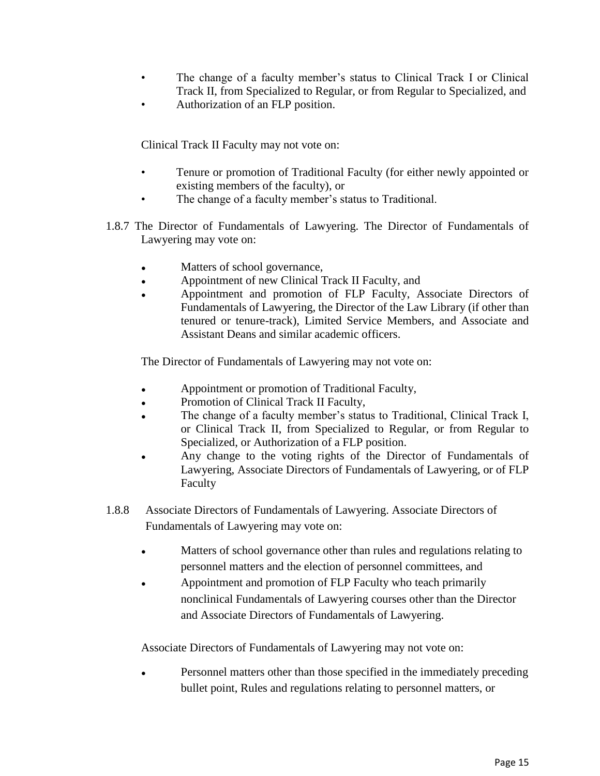- The change of a faculty member's status to Clinical Track I or Clinical Track II, from Specialized to Regular, or from Regular to Specialized, and
- Authorization of an FLP position.

Clinical Track II Faculty may not vote on:

- Tenure or promotion of Traditional Faculty (for either newly appointed or existing members of the faculty), or
- The change of a faculty member's status to Traditional.
- 1.8.7 The Director of Fundamentals of Lawyering. The Director of Fundamentals of Lawyering may vote on:
	- Matters of school governance,
	- Appointment of new Clinical Track II Faculty, and
	- Appointment and promotion of FLP Faculty, Associate Directors of Fundamentals of Lawyering, the Director of the Law Library (if other than tenured or tenure-track), Limited Service Members, and Associate and Assistant Deans and similar academic officers.

The Director of Fundamentals of Lawyering may not vote on:

- Appointment or promotion of Traditional Faculty,
- Promotion of Clinical Track II Faculty,
- The change of a faculty member's status to Traditional, Clinical Track I, or Clinical Track II, from Specialized to Regular, or from Regular to Specialized, or Authorization of a FLP position.
- Any change to the voting rights of the Director of Fundamentals of Lawyering, Associate Directors of Fundamentals of Lawyering, or of FLP Faculty
- 1.8.8 Associate Directors of Fundamentals of Lawyering. Associate Directors of Fundamentals of Lawyering may vote on:
	- Matters of school governance other than rules and regulations relating to personnel matters and the election of personnel committees, and
	- Appointment and promotion of FLP Faculty who teach primarily nonclinical Fundamentals of Lawyering courses other than the Director and Associate Directors of Fundamentals of Lawyering.

Associate Directors of Fundamentals of Lawyering may not vote on:

Personnel matters other than those specified in the immediately preceding bullet point, Rules and regulations relating to personnel matters, or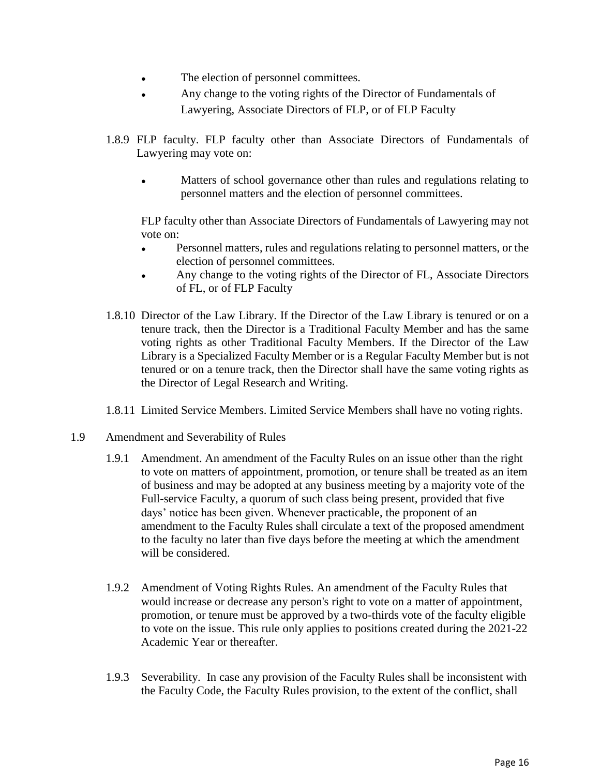- The election of personnel committees.
- Any change to the voting rights of the Director of Fundamentals of Lawyering, Associate Directors of FLP, or of FLP Faculty
- 1.8.9 FLP faculty. FLP faculty other than Associate Directors of Fundamentals of Lawyering may vote on:
	- Matters of school governance other than rules and regulations relating to personnel matters and the election of personnel committees.

FLP faculty other than Associate Directors of Fundamentals of Lawyering may not vote on:

- Personnel matters, rules and regulations relating to personnel matters, or the election of personnel committees.
- Any change to the voting rights of the Director of FL, Associate Directors of FL, or of FLP Faculty
- 1.8.10 Director of the Law Library. If the Director of the Law Library is tenured or on a tenure track, then the Director is a Traditional Faculty Member and has the same voting rights as other Traditional Faculty Members. If the Director of the Law Library is a Specialized Faculty Member or is a Regular Faculty Member but is not tenured or on a tenure track, then the Director shall have the same voting rights as the Director of Legal Research and Writing.
- 1.8.11 Limited Service Members. Limited Service Members shall have no voting rights.
- 1.9 Amendment and Severability of Rules
	- 1.9.1 Amendment. An amendment of the Faculty Rules on an issue other than the right to vote on matters of appointment, promotion, or tenure shall be treated as an item of business and may be adopted at any business meeting by a majority vote of the Full-service Faculty, a quorum of such class being present, provided that five days' notice has been given. Whenever practicable, the proponent of an amendment to the Faculty Rules shall circulate a text of the proposed amendment to the faculty no later than five days before the meeting at which the amendment will be considered.
	- 1.9.2 Amendment of Voting Rights Rules. An amendment of the Faculty Rules that would increase or decrease any person's right to vote on a matter of appointment, promotion, or tenure must be approved by a two-thirds vote of the faculty eligible to vote on the issue. This rule only applies to positions created during the 2021-22 Academic Year or thereafter.
	- 1.9.3 Severability. In case any provision of the Faculty Rules shall be inconsistent with the Faculty Code, the Faculty Rules provision, to the extent of the conflict, shall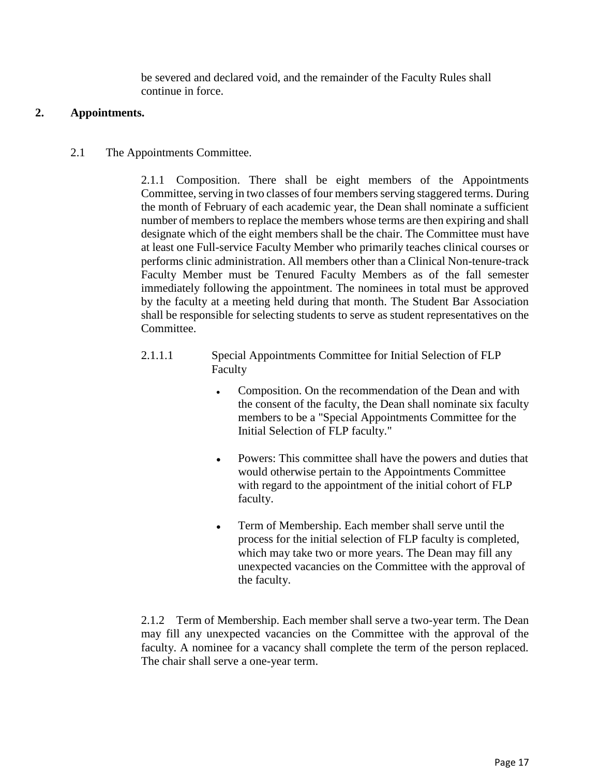be severed and declared void, and the remainder of the Faculty Rules shall continue in force.

### **2. Appointments.**

2.1 The Appointments Committee.

2.1.1 Composition. There shall be eight members of the Appointments Committee, serving in two classes of four members serving staggered terms. During the month of February of each academic year, the Dean shall nominate a sufficient number of members to replace the members whose terms are then expiring and shall designate which of the eight members shall be the chair. The Committee must have at least one Full-service Faculty Member who primarily teaches clinical courses or performs clinic administration. All members other than a Clinical Non-tenure-track Faculty Member must be Tenured Faculty Members as of the fall semester immediately following the appointment. The nominees in total must be approved by the faculty at a meeting held during that month. The Student Bar Association shall be responsible for selecting students to serve as student representatives on the Committee.

- 2.1.1.1 Special Appointments Committee for Initial Selection of FLP Faculty
	- Composition. On the recommendation of the Dean and with the consent of the faculty, the Dean shall nominate six faculty members to be a "Special Appointments Committee for the Initial Selection of FLP faculty."
	- Powers: This committee shall have the powers and duties that would otherwise pertain to the Appointments Committee with regard to the appointment of the initial cohort of FLP faculty.
	- Term of Membership. Each member shall serve until the process for the initial selection of FLP faculty is completed, which may take two or more years. The Dean may fill any unexpected vacancies on the Committee with the approval of the faculty.

2.1.2 Term of Membership. Each member shall serve a two-year term. The Dean may fill any unexpected vacancies on the Committee with the approval of the faculty. A nominee for a vacancy shall complete the term of the person replaced. The chair shall serve a one-year term.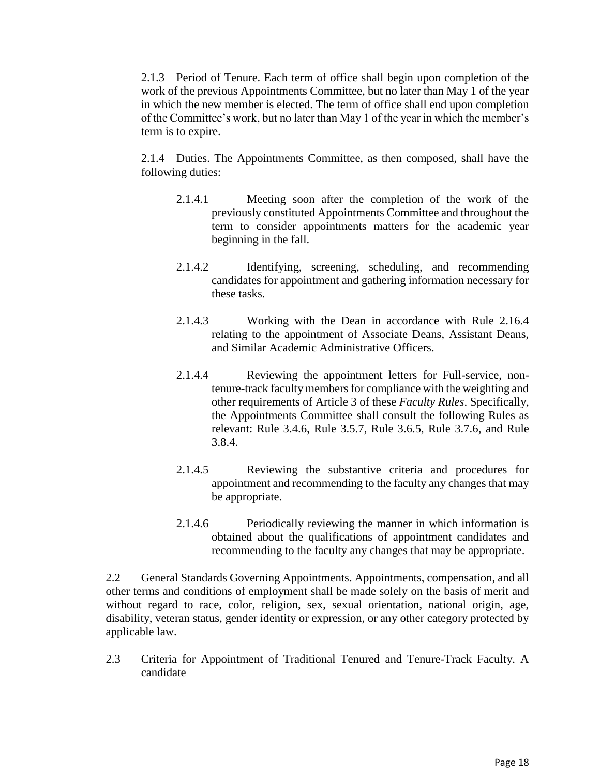2.1.3 Period of Tenure. Each term of office shall begin upon completion of the work of the previous Appointments Committee, but no later than May 1 of the year in which the new member is elected. The term of office shall end upon completion of the Committee's work, but no later than May 1 of the year in which the member's term is to expire.

2.1.4 Duties. The Appointments Committee, as then composed, shall have the following duties:

- 2.1.4.1 Meeting soon after the completion of the work of the previously constituted Appointments Committee and throughout the term to consider appointments matters for the academic year beginning in the fall.
- 2.1.4.2 Identifying, screening, scheduling, and recommending candidates for appointment and gathering information necessary for these tasks.
- 2.1.4.3 Working with the Dean in accordance with Rule 2.16.4 relating to the appointment of Associate Deans, Assistant Deans, and Similar Academic Administrative Officers.
- 2.1.4.4 Reviewing the appointment letters for Full-service, nontenure-track faculty members for compliance with the weighting and other requirements of Article 3 of these *Faculty Rules*. Specifically, the Appointments Committee shall consult the following Rules as relevant: Rule 3.4.6, Rule 3.5.7, Rule 3.6.5, Rule 3.7.6, and Rule 3.8.4.
- 2.1.4.5 Reviewing the substantive criteria and procedures for appointment and recommending to the faculty any changes that may be appropriate.
- 2.1.4.6 Periodically reviewing the manner in which information is obtained about the qualifications of appointment candidates and recommending to the faculty any changes that may be appropriate.

2.2 General Standards Governing Appointments. Appointments, compensation, and all other terms and conditions of employment shall be made solely on the basis of merit and without regard to race, color, religion, sex, sexual orientation, national origin, age, disability, veteran status, gender identity or expression, or any other category protected by applicable law.

2.3 Criteria for Appointment of Traditional Tenured and Tenure-Track Faculty. A candidate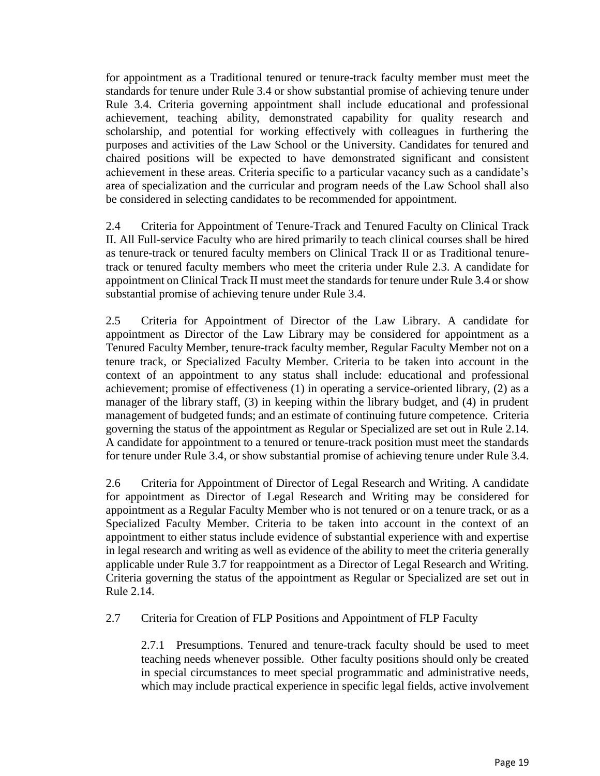for appointment as a Traditional tenured or tenure-track faculty member must meet the standards for tenure under Rule 3.4 or show substantial promise of achieving tenure under Rule 3.4. Criteria governing appointment shall include educational and professional achievement, teaching ability, demonstrated capability for quality research and scholarship, and potential for working effectively with colleagues in furthering the purposes and activities of the Law School or the University. Candidates for tenured and chaired positions will be expected to have demonstrated significant and consistent achievement in these areas. Criteria specific to a particular vacancy such as a candidate's area of specialization and the curricular and program needs of the Law School shall also be considered in selecting candidates to be recommended for appointment.

2.4 Criteria for Appointment of Tenure-Track and Tenured Faculty on Clinical Track II. All Full-service Faculty who are hired primarily to teach clinical courses shall be hired as tenure-track or tenured faculty members on Clinical Track II or as Traditional tenuretrack or tenured faculty members who meet the criteria under Rule 2.3. A candidate for appointment on Clinical Track II must meet the standards for tenure under Rule 3.4 or show substantial promise of achieving tenure under Rule 3.4.

2.5 Criteria for Appointment of Director of the Law Library. A candidate for appointment as Director of the Law Library may be considered for appointment as a Tenured Faculty Member, tenure-track faculty member, Regular Faculty Member not on a tenure track, or Specialized Faculty Member. Criteria to be taken into account in the context of an appointment to any status shall include: educational and professional achievement; promise of effectiveness (1) in operating a service-oriented library, (2) as a manager of the library staff, (3) in keeping within the library budget, and (4) in prudent management of budgeted funds; and an estimate of continuing future competence. Criteria governing the status of the appointment as Regular or Specialized are set out in Rule 2.14. A candidate for appointment to a tenured or tenure-track position must meet the standards for tenure under Rule 3.4, or show substantial promise of achieving tenure under Rule 3.4.

2.6 Criteria for Appointment of Director of Legal Research and Writing. A candidate for appointment as Director of Legal Research and Writing may be considered for appointment as a Regular Faculty Member who is not tenured or on a tenure track, or as a Specialized Faculty Member. Criteria to be taken into account in the context of an appointment to either status include evidence of substantial experience with and expertise in legal research and writing as well as evidence of the ability to meet the criteria generally applicable under Rule 3.7 for reappointment as a Director of Legal Research and Writing. Criteria governing the status of the appointment as Regular or Specialized are set out in Rule 2.14.

2.7 Criteria for Creation of FLP Positions and Appointment of FLP Faculty

2.7.1 Presumptions. Tenured and tenure-track faculty should be used to meet teaching needs whenever possible. Other faculty positions should only be created in special circumstances to meet special programmatic and administrative needs, which may include practical experience in specific legal fields, active involvement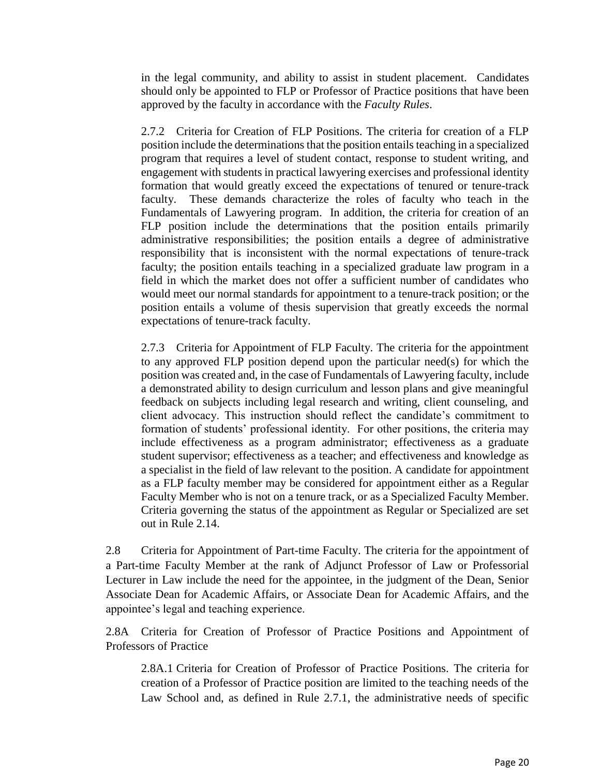in the legal community, and ability to assist in student placement. Candidates should only be appointed to FLP or Professor of Practice positions that have been approved by the faculty in accordance with the *Faculty Rules*.

2.7.2 Criteria for Creation of FLP Positions. The criteria for creation of a FLP position include the determinations that the position entails teaching in a specialized program that requires a level of student contact, response to student writing, and engagement with students in practical lawyering exercises and professional identity formation that would greatly exceed the expectations of tenured or tenure-track faculty. These demands characterize the roles of faculty who teach in the Fundamentals of Lawyering program. In addition, the criteria for creation of an FLP position include the determinations that the position entails primarily administrative responsibilities; the position entails a degree of administrative responsibility that is inconsistent with the normal expectations of tenure-track faculty; the position entails teaching in a specialized graduate law program in a field in which the market does not offer a sufficient number of candidates who would meet our normal standards for appointment to a tenure-track position; or the position entails a volume of thesis supervision that greatly exceeds the normal expectations of tenure-track faculty.

2.7.3 Criteria for Appointment of FLP Faculty. The criteria for the appointment to any approved FLP position depend upon the particular need(s) for which the position was created and, in the case of Fundamentals of Lawyering faculty, include a demonstrated ability to design curriculum and lesson plans and give meaningful feedback on subjects including legal research and writing, client counseling, and client advocacy. This instruction should reflect the candidate's commitment to formation of students' professional identity. For other positions, the criteria may include effectiveness as a program administrator; effectiveness as a graduate student supervisor; effectiveness as a teacher; and effectiveness and knowledge as a specialist in the field of law relevant to the position. A candidate for appointment as a FLP faculty member may be considered for appointment either as a Regular Faculty Member who is not on a tenure track, or as a Specialized Faculty Member. Criteria governing the status of the appointment as Regular or Specialized are set out in Rule 2.14.

2.8 Criteria for Appointment of Part-time Faculty. The criteria for the appointment of a Part-time Faculty Member at the rank of Adjunct Professor of Law or Professorial Lecturer in Law include the need for the appointee, in the judgment of the Dean, Senior Associate Dean for Academic Affairs, or Associate Dean for Academic Affairs, and the appointee's legal and teaching experience.

2.8A Criteria for Creation of Professor of Practice Positions and Appointment of Professors of Practice

2.8A.1 Criteria for Creation of Professor of Practice Positions. The criteria for creation of a Professor of Practice position are limited to the teaching needs of the Law School and, as defined in Rule 2.7.1, the administrative needs of specific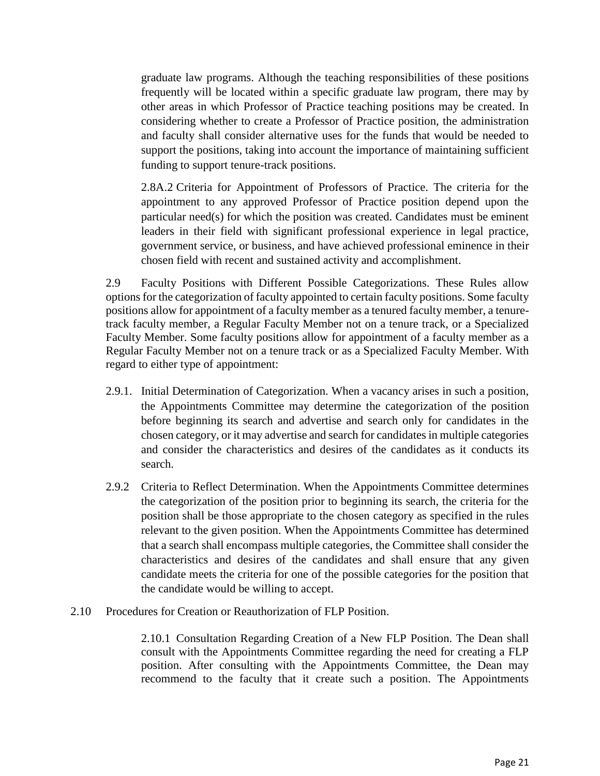graduate law programs. Although the teaching responsibilities of these positions frequently will be located within a specific graduate law program, there may by other areas in which Professor of Practice teaching positions may be created. In considering whether to create a Professor of Practice position, the administration and faculty shall consider alternative uses for the funds that would be needed to support the positions, taking into account the importance of maintaining sufficient funding to support tenure-track positions.

2.8A.2 Criteria for Appointment of Professors of Practice. The criteria for the appointment to any approved Professor of Practice position depend upon the particular need(s) for which the position was created. Candidates must be eminent leaders in their field with significant professional experience in legal practice, government service, or business, and have achieved professional eminence in their chosen field with recent and sustained activity and accomplishment.

2.9 Faculty Positions with Different Possible Categorizations. These Rules allow options for the categorization of faculty appointed to certain faculty positions. Some faculty positions allow for appointment of a faculty member as a tenured faculty member, a tenuretrack faculty member, a Regular Faculty Member not on a tenure track, or a Specialized Faculty Member. Some faculty positions allow for appointment of a faculty member as a Regular Faculty Member not on a tenure track or as a Specialized Faculty Member. With regard to either type of appointment:

- 2.9.1. Initial Determination of Categorization. When a vacancy arises in such a position, the Appointments Committee may determine the categorization of the position before beginning its search and advertise and search only for candidates in the chosen category, or it may advertise and search for candidates in multiple categories and consider the characteristics and desires of the candidates as it conducts its search.
- 2.9.2 Criteria to Reflect Determination. When the Appointments Committee determines the categorization of the position prior to beginning its search, the criteria for the position shall be those appropriate to the chosen category as specified in the rules relevant to the given position. When the Appointments Committee has determined that a search shall encompass multiple categories, the Committee shall consider the characteristics and desires of the candidates and shall ensure that any given candidate meets the criteria for one of the possible categories for the position that the candidate would be willing to accept.
- 2.10 Procedures for Creation or Reauthorization of FLP Position.

2.10.1 Consultation Regarding Creation of a New FLP Position. The Dean shall consult with the Appointments Committee regarding the need for creating a FLP position. After consulting with the Appointments Committee, the Dean may recommend to the faculty that it create such a position. The Appointments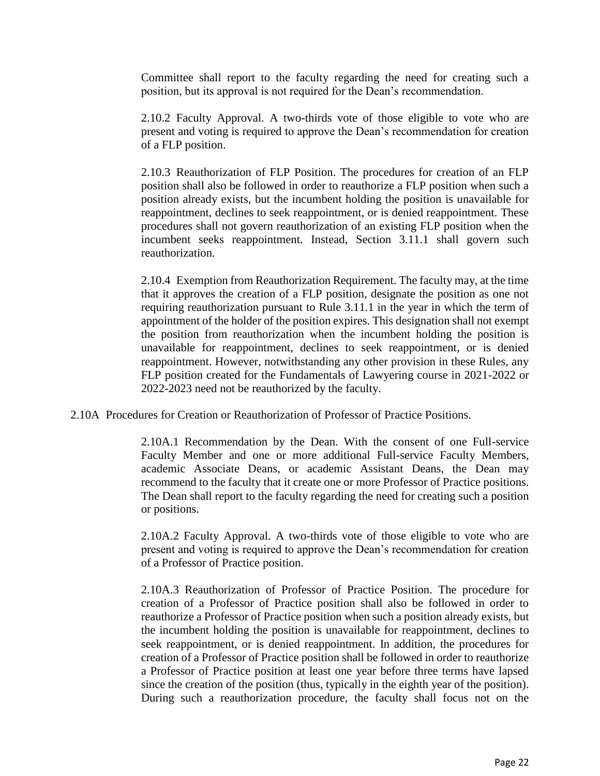Committee shall report to the faculty regarding the need for creating such a position, but its approval is not required for the Dean's recommendation.

2.10.2 Faculty Approval. A two-thirds vote of those eligible to vote who are present and voting is required to approve the Dean's recommendation for creation of a FLP position.

2.10.3 Reauthorization of FLP Position. The procedures for creation of an FLP position shall also be followed in order to reauthorize a FLP position when such a position already exists, but the incumbent holding the position is unavailable for reappointment, declines to seek reappointment, or is denied reappointment. These procedures shall not govern reauthorization of an existing FLP position when the incumbent seeks reappointment. Instead, Section 3.11.1 shall govern such reauthorization.

2.10.4 Exemption from Reauthorization Requirement. The faculty may, at the time that it approves the creation of a FLP position, designate the position as one not requiring reauthorization pursuant to Rule 3.11.1 in the year in which the term of appointment of the holder of the position expires. This designation shall not exempt the position from reauthorization when the incumbent holding the position is unavailable for reappointment, declines to seek reappointment, or is denied reappointment. However, notwithstanding any other provision in these Rules, any FLP position created for the Fundamentals of Lawyering course in 2021-2022 or 2022-2023 need not be reauthorized by the faculty.

2.10A Procedures for Creation or Reauthorization of Professor of Practice Positions.

2.10A.1 Recommendation by the Dean. With the consent of one Full-service Faculty Member and one or more additional Full-service Faculty Members, academic Associate Deans, or academic Assistant Deans, the Dean may recommend to the faculty that it create one or more Professor of Practice positions. The Dean shall report to the faculty regarding the need for creating such a position or positions.

2.10A.2 Faculty Approval. A two-thirds vote of those eligible to vote who are present and voting is required to approve the Dean's recommendation for creation of a Professor of Practice position.

2.10A.3 Reauthorization of Professor of Practice Position. The procedure for creation of a Professor of Practice position shall also be followed in order to reauthorize a Professor of Practice position when such a position already exists, but the incumbent holding the position is unavailable for reappointment, declines to seek reappointment, or is denied reappointment. In addition, the procedures for creation of a Professor of Practice position shall be followed in order to reauthorize a Professor of Practice position at least one year before three terms have lapsed since the creation of the position (thus, typically in the eighth year of the position). During such a reauthorization procedure, the faculty shall focus not on the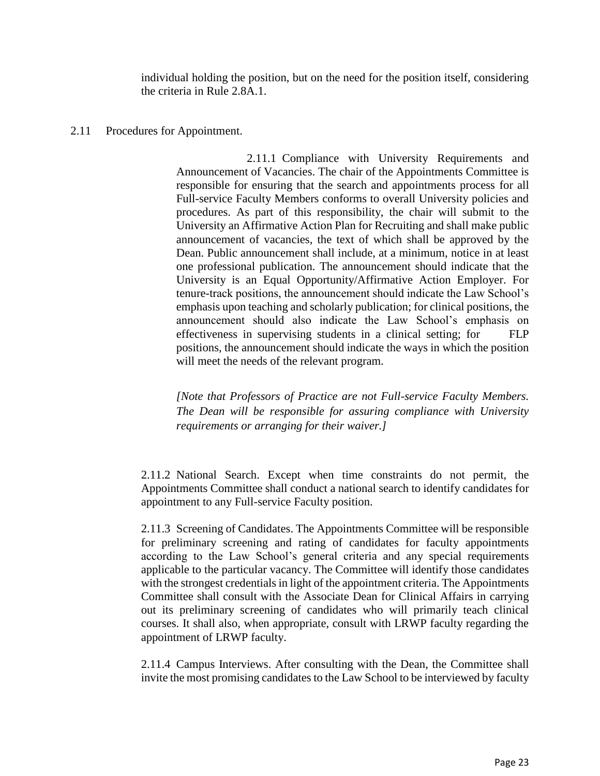individual holding the position, but on the need for the position itself, considering the criteria in Rule 2.8A.1.

### 2.11 Procedures for Appointment.

2.11.1 Compliance with University Requirements and Announcement of Vacancies. The chair of the Appointments Committee is responsible for ensuring that the search and appointments process for all Full-service Faculty Members conforms to overall University policies and procedures. As part of this responsibility, the chair will submit to the University an Affirmative Action Plan for Recruiting and shall make public announcement of vacancies, the text of which shall be approved by the Dean. Public announcement shall include, at a minimum, notice in at least one professional publication. The announcement should indicate that the University is an Equal Opportunity/Affirmative Action Employer. For tenure-track positions, the announcement should indicate the Law School's emphasis upon teaching and scholarly publication; for clinical positions, the announcement should also indicate the Law School's emphasis on effectiveness in supervising students in a clinical setting; for FLP positions, the announcement should indicate the ways in which the position will meet the needs of the relevant program.

*[Note that Professors of Practice are not Full-service Faculty Members. The Dean will be responsible for assuring compliance with University requirements or arranging for their waiver.]*

2.11.2 National Search. Except when time constraints do not permit, the Appointments Committee shall conduct a national search to identify candidates for appointment to any Full-service Faculty position.

2.11.3 Screening of Candidates. The Appointments Committee will be responsible for preliminary screening and rating of candidates for faculty appointments according to the Law School's general criteria and any special requirements applicable to the particular vacancy. The Committee will identify those candidates with the strongest credentials in light of the appointment criteria. The Appointments Committee shall consult with the Associate Dean for Clinical Affairs in carrying out its preliminary screening of candidates who will primarily teach clinical courses. It shall also, when appropriate, consult with LRWP faculty regarding the appointment of LRWP faculty.

2.11.4 Campus Interviews. After consulting with the Dean, the Committee shall invite the most promising candidates to the Law School to be interviewed by faculty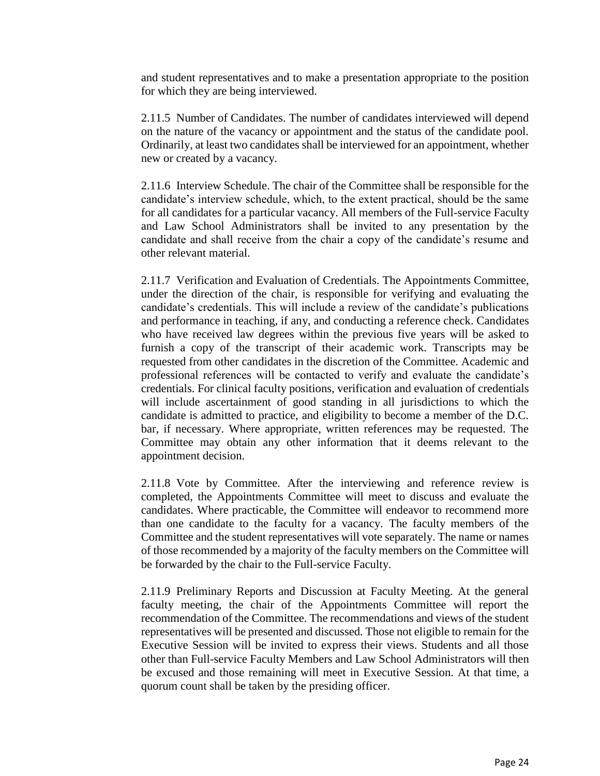and student representatives and to make a presentation appropriate to the position for which they are being interviewed.

2.11.5 Number of Candidates. The number of candidates interviewed will depend on the nature of the vacancy or appointment and the status of the candidate pool. Ordinarily, at least two candidates shall be interviewed for an appointment, whether new or created by a vacancy.

2.11.6 Interview Schedule. The chair of the Committee shall be responsible for the candidate's interview schedule, which, to the extent practical, should be the same for all candidates for a particular vacancy. All members of the Full-service Faculty and Law School Administrators shall be invited to any presentation by the candidate and shall receive from the chair a copy of the candidate's resume and other relevant material.

2.11.7 Verification and Evaluation of Credentials. The Appointments Committee, under the direction of the chair, is responsible for verifying and evaluating the candidate's credentials. This will include a review of the candidate's publications and performance in teaching, if any, and conducting a reference check. Candidates who have received law degrees within the previous five years will be asked to furnish a copy of the transcript of their academic work. Transcripts may be requested from other candidates in the discretion of the Committee. Academic and professional references will be contacted to verify and evaluate the candidate's credentials. For clinical faculty positions, verification and evaluation of credentials will include ascertainment of good standing in all jurisdictions to which the candidate is admitted to practice, and eligibility to become a member of the D.C. bar, if necessary. Where appropriate, written references may be requested. The Committee may obtain any other information that it deems relevant to the appointment decision.

2.11.8 Vote by Committee. After the interviewing and reference review is completed, the Appointments Committee will meet to discuss and evaluate the candidates. Where practicable, the Committee will endeavor to recommend more than one candidate to the faculty for a vacancy. The faculty members of the Committee and the student representatives will vote separately. The name or names of those recommended by a majority of the faculty members on the Committee will be forwarded by the chair to the Full-service Faculty.

2.11.9 Preliminary Reports and Discussion at Faculty Meeting. At the general faculty meeting, the chair of the Appointments Committee will report the recommendation of the Committee. The recommendations and views of the student representatives will be presented and discussed. Those not eligible to remain for the Executive Session will be invited to express their views. Students and all those other than Full-service Faculty Members and Law School Administrators will then be excused and those remaining will meet in Executive Session. At that time, a quorum count shall be taken by the presiding officer.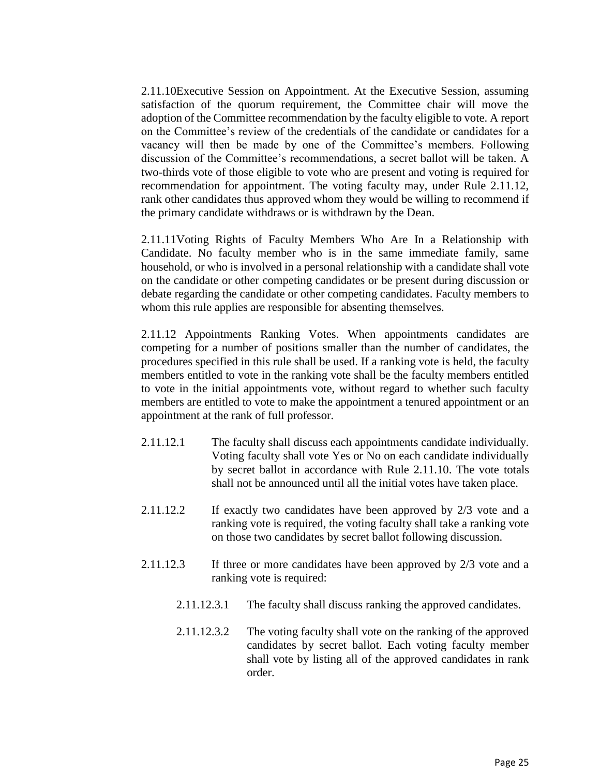2.11.10Executive Session on Appointment. At the Executive Session, assuming satisfaction of the quorum requirement, the Committee chair will move the adoption of the Committee recommendation by the faculty eligible to vote. A report on the Committee's review of the credentials of the candidate or candidates for a vacancy will then be made by one of the Committee's members. Following discussion of the Committee's recommendations, a secret ballot will be taken. A two-thirds vote of those eligible to vote who are present and voting is required for recommendation for appointment. The voting faculty may, under Rule 2.11.12, rank other candidates thus approved whom they would be willing to recommend if the primary candidate withdraws or is withdrawn by the Dean.

2.11.11Voting Rights of Faculty Members Who Are In a Relationship with Candidate. No faculty member who is in the same immediate family, same household, or who is involved in a personal relationship with a candidate shall vote on the candidate or other competing candidates or be present during discussion or debate regarding the candidate or other competing candidates. Faculty members to whom this rule applies are responsible for absenting themselves.

2.11.12 Appointments Ranking Votes. When appointments candidates are competing for a number of positions smaller than the number of candidates, the procedures specified in this rule shall be used. If a ranking vote is held, the faculty members entitled to vote in the ranking vote shall be the faculty members entitled to vote in the initial appointments vote, without regard to whether such faculty members are entitled to vote to make the appointment a tenured appointment or an appointment at the rank of full professor.

- 2.11.12.1 The faculty shall discuss each appointments candidate individually. Voting faculty shall vote Yes or No on each candidate individually by secret ballot in accordance with Rule 2.11.10. The vote totals shall not be announced until all the initial votes have taken place.
- 2.11.12.2 If exactly two candidates have been approved by 2/3 vote and a ranking vote is required, the voting faculty shall take a ranking vote on those two candidates by secret ballot following discussion.
- 2.11.12.3 If three or more candidates have been approved by 2/3 vote and a ranking vote is required:
	- 2.11.12.3.1 The faculty shall discuss ranking the approved candidates.
	- 2.11.12.3.2 The voting faculty shall vote on the ranking of the approved candidates by secret ballot. Each voting faculty member shall vote by listing all of the approved candidates in rank order.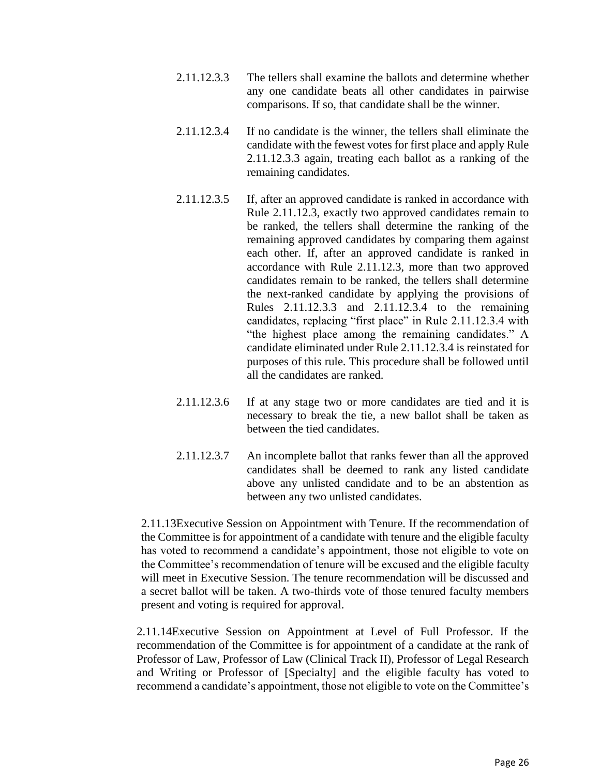- 2.11.12.3.3 The tellers shall examine the ballots and determine whether any one candidate beats all other candidates in pairwise comparisons. If so, that candidate shall be the winner.
- 2.11.12.3.4 If no candidate is the winner, the tellers shall eliminate the candidate with the fewest votes for first place and apply Rule 2.11.12.3.3 again, treating each ballot as a ranking of the remaining candidates.
- 2.11.12.3.5 If, after an approved candidate is ranked in accordance with Rule 2.11.12.3, exactly two approved candidates remain to be ranked, the tellers shall determine the ranking of the remaining approved candidates by comparing them against each other. If, after an approved candidate is ranked in accordance with Rule 2.11.12.3, more than two approved candidates remain to be ranked, the tellers shall determine the next-ranked candidate by applying the provisions of Rules 2.11.12.3.3 and 2.11.12.3.4 to the remaining candidates, replacing "first place" in Rule 2.11.12.3.4 with "the highest place among the remaining candidates." A candidate eliminated under Rule 2.11.12.3.4 is reinstated for purposes of this rule. This procedure shall be followed until all the candidates are ranked.
- 2.11.12.3.6 If at any stage two or more candidates are tied and it is necessary to break the tie, a new ballot shall be taken as between the tied candidates.
- 2.11.12.3.7 An incomplete ballot that ranks fewer than all the approved candidates shall be deemed to rank any listed candidate above any unlisted candidate and to be an abstention as between any two unlisted candidates.

2.11.13Executive Session on Appointment with Tenure. If the recommendation of the Committee is for appointment of a candidate with tenure and the eligible faculty has voted to recommend a candidate's appointment, those not eligible to vote on the Committee's recommendation of tenure will be excused and the eligible faculty will meet in Executive Session. The tenure recommendation will be discussed and a secret ballot will be taken. A two-thirds vote of those tenured faculty members present and voting is required for approval.

2.11.14Executive Session on Appointment at Level of Full Professor. If the recommendation of the Committee is for appointment of a candidate at the rank of Professor of Law, Professor of Law (Clinical Track II), Professor of Legal Research and Writing or Professor of [Specialty] and the eligible faculty has voted to recommend a candidate's appointment, those not eligible to vote on the Committee's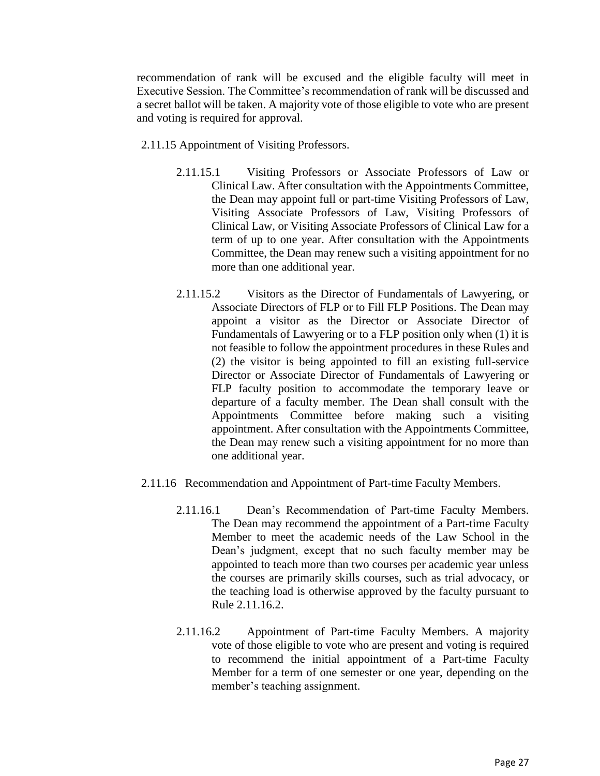recommendation of rank will be excused and the eligible faculty will meet in Executive Session. The Committee's recommendation of rank will be discussed and a secret ballot will be taken. A majority vote of those eligible to vote who are present and voting is required for approval.

- 2.11.15 Appointment of Visiting Professors.
	- 2.11.15.1 Visiting Professors or Associate Professors of Law or Clinical Law. After consultation with the Appointments Committee, the Dean may appoint full or part-time Visiting Professors of Law, Visiting Associate Professors of Law, Visiting Professors of Clinical Law, or Visiting Associate Professors of Clinical Law for a term of up to one year. After consultation with the Appointments Committee, the Dean may renew such a visiting appointment for no more than one additional year.
	- 2.11.15.2 Visitors as the Director of Fundamentals of Lawyering, or Associate Directors of FLP or to Fill FLP Positions. The Dean may appoint a visitor as the Director or Associate Director of Fundamentals of Lawyering or to a FLP position only when (1) it is not feasible to follow the appointment procedures in these Rules and (2) the visitor is being appointed to fill an existing full-service Director or Associate Director of Fundamentals of Lawyering or FLP faculty position to accommodate the temporary leave or departure of a faculty member. The Dean shall consult with the Appointments Committee before making such a visiting appointment. After consultation with the Appointments Committee, the Dean may renew such a visiting appointment for no more than one additional year.
- 2.11.16 Recommendation and Appointment of Part-time Faculty Members.
	- 2.11.16.1 Dean's Recommendation of Part-time Faculty Members. The Dean may recommend the appointment of a Part-time Faculty Member to meet the academic needs of the Law School in the Dean's judgment, except that no such faculty member may be appointed to teach more than two courses per academic year unless the courses are primarily skills courses, such as trial advocacy, or the teaching load is otherwise approved by the faculty pursuant to Rule 2.11.16.2.
	- 2.11.16.2 Appointment of Part-time Faculty Members. A majority vote of those eligible to vote who are present and voting is required to recommend the initial appointment of a Part-time Faculty Member for a term of one semester or one year, depending on the member's teaching assignment.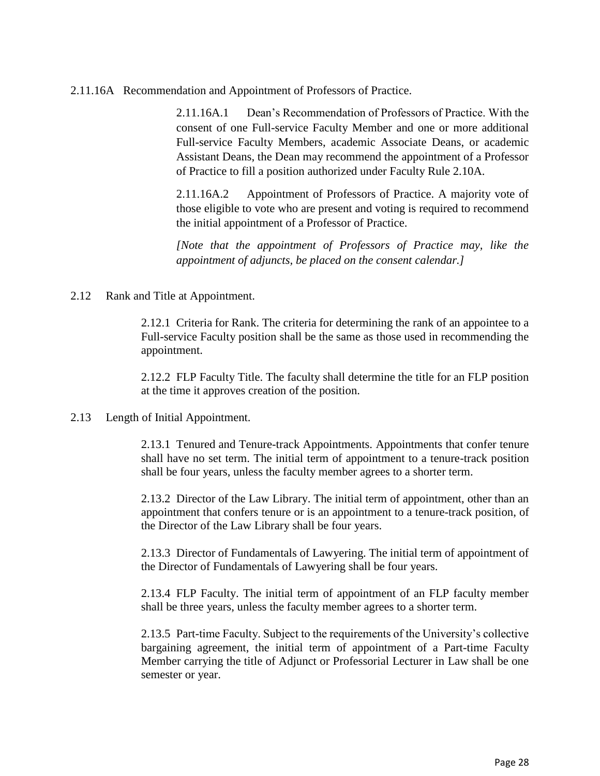2.11.16A Recommendation and Appointment of Professors of Practice.

2.11.16A.1 Dean's Recommendation of Professors of Practice. With the consent of one Full-service Faculty Member and one or more additional Full-service Faculty Members, academic Associate Deans, or academic Assistant Deans, the Dean may recommend the appointment of a Professor of Practice to fill a position authorized under Faculty Rule 2.10A.

2.11.16A.2 Appointment of Professors of Practice. A majority vote of those eligible to vote who are present and voting is required to recommend the initial appointment of a Professor of Practice.

*[Note that the appointment of Professors of Practice may, like the appointment of adjuncts, be placed on the consent calendar.]*

2.12 Rank and Title at Appointment.

2.12.1 Criteria for Rank. The criteria for determining the rank of an appointee to a Full-service Faculty position shall be the same as those used in recommending the appointment.

2.12.2 FLP Faculty Title. The faculty shall determine the title for an FLP position at the time it approves creation of the position.

### 2.13 Length of Initial Appointment.

2.13.1 Tenured and Tenure-track Appointments. Appointments that confer tenure shall have no set term. The initial term of appointment to a tenure-track position shall be four years, unless the faculty member agrees to a shorter term.

2.13.2 Director of the Law Library. The initial term of appointment, other than an appointment that confers tenure or is an appointment to a tenure-track position, of the Director of the Law Library shall be four years.

2.13.3 Director of Fundamentals of Lawyering. The initial term of appointment of the Director of Fundamentals of Lawyering shall be four years.

2.13.4 FLP Faculty. The initial term of appointment of an FLP faculty member shall be three years, unless the faculty member agrees to a shorter term.

2.13.5 Part-time Faculty. Subject to the requirements of the University's collective bargaining agreement, the initial term of appointment of a Part-time Faculty Member carrying the title of Adjunct or Professorial Lecturer in Law shall be one semester or year.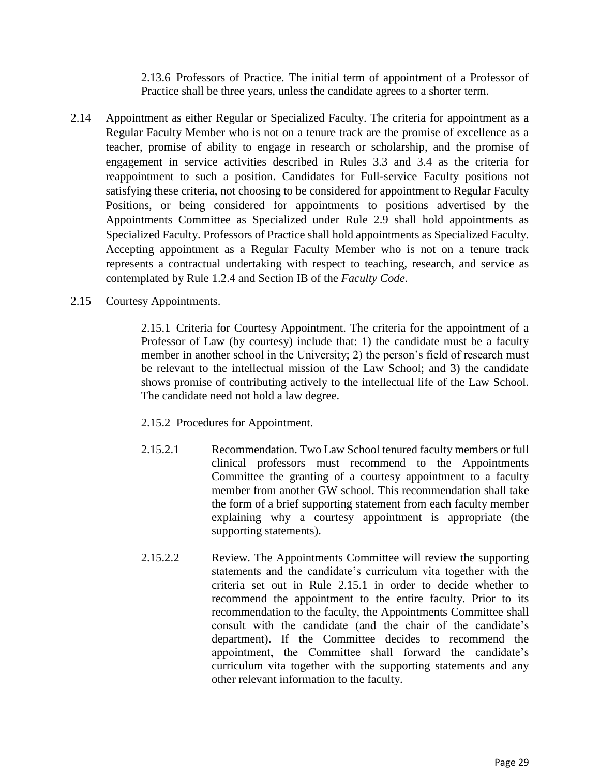2.13.6 Professors of Practice. The initial term of appointment of a Professor of Practice shall be three years, unless the candidate agrees to a shorter term.

- 2.14 Appointment as either Regular or Specialized Faculty. The criteria for appointment as a Regular Faculty Member who is not on a tenure track are the promise of excellence as a teacher, promise of ability to engage in research or scholarship, and the promise of engagement in service activities described in Rules 3.3 and 3.4 as the criteria for reappointment to such a position. Candidates for Full-service Faculty positions not satisfying these criteria, not choosing to be considered for appointment to Regular Faculty Positions, or being considered for appointments to positions advertised by the Appointments Committee as Specialized under Rule 2.9 shall hold appointments as Specialized Faculty. Professors of Practice shall hold appointments as Specialized Faculty. Accepting appointment as a Regular Faculty Member who is not on a tenure track represents a contractual undertaking with respect to teaching, research, and service as contemplated by Rule 1.2.4 and Section IB of the *Faculty Code*.
- 2.15 Courtesy Appointments.

2.15.1 Criteria for Courtesy Appointment. The criteria for the appointment of a Professor of Law (by courtesy) include that: 1) the candidate must be a faculty member in another school in the University; 2) the person's field of research must be relevant to the intellectual mission of the Law School; and 3) the candidate shows promise of contributing actively to the intellectual life of the Law School. The candidate need not hold a law degree.

- 2.15.2 Procedures for Appointment.
- 2.15.2.1 Recommendation. Two Law School tenured faculty members or full clinical professors must recommend to the Appointments Committee the granting of a courtesy appointment to a faculty member from another GW school. This recommendation shall take the form of a brief supporting statement from each faculty member explaining why a courtesy appointment is appropriate (the supporting statements).
- 2.15.2.2 Review. The Appointments Committee will review the supporting statements and the candidate's curriculum vita together with the criteria set out in Rule 2.15.1 in order to decide whether to recommend the appointment to the entire faculty. Prior to its recommendation to the faculty, the Appointments Committee shall consult with the candidate (and the chair of the candidate's department). If the Committee decides to recommend the appointment, the Committee shall forward the candidate's curriculum vita together with the supporting statements and any other relevant information to the faculty.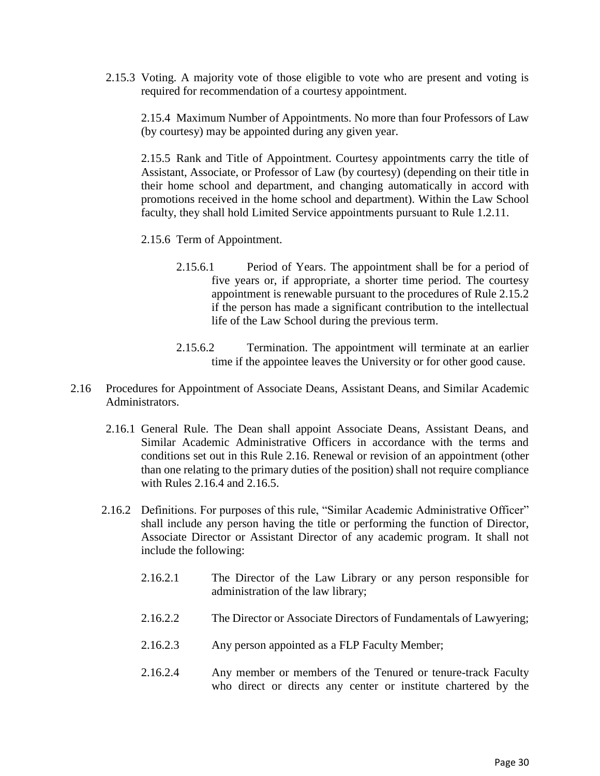2.15.3 Voting. A majority vote of those eligible to vote who are present and voting is required for recommendation of a courtesy appointment.

2.15.4 Maximum Number of Appointments. No more than four Professors of Law (by courtesy) may be appointed during any given year.

2.15.5 Rank and Title of Appointment. Courtesy appointments carry the title of Assistant, Associate, or Professor of Law (by courtesy) (depending on their title in their home school and department, and changing automatically in accord with promotions received in the home school and department). Within the Law School faculty, they shall hold Limited Service appointments pursuant to Rule 1.2.11.

- 2.15.6 Term of Appointment.
	- 2.15.6.1 Period of Years. The appointment shall be for a period of five years or, if appropriate, a shorter time period. The courtesy appointment is renewable pursuant to the procedures of Rule 2.15.2 if the person has made a significant contribution to the intellectual life of the Law School during the previous term.
	- 2.15.6.2 Termination. The appointment will terminate at an earlier time if the appointee leaves the University or for other good cause.
- 2.16 Procedures for Appointment of Associate Deans, Assistant Deans, and Similar Academic Administrators.
	- 2.16.1 General Rule. The Dean shall appoint Associate Deans, Assistant Deans, and Similar Academic Administrative Officers in accordance with the terms and conditions set out in this Rule 2.16. Renewal or revision of an appointment (other than one relating to the primary duties of the position) shall not require compliance with Rules 2.16.4 and 2.16.5.
	- 2.16.2 Definitions. For purposes of this rule, "Similar Academic Administrative Officer" shall include any person having the title or performing the function of Director, Associate Director or Assistant Director of any academic program. It shall not include the following:
		- 2.16.2.1 The Director of the Law Library or any person responsible for administration of the law library;
		- 2.16.2.2 The Director or Associate Directors of Fundamentals of Lawyering;
		- 2.16.2.3 Any person appointed as a FLP Faculty Member;
		- 2.16.2.4 Any member or members of the Tenured or tenure-track Faculty who direct or directs any center or institute chartered by the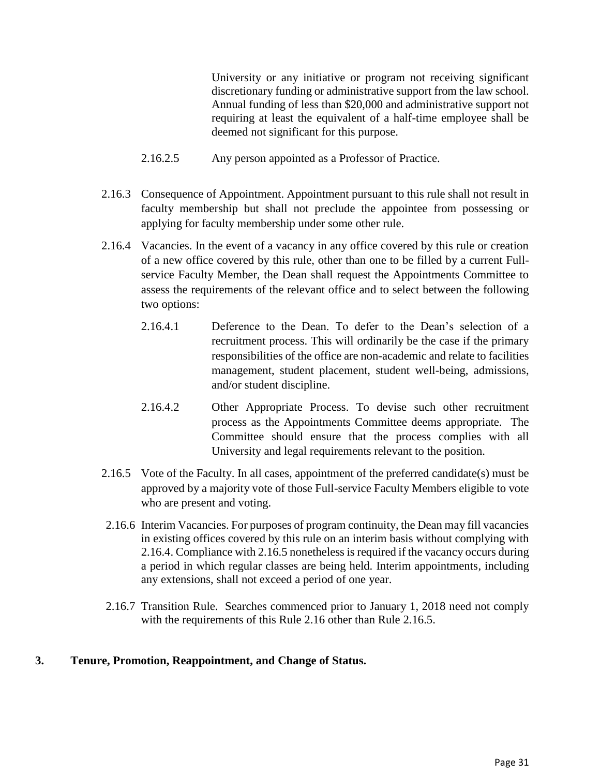University or any initiative or program not receiving significant discretionary funding or administrative support from the law school. Annual funding of less than \$20,000 and administrative support not requiring at least the equivalent of a half-time employee shall be deemed not significant for this purpose.

- 2.16.2.5 Any person appointed as a Professor of Practice.
- 2.16.3 Consequence of Appointment. Appointment pursuant to this rule shall not result in faculty membership but shall not preclude the appointee from possessing or applying for faculty membership under some other rule.
- 2.16.4 Vacancies. In the event of a vacancy in any office covered by this rule or creation of a new office covered by this rule, other than one to be filled by a current Fullservice Faculty Member, the Dean shall request the Appointments Committee to assess the requirements of the relevant office and to select between the following two options:
	- 2.16.4.1 Deference to the Dean. To defer to the Dean's selection of a recruitment process. This will ordinarily be the case if the primary responsibilities of the office are non-academic and relate to facilities management, student placement, student well-being, admissions, and/or student discipline.
	- 2.16.4.2 Other Appropriate Process. To devise such other recruitment process as the Appointments Committee deems appropriate. The Committee should ensure that the process complies with all University and legal requirements relevant to the position.
- 2.16.5 Vote of the Faculty. In all cases, appointment of the preferred candidate(s) must be approved by a majority vote of those Full-service Faculty Members eligible to vote who are present and voting.
- 2.16.6 Interim Vacancies. For purposes of program continuity, the Dean may fill vacancies in existing offices covered by this rule on an interim basis without complying with 2.16.4. Compliance with 2.16.5 nonetheless is required if the vacancy occurs during a period in which regular classes are being held. Interim appointments, including any extensions, shall not exceed a period of one year.
- 2.16.7 Transition Rule. Searches commenced prior to January 1, 2018 need not comply with the requirements of this Rule 2.16 other than Rule 2.16.5.

## **3. Tenure, Promotion, Reappointment, and Change of Status.**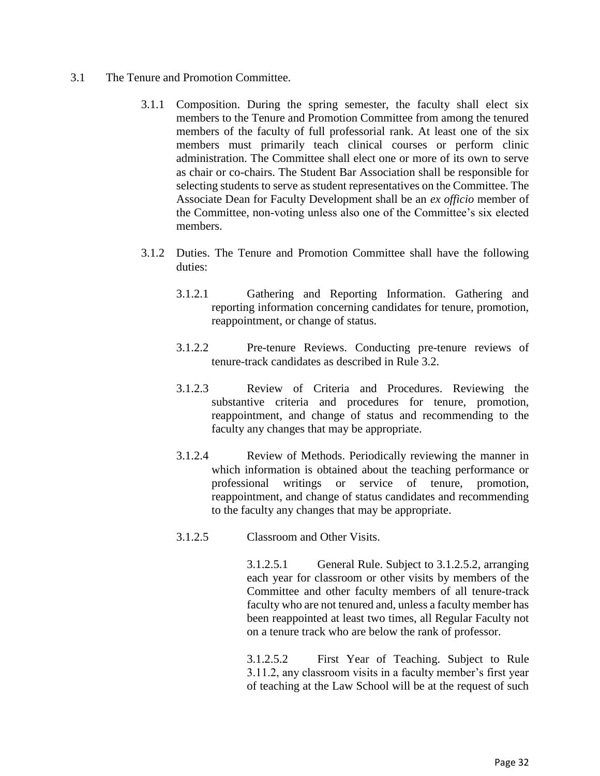- 3.1 The Tenure and Promotion Committee.
	- 3.1.1 Composition. During the spring semester, the faculty shall elect six members to the Tenure and Promotion Committee from among the tenured members of the faculty of full professorial rank. At least one of the six members must primarily teach clinical courses or perform clinic administration. The Committee shall elect one or more of its own to serve as chair or co-chairs. The Student Bar Association shall be responsible for selecting students to serve as student representatives on the Committee. The Associate Dean for Faculty Development shall be an *ex officio* member of the Committee, non-voting unless also one of the Committee's six elected members.
	- 3.1.2 Duties. The Tenure and Promotion Committee shall have the following duties:
		- 3.1.2.1 Gathering and Reporting Information. Gathering and reporting information concerning candidates for tenure, promotion, reappointment, or change of status.
		- 3.1.2.2 Pre-tenure Reviews. Conducting pre-tenure reviews of tenure-track candidates as described in Rule 3.2.
		- 3.1.2.3 Review of Criteria and Procedures. Reviewing the substantive criteria and procedures for tenure, promotion, reappointment, and change of status and recommending to the faculty any changes that may be appropriate.
		- 3.1.2.4 Review of Methods. Periodically reviewing the manner in which information is obtained about the teaching performance or professional writings or service of tenure, promotion, reappointment, and change of status candidates and recommending to the faculty any changes that may be appropriate.
		- 3.1.2.5 Classroom and Other Visits.

3.1.2.5.1 General Rule. Subject to 3.1.2.5.2, arranging each year for classroom or other visits by members of the Committee and other faculty members of all tenure-track faculty who are not tenured and, unless a faculty member has been reappointed at least two times, all Regular Faculty not on a tenure track who are below the rank of professor.

3.1.2.5.2 First Year of Teaching. Subject to Rule 3.11.2, any classroom visits in a faculty member's first year of teaching at the Law School will be at the request of such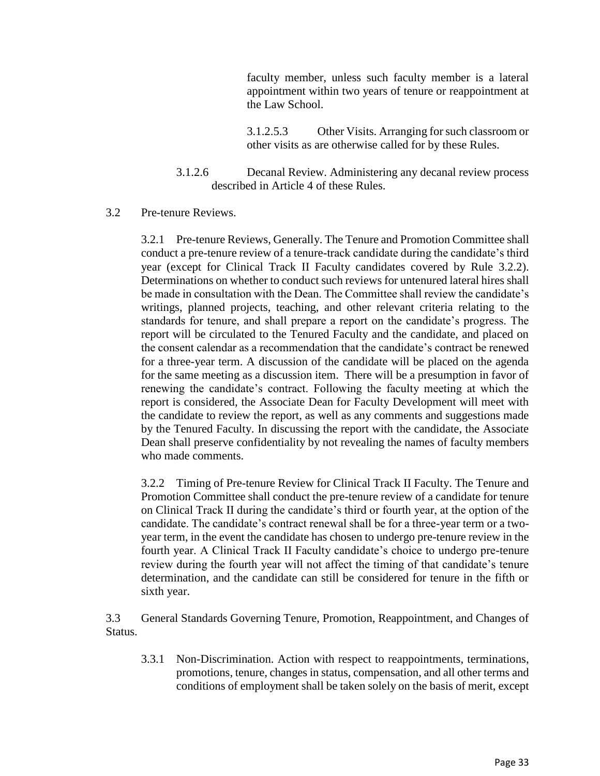faculty member, unless such faculty member is a lateral appointment within two years of tenure or reappointment at the Law School.

3.1.2.5.3 Other Visits. Arranging for such classroom or other visits as are otherwise called for by these Rules.

3.1.2.6 Decanal Review. Administering any decanal review process described in Article 4 of these Rules.

### 3.2 Pre-tenure Reviews.

3.2.1 Pre-tenure Reviews, Generally. The Tenure and Promotion Committee shall conduct a pre-tenure review of a tenure-track candidate during the candidate's third year (except for Clinical Track II Faculty candidates covered by Rule 3.2.2). Determinations on whether to conduct such reviews for untenured lateral hires shall be made in consultation with the Dean. The Committee shall review the candidate's writings, planned projects, teaching, and other relevant criteria relating to the standards for tenure, and shall prepare a report on the candidate's progress. The report will be circulated to the Tenured Faculty and the candidate, and placed on the consent calendar as a recommendation that the candidate's contract be renewed for a three-year term. A discussion of the candidate will be placed on the agenda for the same meeting as a discussion item. There will be a presumption in favor of renewing the candidate's contract. Following the faculty meeting at which the report is considered, the Associate Dean for Faculty Development will meet with the candidate to review the report, as well as any comments and suggestions made by the Tenured Faculty. In discussing the report with the candidate, the Associate Dean shall preserve confidentiality by not revealing the names of faculty members who made comments.

3.2.2 Timing of Pre-tenure Review for Clinical Track II Faculty. The Tenure and Promotion Committee shall conduct the pre-tenure review of a candidate for tenure on Clinical Track II during the candidate's third or fourth year, at the option of the candidate. The candidate's contract renewal shall be for a three-year term or a twoyear term, in the event the candidate has chosen to undergo pre-tenure review in the fourth year. A Clinical Track II Faculty candidate's choice to undergo pre-tenure review during the fourth year will not affect the timing of that candidate's tenure determination, and the candidate can still be considered for tenure in the fifth or sixth year.

3.3 General Standards Governing Tenure, Promotion, Reappointment, and Changes of Status.

3.3.1 Non-Discrimination. Action with respect to reappointments, terminations, promotions, tenure, changes in status, compensation, and all other terms and conditions of employment shall be taken solely on the basis of merit, except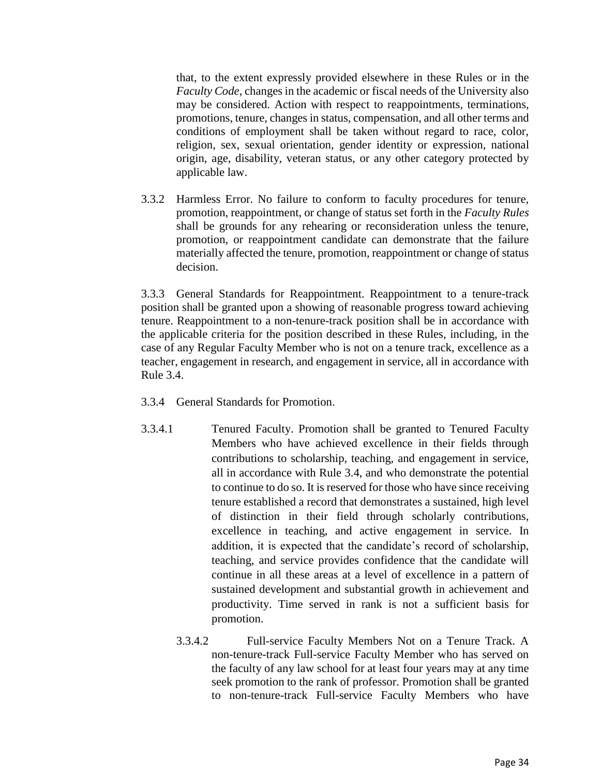that, to the extent expressly provided elsewhere in these Rules or in the *Faculty Code*, changes in the academic or fiscal needs of the University also may be considered. Action with respect to reappointments, terminations, promotions, tenure, changes in status, compensation, and all other terms and conditions of employment shall be taken without regard to race, color, religion, sex, sexual orientation, gender identity or expression, national origin, age, disability, veteran status, or any other category protected by applicable law.

3.3.2 Harmless Error. No failure to conform to faculty procedures for tenure, promotion, reappointment, or change of status set forth in the *Faculty Rules* shall be grounds for any rehearing or reconsideration unless the tenure, promotion, or reappointment candidate can demonstrate that the failure materially affected the tenure, promotion, reappointment or change of status decision.

3.3.3 General Standards for Reappointment. Reappointment to a tenure-track position shall be granted upon a showing of reasonable progress toward achieving tenure. Reappointment to a non-tenure-track position shall be in accordance with the applicable criteria for the position described in these Rules, including, in the case of any Regular Faculty Member who is not on a tenure track, excellence as a teacher, engagement in research, and engagement in service, all in accordance with Rule 3.4.

- 3.3.4 General Standards for Promotion.
- 3.3.4.1 Tenured Faculty. Promotion shall be granted to Tenured Faculty Members who have achieved excellence in their fields through contributions to scholarship, teaching, and engagement in service, all in accordance with Rule 3.4, and who demonstrate the potential to continue to do so. It is reserved for those who have since receiving tenure established a record that demonstrates a sustained, high level of distinction in their field through scholarly contributions, excellence in teaching, and active engagement in service. In addition, it is expected that the candidate's record of scholarship, teaching, and service provides confidence that the candidate will continue in all these areas at a level of excellence in a pattern of sustained development and substantial growth in achievement and productivity. Time served in rank is not a sufficient basis for promotion.
	- 3.3.4.2 Full-service Faculty Members Not on a Tenure Track. A non-tenure-track Full-service Faculty Member who has served on the faculty of any law school for at least four years may at any time seek promotion to the rank of professor. Promotion shall be granted to non-tenure-track Full-service Faculty Members who have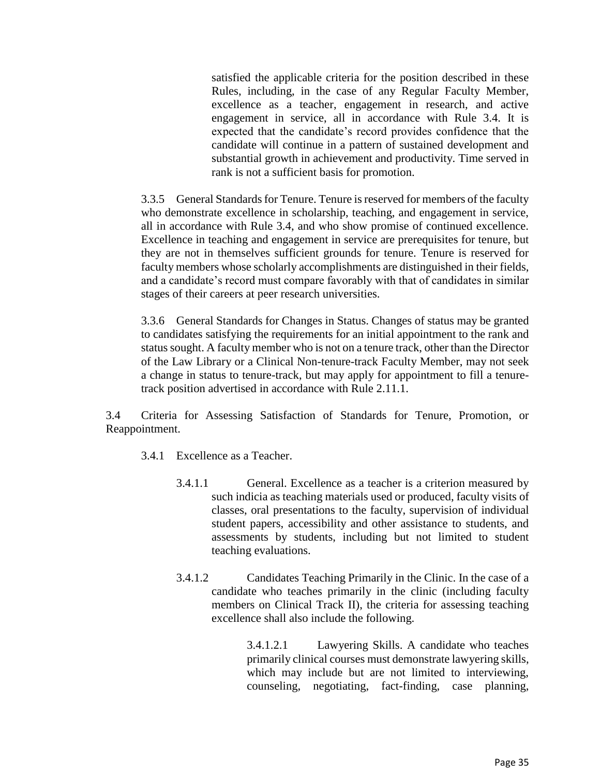satisfied the applicable criteria for the position described in these Rules, including, in the case of any Regular Faculty Member, excellence as a teacher, engagement in research, and active engagement in service, all in accordance with Rule 3.4. It is expected that the candidate's record provides confidence that the candidate will continue in a pattern of sustained development and substantial growth in achievement and productivity. Time served in rank is not a sufficient basis for promotion.

3.3.5 General Standards for Tenure. Tenure is reserved for members of the faculty who demonstrate excellence in scholarship, teaching, and engagement in service, all in accordance with Rule 3.4, and who show promise of continued excellence. Excellence in teaching and engagement in service are prerequisites for tenure, but they are not in themselves sufficient grounds for tenure. Tenure is reserved for faculty members whose scholarly accomplishments are distinguished in their fields, and a candidate's record must compare favorably with that of candidates in similar stages of their careers at peer research universities.

3.3.6 General Standards for Changes in Status. Changes of status may be granted to candidates satisfying the requirements for an initial appointment to the rank and status sought. A faculty member who is not on a tenure track, other than the Director of the Law Library or a Clinical Non-tenure-track Faculty Member, may not seek a change in status to tenure-track, but may apply for appointment to fill a tenuretrack position advertised in accordance with Rule 2.11.1.

3.4 Criteria for Assessing Satisfaction of Standards for Tenure, Promotion, or Reappointment.

- 3.4.1 Excellence as a Teacher.
	- 3.4.1.1 General. Excellence as a teacher is a criterion measured by such indicia as teaching materials used or produced, faculty visits of classes, oral presentations to the faculty, supervision of individual student papers, accessibility and other assistance to students, and assessments by students, including but not limited to student teaching evaluations.
	- 3.4.1.2 Candidates Teaching Primarily in the Clinic. In the case of a candidate who teaches primarily in the clinic (including faculty members on Clinical Track II), the criteria for assessing teaching excellence shall also include the following.

3.4.1.2.1 Lawyering Skills. A candidate who teaches primarily clinical courses must demonstrate lawyering skills, which may include but are not limited to interviewing, counseling, negotiating, fact-finding, case planning,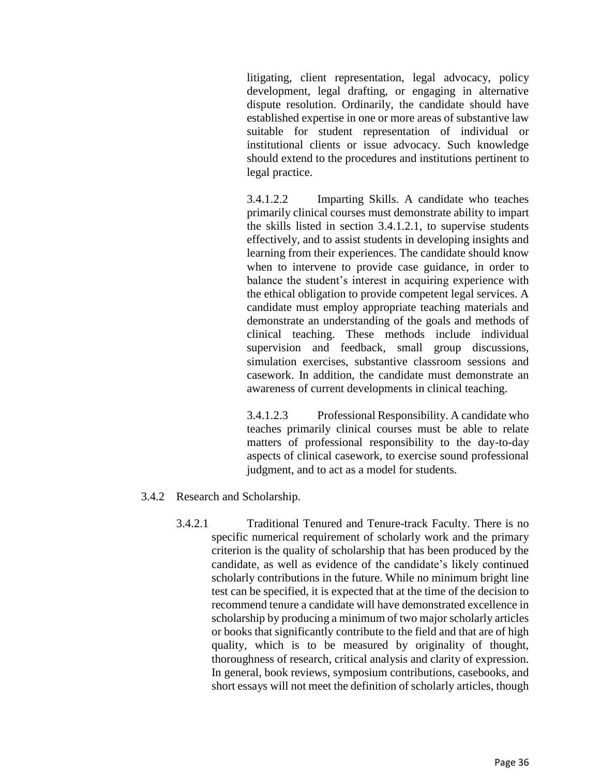litigating, client representation, legal advocacy, policy development, legal drafting, or engaging in alternative dispute resolution. Ordinarily, the candidate should have established expertise in one or more areas of substantive law suitable for student representation of individual or institutional clients or issue advocacy. Such knowledge should extend to the procedures and institutions pertinent to legal practice.

3.4.1.2.2 Imparting Skills. A candidate who teaches primarily clinical courses must demonstrate ability to impart the skills listed in section 3.4.1.2.1, to supervise students effectively, and to assist students in developing insights and learning from their experiences. The candidate should know when to intervene to provide case guidance, in order to balance the student's interest in acquiring experience with the ethical obligation to provide competent legal services. A candidate must employ appropriate teaching materials and demonstrate an understanding of the goals and methods of clinical teaching. These methods include individual supervision and feedback, small group discussions, simulation exercises, substantive classroom sessions and casework. In addition, the candidate must demonstrate an awareness of current developments in clinical teaching.

3.4.1.2.3 Professional Responsibility. A candidate who teaches primarily clinical courses must be able to relate matters of professional responsibility to the day-to-day aspects of clinical casework, to exercise sound professional judgment, and to act as a model for students.

- 3.4.2 Research and Scholarship.
	- 3.4.2.1 Traditional Tenured and Tenure-track Faculty. There is no specific numerical requirement of scholarly work and the primary criterion is the quality of scholarship that has been produced by the candidate, as well as evidence of the candidate's likely continued scholarly contributions in the future. While no minimum bright line test can be specified, it is expected that at the time of the decision to recommend tenure a candidate will have demonstrated excellence in scholarship by producing a minimum of two major scholarly articles or books that significantly contribute to the field and that are of high quality, which is to be measured by originality of thought, thoroughness of research, critical analysis and clarity of expression. In general, book reviews, symposium contributions, casebooks, and short essays will not meet the definition of scholarly articles, though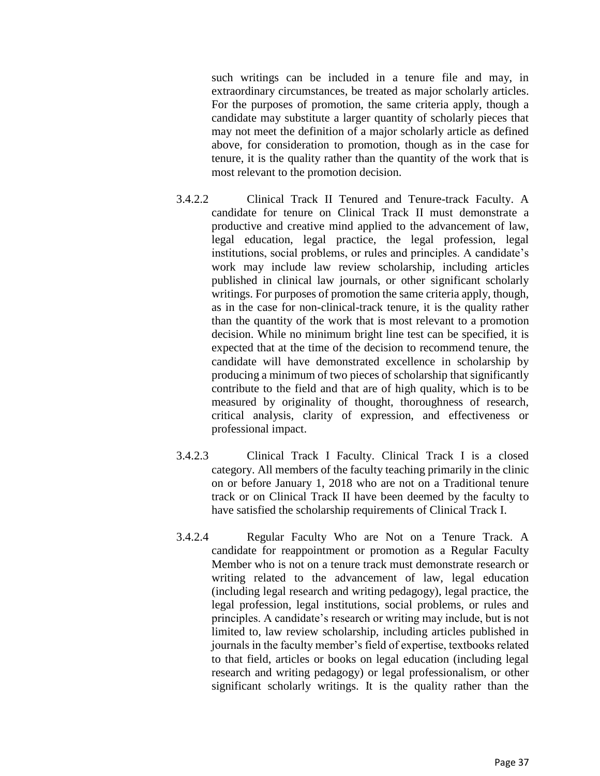such writings can be included in a tenure file and may, in extraordinary circumstances, be treated as major scholarly articles. For the purposes of promotion, the same criteria apply, though a candidate may substitute a larger quantity of scholarly pieces that may not meet the definition of a major scholarly article as defined above, for consideration to promotion, though as in the case for tenure, it is the quality rather than the quantity of the work that is most relevant to the promotion decision.

- 3.4.2.2 Clinical Track II Tenured and Tenure-track Faculty. A candidate for tenure on Clinical Track II must demonstrate a productive and creative mind applied to the advancement of law, legal education, legal practice, the legal profession, legal institutions, social problems, or rules and principles. A candidate's work may include law review scholarship, including articles published in clinical law journals, or other significant scholarly writings. For purposes of promotion the same criteria apply, though, as in the case for non-clinical-track tenure, it is the quality rather than the quantity of the work that is most relevant to a promotion decision. While no minimum bright line test can be specified, it is expected that at the time of the decision to recommend tenure, the candidate will have demonstrated excellence in scholarship by producing a minimum of two pieces of scholarship that significantly contribute to the field and that are of high quality, which is to be measured by originality of thought, thoroughness of research, critical analysis, clarity of expression, and effectiveness or professional impact.
- 3.4.2.3 Clinical Track I Faculty. Clinical Track I is a closed category. All members of the faculty teaching primarily in the clinic on or before January 1, 2018 who are not on a Traditional tenure track or on Clinical Track II have been deemed by the faculty to have satisfied the scholarship requirements of Clinical Track I.
- 3.4.2.4 Regular Faculty Who are Not on a Tenure Track. A candidate for reappointment or promotion as a Regular Faculty Member who is not on a tenure track must demonstrate research or writing related to the advancement of law, legal education (including legal research and writing pedagogy), legal practice, the legal profession, legal institutions, social problems, or rules and principles. A candidate's research or writing may include, but is not limited to, law review scholarship, including articles published in journals in the faculty member's field of expertise, textbooks related to that field, articles or books on legal education (including legal research and writing pedagogy) or legal professionalism, or other significant scholarly writings. It is the quality rather than the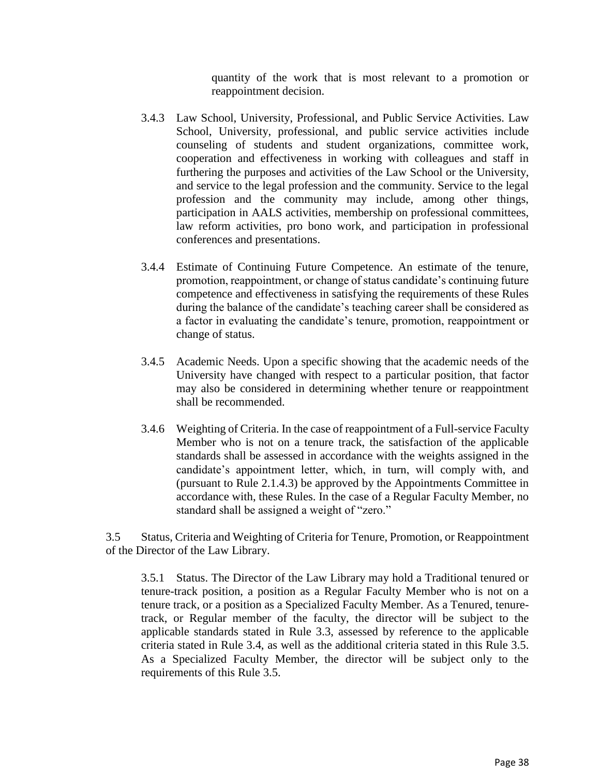quantity of the work that is most relevant to a promotion or reappointment decision.

- 3.4.3 Law School, University, Professional, and Public Service Activities. Law School, University, professional, and public service activities include counseling of students and student organizations, committee work, cooperation and effectiveness in working with colleagues and staff in furthering the purposes and activities of the Law School or the University, and service to the legal profession and the community. Service to the legal profession and the community may include, among other things, participation in AALS activities, membership on professional committees, law reform activities, pro bono work, and participation in professional conferences and presentations.
- 3.4.4 Estimate of Continuing Future Competence. An estimate of the tenure, promotion, reappointment, or change of status candidate's continuing future competence and effectiveness in satisfying the requirements of these Rules during the balance of the candidate's teaching career shall be considered as a factor in evaluating the candidate's tenure, promotion, reappointment or change of status.
- 3.4.5 Academic Needs. Upon a specific showing that the academic needs of the University have changed with respect to a particular position, that factor may also be considered in determining whether tenure or reappointment shall be recommended.
- 3.4.6 Weighting of Criteria. In the case of reappointment of a Full-service Faculty Member who is not on a tenure track, the satisfaction of the applicable standards shall be assessed in accordance with the weights assigned in the candidate's appointment letter, which, in turn, will comply with, and (pursuant to Rule 2.1.4.3) be approved by the Appointments Committee in accordance with, these Rules. In the case of a Regular Faculty Member, no standard shall be assigned a weight of "zero."

3.5 Status, Criteria and Weighting of Criteria for Tenure, Promotion, or Reappointment of the Director of the Law Library.

3.5.1 Status. The Director of the Law Library may hold a Traditional tenured or tenure-track position, a position as a Regular Faculty Member who is not on a tenure track, or a position as a Specialized Faculty Member. As a Tenured, tenuretrack, or Regular member of the faculty, the director will be subject to the applicable standards stated in Rule 3.3, assessed by reference to the applicable criteria stated in Rule 3.4, as well as the additional criteria stated in this Rule 3.5. As a Specialized Faculty Member, the director will be subject only to the requirements of this Rule 3.5.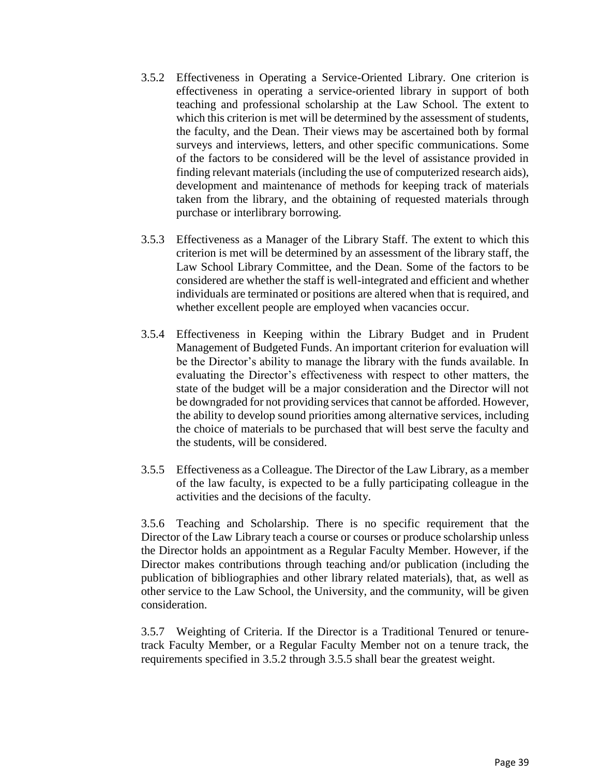- 3.5.2 Effectiveness in Operating a Service-Oriented Library. One criterion is effectiveness in operating a service-oriented library in support of both teaching and professional scholarship at the Law School. The extent to which this criterion is met will be determined by the assessment of students, the faculty, and the Dean. Their views may be ascertained both by formal surveys and interviews, letters, and other specific communications. Some of the factors to be considered will be the level of assistance provided in finding relevant materials (including the use of computerized research aids), development and maintenance of methods for keeping track of materials taken from the library, and the obtaining of requested materials through purchase or interlibrary borrowing.
- 3.5.3 Effectiveness as a Manager of the Library Staff. The extent to which this criterion is met will be determined by an assessment of the library staff, the Law School Library Committee, and the Dean. Some of the factors to be considered are whether the staff is well-integrated and efficient and whether individuals are terminated or positions are altered when that is required, and whether excellent people are employed when vacancies occur.
- 3.5.4 Effectiveness in Keeping within the Library Budget and in Prudent Management of Budgeted Funds. An important criterion for evaluation will be the Director's ability to manage the library with the funds available. In evaluating the Director's effectiveness with respect to other matters, the state of the budget will be a major consideration and the Director will not be downgraded for not providing services that cannot be afforded. However, the ability to develop sound priorities among alternative services, including the choice of materials to be purchased that will best serve the faculty and the students, will be considered.
- 3.5.5 Effectiveness as a Colleague. The Director of the Law Library, as a member of the law faculty, is expected to be a fully participating colleague in the activities and the decisions of the faculty.

3.5.6 Teaching and Scholarship. There is no specific requirement that the Director of the Law Library teach a course or courses or produce scholarship unless the Director holds an appointment as a Regular Faculty Member. However, if the Director makes contributions through teaching and/or publication (including the publication of bibliographies and other library related materials), that, as well as other service to the Law School, the University, and the community, will be given consideration.

3.5.7 Weighting of Criteria. If the Director is a Traditional Tenured or tenuretrack Faculty Member, or a Regular Faculty Member not on a tenure track, the requirements specified in 3.5.2 through 3.5.5 shall bear the greatest weight.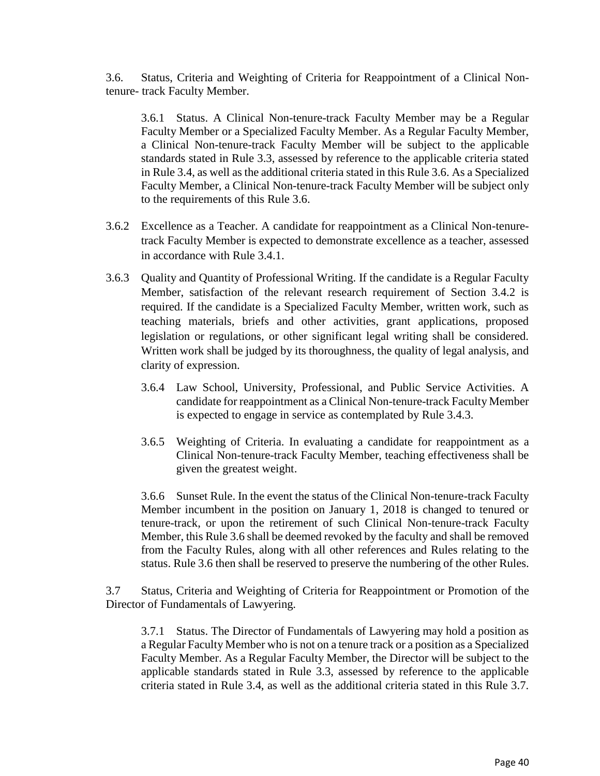3.6. Status, Criteria and Weighting of Criteria for Reappointment of a Clinical Nontenure- track Faculty Member.

3.6.1 Status. A Clinical Non-tenure-track Faculty Member may be a Regular Faculty Member or a Specialized Faculty Member. As a Regular Faculty Member, a Clinical Non-tenure-track Faculty Member will be subject to the applicable standards stated in Rule 3.3, assessed by reference to the applicable criteria stated in Rule 3.4, as well as the additional criteria stated in this Rule 3.6. As a Specialized Faculty Member, a Clinical Non-tenure-track Faculty Member will be subject only to the requirements of this Rule 3.6.

- 3.6.2 Excellence as a Teacher. A candidate for reappointment as a Clinical Non-tenuretrack Faculty Member is expected to demonstrate excellence as a teacher, assessed in accordance with Rule 3.4.1.
- 3.6.3 Quality and Quantity of Professional Writing. If the candidate is a Regular Faculty Member, satisfaction of the relevant research requirement of Section 3.4.2 is required. If the candidate is a Specialized Faculty Member, written work, such as teaching materials, briefs and other activities, grant applications, proposed legislation or regulations, or other significant legal writing shall be considered. Written work shall be judged by its thoroughness, the quality of legal analysis, and clarity of expression.
	- 3.6.4 Law School, University, Professional, and Public Service Activities. A candidate for reappointment as a Clinical Non-tenure-track Faculty Member is expected to engage in service as contemplated by Rule 3.4.3.
	- 3.6.5 Weighting of Criteria. In evaluating a candidate for reappointment as a Clinical Non-tenure-track Faculty Member, teaching effectiveness shall be given the greatest weight.

3.6.6 Sunset Rule. In the event the status of the Clinical Non-tenure-track Faculty Member incumbent in the position on January 1, 2018 is changed to tenured or tenure-track, or upon the retirement of such Clinical Non-tenure-track Faculty Member, this Rule 3.6 shall be deemed revoked by the faculty and shall be removed from the Faculty Rules, along with all other references and Rules relating to the status. Rule 3.6 then shall be reserved to preserve the numbering of the other Rules.

3.7 Status, Criteria and Weighting of Criteria for Reappointment or Promotion of the Director of Fundamentals of Lawyering.

3.7.1 Status. The Director of Fundamentals of Lawyering may hold a position as a Regular Faculty Member who is not on a tenure track or a position as a Specialized Faculty Member. As a Regular Faculty Member, the Director will be subject to the applicable standards stated in Rule 3.3, assessed by reference to the applicable criteria stated in Rule 3.4, as well as the additional criteria stated in this Rule 3.7.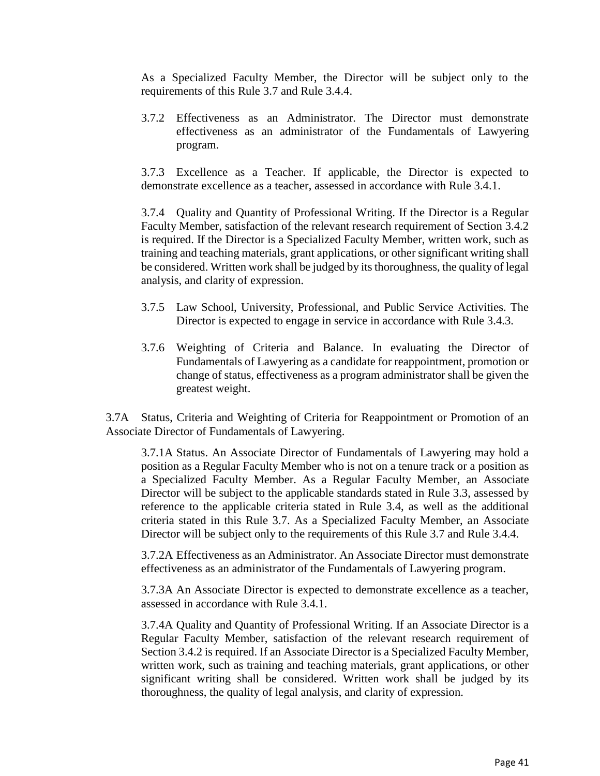As a Specialized Faculty Member, the Director will be subject only to the requirements of this Rule 3.7 and Rule 3.4.4.

3.7.2 Effectiveness as an Administrator. The Director must demonstrate effectiveness as an administrator of the Fundamentals of Lawyering program.

3.7.3 Excellence as a Teacher. If applicable, the Director is expected to demonstrate excellence as a teacher, assessed in accordance with Rule 3.4.1.

3.7.4 Quality and Quantity of Professional Writing. If the Director is a Regular Faculty Member, satisfaction of the relevant research requirement of Section 3.4.2 is required. If the Director is a Specialized Faculty Member, written work, such as training and teaching materials, grant applications, or other significant writing shall be considered. Written work shall be judged by its thoroughness, the quality of legal analysis, and clarity of expression.

- 3.7.5 Law School, University, Professional, and Public Service Activities. The Director is expected to engage in service in accordance with Rule 3.4.3.
- 3.7.6 Weighting of Criteria and Balance. In evaluating the Director of Fundamentals of Lawyering as a candidate for reappointment, promotion or change of status, effectiveness as a program administrator shall be given the greatest weight.

3.7A Status, Criteria and Weighting of Criteria for Reappointment or Promotion of an Associate Director of Fundamentals of Lawyering.

3.7.1A Status. An Associate Director of Fundamentals of Lawyering may hold a position as a Regular Faculty Member who is not on a tenure track or a position as a Specialized Faculty Member. As a Regular Faculty Member, an Associate Director will be subject to the applicable standards stated in Rule 3.3, assessed by reference to the applicable criteria stated in Rule 3.4, as well as the additional criteria stated in this Rule 3.7. As a Specialized Faculty Member, an Associate Director will be subject only to the requirements of this Rule 3.7 and Rule 3.4.4.

3.7.2A Effectiveness as an Administrator. An Associate Director must demonstrate effectiveness as an administrator of the Fundamentals of Lawyering program.

3.7.3A An Associate Director is expected to demonstrate excellence as a teacher, assessed in accordance with Rule 3.4.1.

3.7.4A Quality and Quantity of Professional Writing. If an Associate Director is a Regular Faculty Member, satisfaction of the relevant research requirement of Section 3.4.2 is required. If an Associate Director is a Specialized Faculty Member, written work, such as training and teaching materials, grant applications, or other significant writing shall be considered. Written work shall be judged by its thoroughness, the quality of legal analysis, and clarity of expression.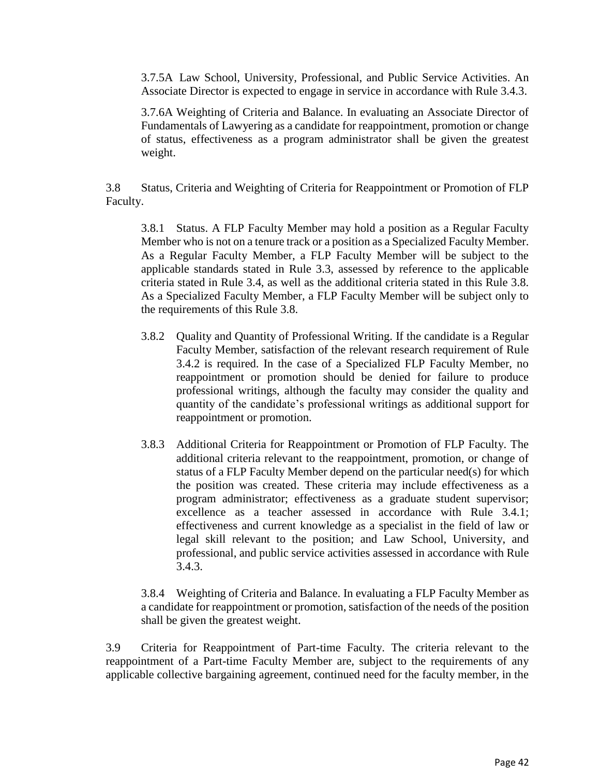3.7.5A Law School, University, Professional, and Public Service Activities. An Associate Director is expected to engage in service in accordance with Rule 3.4.3.

3.7.6A Weighting of Criteria and Balance. In evaluating an Associate Director of Fundamentals of Lawyering as a candidate for reappointment, promotion or change of status, effectiveness as a program administrator shall be given the greatest weight.

3.8 Status, Criteria and Weighting of Criteria for Reappointment or Promotion of FLP Faculty.

3.8.1 Status. A FLP Faculty Member may hold a position as a Regular Faculty Member who is not on a tenure track or a position as a Specialized Faculty Member. As a Regular Faculty Member, a FLP Faculty Member will be subject to the applicable standards stated in Rule 3.3, assessed by reference to the applicable criteria stated in Rule 3.4, as well as the additional criteria stated in this Rule 3.8. As a Specialized Faculty Member, a FLP Faculty Member will be subject only to the requirements of this Rule 3.8.

- 3.8.2 Quality and Quantity of Professional Writing. If the candidate is a Regular Faculty Member, satisfaction of the relevant research requirement of Rule 3.4.2 is required. In the case of a Specialized FLP Faculty Member, no reappointment or promotion should be denied for failure to produce professional writings, although the faculty may consider the quality and quantity of the candidate's professional writings as additional support for reappointment or promotion.
- 3.8.3 Additional Criteria for Reappointment or Promotion of FLP Faculty. The additional criteria relevant to the reappointment, promotion, or change of status of a FLP Faculty Member depend on the particular need(s) for which the position was created. These criteria may include effectiveness as a program administrator; effectiveness as a graduate student supervisor; excellence as a teacher assessed in accordance with Rule 3.4.1; effectiveness and current knowledge as a specialist in the field of law or legal skill relevant to the position; and Law School, University, and professional, and public service activities assessed in accordance with Rule 3.4.3.

3.8.4 Weighting of Criteria and Balance. In evaluating a FLP Faculty Member as a candidate for reappointment or promotion, satisfaction of the needs of the position shall be given the greatest weight.

3.9 Criteria for Reappointment of Part-time Faculty. The criteria relevant to the reappointment of a Part-time Faculty Member are, subject to the requirements of any applicable collective bargaining agreement, continued need for the faculty member, in the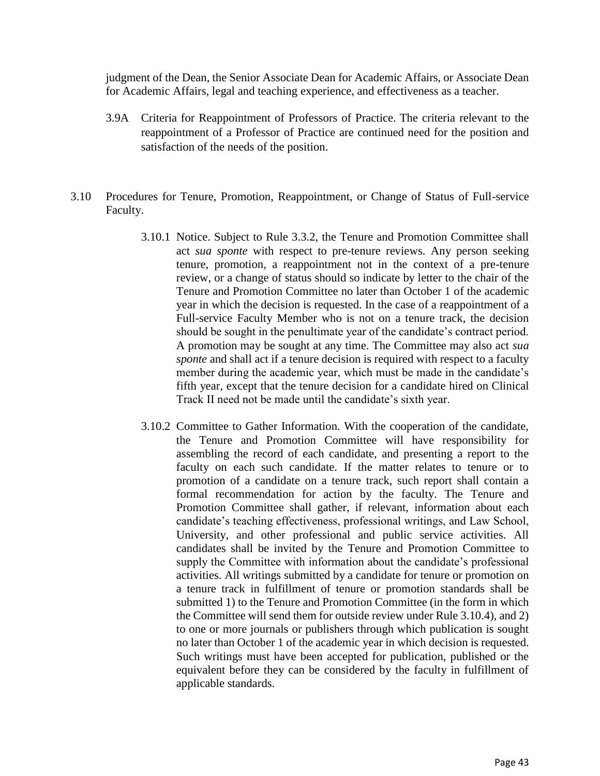judgment of the Dean, the Senior Associate Dean for Academic Affairs, or Associate Dean for Academic Affairs, legal and teaching experience, and effectiveness as a teacher.

- 3.9A Criteria for Reappointment of Professors of Practice. The criteria relevant to the reappointment of a Professor of Practice are continued need for the position and satisfaction of the needs of the position.
- 3.10 Procedures for Tenure, Promotion, Reappointment, or Change of Status of Full-service Faculty.
	- 3.10.1 Notice. Subject to Rule 3.3.2, the Tenure and Promotion Committee shall act *sua sponte* with respect to pre-tenure reviews. Any person seeking tenure, promotion, a reappointment not in the context of a pre-tenure review, or a change of status should so indicate by letter to the chair of the Tenure and Promotion Committee no later than October 1 of the academic year in which the decision is requested. In the case of a reappointment of a Full-service Faculty Member who is not on a tenure track, the decision should be sought in the penultimate year of the candidate's contract period. A promotion may be sought at any time. The Committee may also act *sua sponte* and shall act if a tenure decision is required with respect to a faculty member during the academic year, which must be made in the candidate's fifth year, except that the tenure decision for a candidate hired on Clinical Track II need not be made until the candidate's sixth year.
	- 3.10.2 Committee to Gather Information. With the cooperation of the candidate, the Tenure and Promotion Committee will have responsibility for assembling the record of each candidate, and presenting a report to the faculty on each such candidate. If the matter relates to tenure or to promotion of a candidate on a tenure track, such report shall contain a formal recommendation for action by the faculty. The Tenure and Promotion Committee shall gather, if relevant, information about each candidate's teaching effectiveness, professional writings, and Law School, University, and other professional and public service activities. All candidates shall be invited by the Tenure and Promotion Committee to supply the Committee with information about the candidate's professional activities. All writings submitted by a candidate for tenure or promotion on a tenure track in fulfillment of tenure or promotion standards shall be submitted 1) to the Tenure and Promotion Committee (in the form in which the Committee will send them for outside review under Rule 3.10.4), and 2) to one or more journals or publishers through which publication is sought no later than October 1 of the academic year in which decision is requested. Such writings must have been accepted for publication, published or the equivalent before they can be considered by the faculty in fulfillment of applicable standards.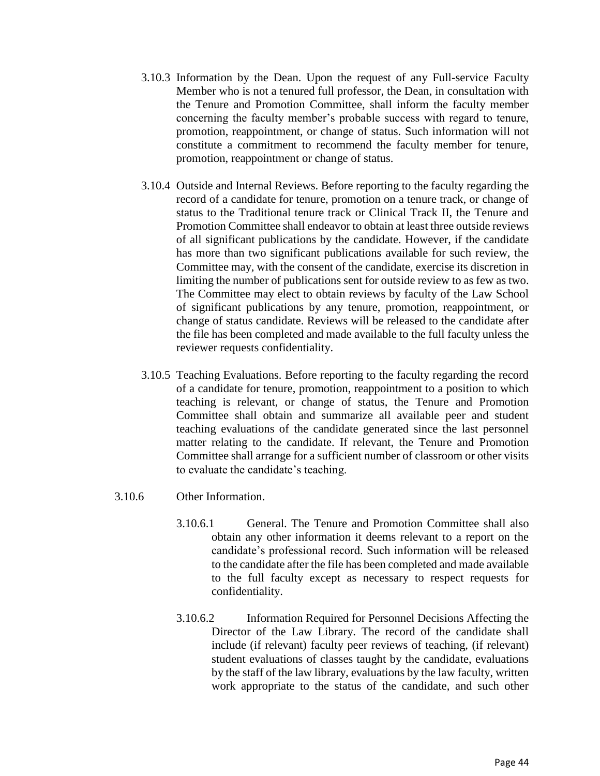- 3.10.3 Information by the Dean. Upon the request of any Full-service Faculty Member who is not a tenured full professor, the Dean, in consultation with the Tenure and Promotion Committee, shall inform the faculty member concerning the faculty member's probable success with regard to tenure, promotion, reappointment, or change of status. Such information will not constitute a commitment to recommend the faculty member for tenure, promotion, reappointment or change of status.
- 3.10.4 Outside and Internal Reviews. Before reporting to the faculty regarding the record of a candidate for tenure, promotion on a tenure track, or change of status to the Traditional tenure track or Clinical Track II, the Tenure and Promotion Committee shall endeavor to obtain at least three outside reviews of all significant publications by the candidate. However, if the candidate has more than two significant publications available for such review, the Committee may, with the consent of the candidate, exercise its discretion in limiting the number of publications sent for outside review to as few as two. The Committee may elect to obtain reviews by faculty of the Law School of significant publications by any tenure, promotion, reappointment, or change of status candidate. Reviews will be released to the candidate after the file has been completed and made available to the full faculty unless the reviewer requests confidentiality.
- 3.10.5 Teaching Evaluations. Before reporting to the faculty regarding the record of a candidate for tenure, promotion, reappointment to a position to which teaching is relevant, or change of status, the Tenure and Promotion Committee shall obtain and summarize all available peer and student teaching evaluations of the candidate generated since the last personnel matter relating to the candidate. If relevant, the Tenure and Promotion Committee shall arrange for a sufficient number of classroom or other visits to evaluate the candidate's teaching.
- 3.10.6 Other Information.
	- 3.10.6.1 General. The Tenure and Promotion Committee shall also obtain any other information it deems relevant to a report on the candidate's professional record. Such information will be released to the candidate after the file has been completed and made available to the full faculty except as necessary to respect requests for confidentiality.
	- 3.10.6.2 Information Required for Personnel Decisions Affecting the Director of the Law Library. The record of the candidate shall include (if relevant) faculty peer reviews of teaching, (if relevant) student evaluations of classes taught by the candidate, evaluations by the staff of the law library, evaluations by the law faculty, written work appropriate to the status of the candidate, and such other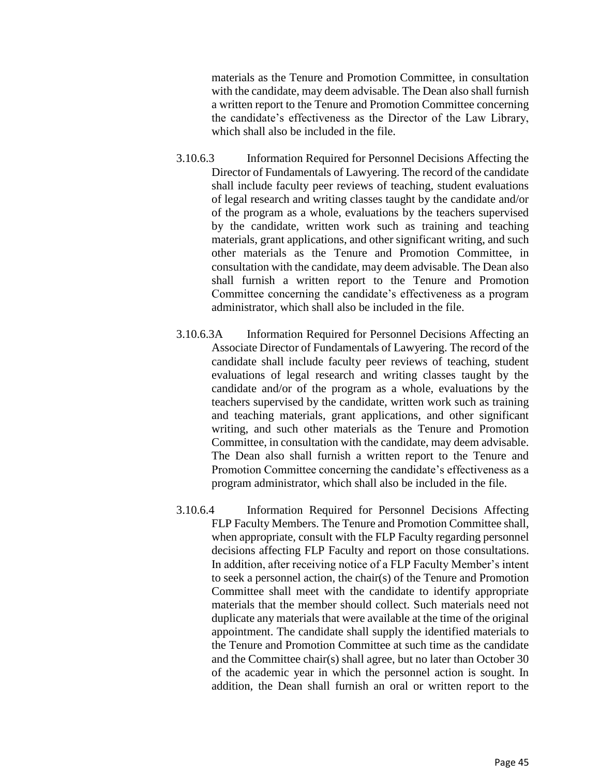materials as the Tenure and Promotion Committee, in consultation with the candidate, may deem advisable. The Dean also shall furnish a written report to the Tenure and Promotion Committee concerning the candidate's effectiveness as the Director of the Law Library, which shall also be included in the file.

- 3.10.6.3 Information Required for Personnel Decisions Affecting the Director of Fundamentals of Lawyering. The record of the candidate shall include faculty peer reviews of teaching, student evaluations of legal research and writing classes taught by the candidate and/or of the program as a whole, evaluations by the teachers supervised by the candidate, written work such as training and teaching materials, grant applications, and other significant writing, and such other materials as the Tenure and Promotion Committee, in consultation with the candidate, may deem advisable. The Dean also shall furnish a written report to the Tenure and Promotion Committee concerning the candidate's effectiveness as a program administrator, which shall also be included in the file.
- 3.10.6.3A Information Required for Personnel Decisions Affecting an Associate Director of Fundamentals of Lawyering. The record of the candidate shall include faculty peer reviews of teaching, student evaluations of legal research and writing classes taught by the candidate and/or of the program as a whole, evaluations by the teachers supervised by the candidate, written work such as training and teaching materials, grant applications, and other significant writing, and such other materials as the Tenure and Promotion Committee, in consultation with the candidate, may deem advisable. The Dean also shall furnish a written report to the Tenure and Promotion Committee concerning the candidate's effectiveness as a program administrator, which shall also be included in the file.
- 3.10.6.4 Information Required for Personnel Decisions Affecting FLP Faculty Members. The Tenure and Promotion Committee shall, when appropriate, consult with the FLP Faculty regarding personnel decisions affecting FLP Faculty and report on those consultations. In addition, after receiving notice of a FLP Faculty Member's intent to seek a personnel action, the chair(s) of the Tenure and Promotion Committee shall meet with the candidate to identify appropriate materials that the member should collect. Such materials need not duplicate any materials that were available at the time of the original appointment. The candidate shall supply the identified materials to the Tenure and Promotion Committee at such time as the candidate and the Committee chair(s) shall agree, but no later than October 30 of the academic year in which the personnel action is sought. In addition, the Dean shall furnish an oral or written report to the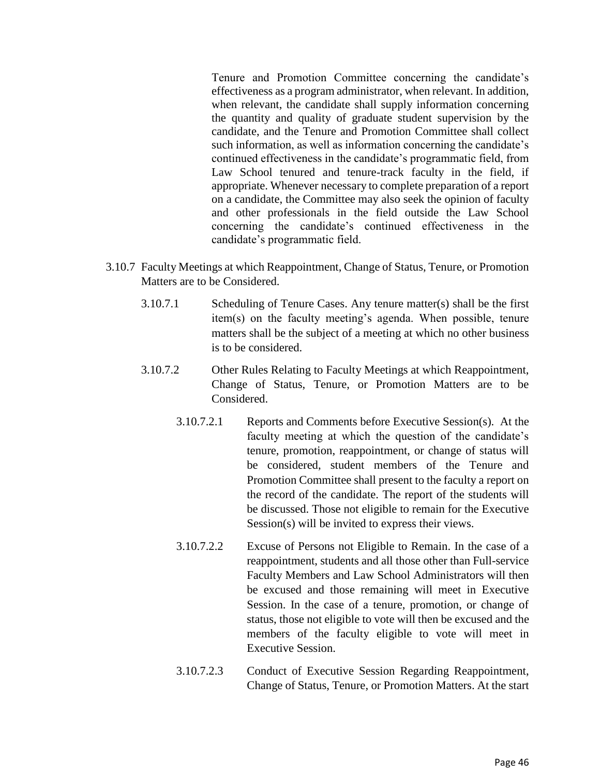Tenure and Promotion Committee concerning the candidate's effectiveness as a program administrator, when relevant. In addition, when relevant, the candidate shall supply information concerning the quantity and quality of graduate student supervision by the candidate, and the Tenure and Promotion Committee shall collect such information, as well as information concerning the candidate's continued effectiveness in the candidate's programmatic field, from Law School tenured and tenure-track faculty in the field, if appropriate. Whenever necessary to complete preparation of a report on a candidate, the Committee may also seek the opinion of faculty and other professionals in the field outside the Law School concerning the candidate's continued effectiveness in the candidate's programmatic field.

- 3.10.7 Faculty Meetings at which Reappointment, Change of Status, Tenure, or Promotion Matters are to be Considered.
	- 3.10.7.1 Scheduling of Tenure Cases. Any tenure matter(s) shall be the first item(s) on the faculty meeting's agenda. When possible, tenure matters shall be the subject of a meeting at which no other business is to be considered.
	- 3.10.7.2 Other Rules Relating to Faculty Meetings at which Reappointment, Change of Status, Tenure, or Promotion Matters are to be Considered.
		- 3.10.7.2.1 Reports and Comments before Executive Session(s). At the faculty meeting at which the question of the candidate's tenure, promotion, reappointment, or change of status will be considered, student members of the Tenure and Promotion Committee shall present to the faculty a report on the record of the candidate. The report of the students will be discussed. Those not eligible to remain for the Executive Session(s) will be invited to express their views.
		- 3.10.7.2.2 Excuse of Persons not Eligible to Remain. In the case of a reappointment, students and all those other than Full-service Faculty Members and Law School Administrators will then be excused and those remaining will meet in Executive Session. In the case of a tenure, promotion, or change of status, those not eligible to vote will then be excused and the members of the faculty eligible to vote will meet in Executive Session.
		- 3.10.7.2.3 Conduct of Executive Session Regarding Reappointment, Change of Status, Tenure, or Promotion Matters. At the start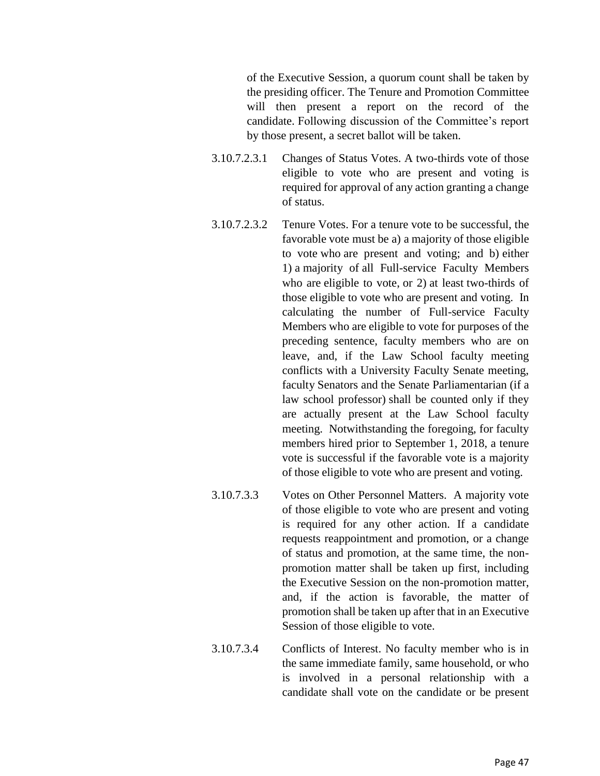of the Executive Session, a quorum count shall be taken by the presiding officer. The Tenure and Promotion Committee will then present a report on the record of the candidate. Following discussion of the Committee's report by those present, a secret ballot will be taken.

- 3.10.7.2.3.1 Changes of Status Votes. A two-thirds vote of those eligible to vote who are present and voting is required for approval of any action granting a change of status.
- 3.10.7.2.3.2 Tenure Votes. For a tenure vote to be successful, the favorable vote must be a) a majority of those eligible to vote who are present and voting; and b) either 1) a majority of all Full-service Faculty Members who are eligible to vote, or 2) at least two-thirds of those eligible to vote who are present and voting. In calculating the number of Full-service Faculty Members who are eligible to vote for purposes of the preceding sentence, faculty members who are on leave, and, if the Law School faculty meeting conflicts with a University Faculty Senate meeting, faculty Senators and the Senate Parliamentarian (if a law school professor) shall be counted only if they are actually present at the Law School faculty meeting. Notwithstanding the foregoing, for faculty members hired prior to September 1, 2018, a tenure vote is successful if the favorable vote is a majority of those eligible to vote who are present and voting.
- 3.10.7.3.3 Votes on Other Personnel Matters. A majority vote of those eligible to vote who are present and voting is required for any other action. If a candidate requests reappointment and promotion, or a change of status and promotion, at the same time, the nonpromotion matter shall be taken up first, including the Executive Session on the non-promotion matter, and, if the action is favorable, the matter of promotion shall be taken up after that in an Executive Session of those eligible to vote.
- 3.10.7.3.4 Conflicts of Interest. No faculty member who is in the same immediate family, same household, or who is involved in a personal relationship with a candidate shall vote on the candidate or be present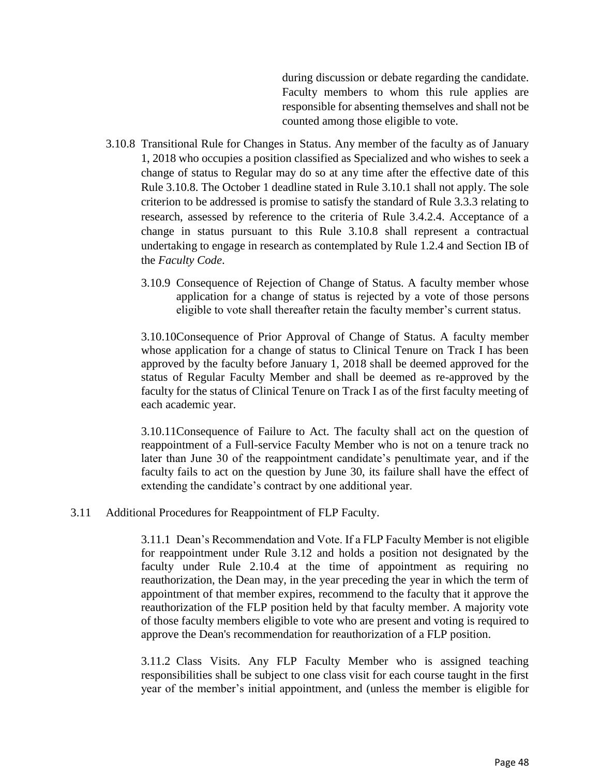during discussion or debate regarding the candidate. Faculty members to whom this rule applies are responsible for absenting themselves and shall not be counted among those eligible to vote.

- 3.10.8 Transitional Rule for Changes in Status. Any member of the faculty as of January 1, 2018 who occupies a position classified as Specialized and who wishes to seek a change of status to Regular may do so at any time after the effective date of this Rule 3.10.8. The October 1 deadline stated in Rule 3.10.1 shall not apply. The sole criterion to be addressed is promise to satisfy the standard of Rule 3.3.3 relating to research, assessed by reference to the criteria of Rule 3.4.2.4. Acceptance of a change in status pursuant to this Rule 3.10.8 shall represent a contractual undertaking to engage in research as contemplated by Rule 1.2.4 and Section IB of the *Faculty Code*.
	- 3.10.9 Consequence of Rejection of Change of Status. A faculty member whose application for a change of status is rejected by a vote of those persons eligible to vote shall thereafter retain the faculty member's current status.

3.10.10Consequence of Prior Approval of Change of Status. A faculty member whose application for a change of status to Clinical Tenure on Track I has been approved by the faculty before January 1, 2018 shall be deemed approved for the status of Regular Faculty Member and shall be deemed as re-approved by the faculty for the status of Clinical Tenure on Track I as of the first faculty meeting of each academic year.

3.10.11Consequence of Failure to Act. The faculty shall act on the question of reappointment of a Full-service Faculty Member who is not on a tenure track no later than June 30 of the reappointment candidate's penultimate year, and if the faculty fails to act on the question by June 30, its failure shall have the effect of extending the candidate's contract by one additional year.

### 3.11 Additional Procedures for Reappointment of FLP Faculty.

3.11.1 Dean's Recommendation and Vote. If a FLP Faculty Member is not eligible for reappointment under Rule 3.12 and holds a position not designated by the faculty under Rule 2.10.4 at the time of appointment as requiring no reauthorization, the Dean may, in the year preceding the year in which the term of appointment of that member expires, recommend to the faculty that it approve the reauthorization of the FLP position held by that faculty member. A majority vote of those faculty members eligible to vote who are present and voting is required to approve the Dean's recommendation for reauthorization of a FLP position.

3.11.2 Class Visits. Any FLP Faculty Member who is assigned teaching responsibilities shall be subject to one class visit for each course taught in the first year of the member's initial appointment, and (unless the member is eligible for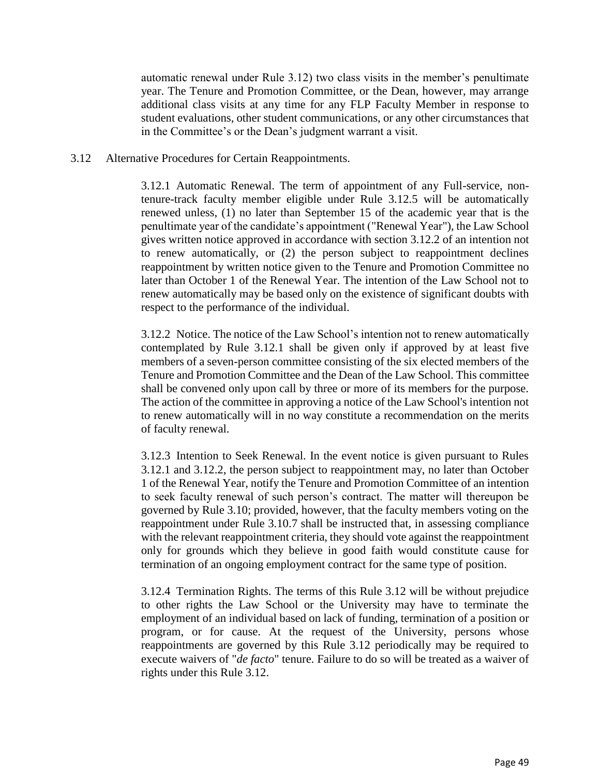automatic renewal under Rule 3.12) two class visits in the member's penultimate year. The Tenure and Promotion Committee, or the Dean, however, may arrange additional class visits at any time for any FLP Faculty Member in response to student evaluations, other student communications, or any other circumstances that in the Committee's or the Dean's judgment warrant a visit.

### 3.12 Alternative Procedures for Certain Reappointments.

3.12.1 Automatic Renewal. The term of appointment of any Full-service, nontenure-track faculty member eligible under Rule 3.12.5 will be automatically renewed unless, (1) no later than September 15 of the academic year that is the penultimate year of the candidate's appointment ("Renewal Year"), the Law School gives written notice approved in accordance with section 3.12.2 of an intention not to renew automatically, or (2) the person subject to reappointment declines reappointment by written notice given to the Tenure and Promotion Committee no later than October 1 of the Renewal Year. The intention of the Law School not to renew automatically may be based only on the existence of significant doubts with respect to the performance of the individual.

3.12.2 Notice. The notice of the Law School's intention not to renew automatically contemplated by Rule 3.12.1 shall be given only if approved by at least five members of a seven-person committee consisting of the six elected members of the Tenure and Promotion Committee and the Dean of the Law School. This committee shall be convened only upon call by three or more of its members for the purpose. The action of the committee in approving a notice of the Law School's intention not to renew automatically will in no way constitute a recommendation on the merits of faculty renewal.

3.12.3 Intention to Seek Renewal. In the event notice is given pursuant to Rules 3.12.1 and 3.12.2, the person subject to reappointment may, no later than October 1 of the Renewal Year, notify the Tenure and Promotion Committee of an intention to seek faculty renewal of such person's contract. The matter will thereupon be governed by Rule 3.10; provided, however, that the faculty members voting on the reappointment under Rule 3.10.7 shall be instructed that, in assessing compliance with the relevant reappointment criteria, they should vote against the reappointment only for grounds which they believe in good faith would constitute cause for termination of an ongoing employment contract for the same type of position.

3.12.4 Termination Rights. The terms of this Rule 3.12 will be without prejudice to other rights the Law School or the University may have to terminate the employment of an individual based on lack of funding, termination of a position or program, or for cause. At the request of the University, persons whose reappointments are governed by this Rule 3.12 periodically may be required to execute waivers of "*de facto*" tenure. Failure to do so will be treated as a waiver of rights under this Rule 3.12.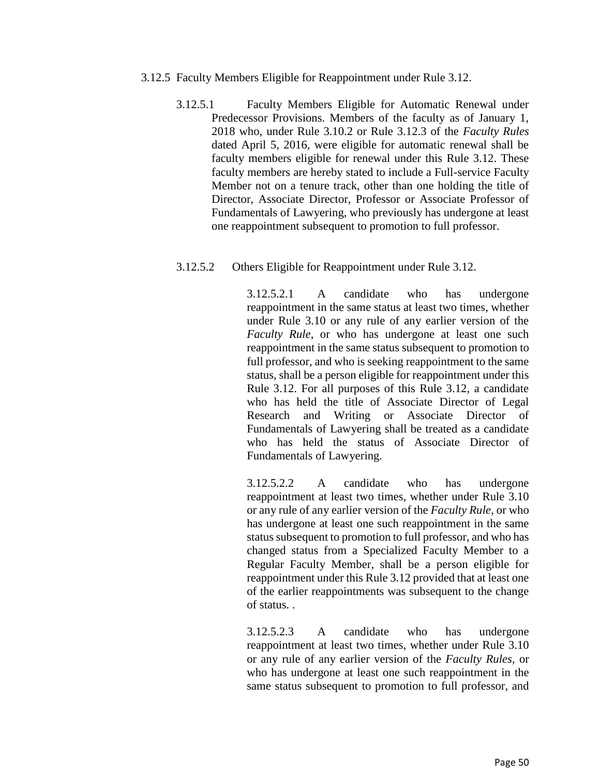- 3.12.5 Faculty Members Eligible for Reappointment under Rule 3.12.
	- 3.12.5.1 Faculty Members Eligible for Automatic Renewal under Predecessor Provisions. Members of the faculty as of January 1, 2018 who, under Rule 3.10.2 or Rule 3.12.3 of the *Faculty Rules* dated April 5, 2016, were eligible for automatic renewal shall be faculty members eligible for renewal under this Rule 3.12. These faculty members are hereby stated to include a Full-service Faculty Member not on a tenure track, other than one holding the title of Director, Associate Director, Professor or Associate Professor of Fundamentals of Lawyering, who previously has undergone at least one reappointment subsequent to promotion to full professor.

### 3.12.5.2 Others Eligible for Reappointment under Rule 3.12.

3.12.5.2.1 A candidate who has undergone reappointment in the same status at least two times, whether under Rule 3.10 or any rule of any earlier version of the *Faculty Rule*, or who has undergone at least one such reappointment in the same status subsequent to promotion to full professor, and who is seeking reappointment to the same status, shall be a person eligible for reappointment under this Rule 3.12. For all purposes of this Rule 3.12, a candidate who has held the title of Associate Director of Legal Research and Writing or Associate Director of Fundamentals of Lawyering shall be treated as a candidate who has held the status of Associate Director of Fundamentals of Lawyering.

3.12.5.2.2 A candidate who has undergone reappointment at least two times, whether under Rule 3.10 or any rule of any earlier version of the *Faculty Rule*, or who has undergone at least one such reappointment in the same status subsequent to promotion to full professor, and who has changed status from a Specialized Faculty Member to a Regular Faculty Member, shall be a person eligible for reappointment under this Rule 3.12 provided that at least one of the earlier reappointments was subsequent to the change of status. .

3.12.5.2.3 A candidate who has undergone reappointment at least two times, whether under Rule 3.10 or any rule of any earlier version of the *Faculty Rules*, or who has undergone at least one such reappointment in the same status subsequent to promotion to full professor, and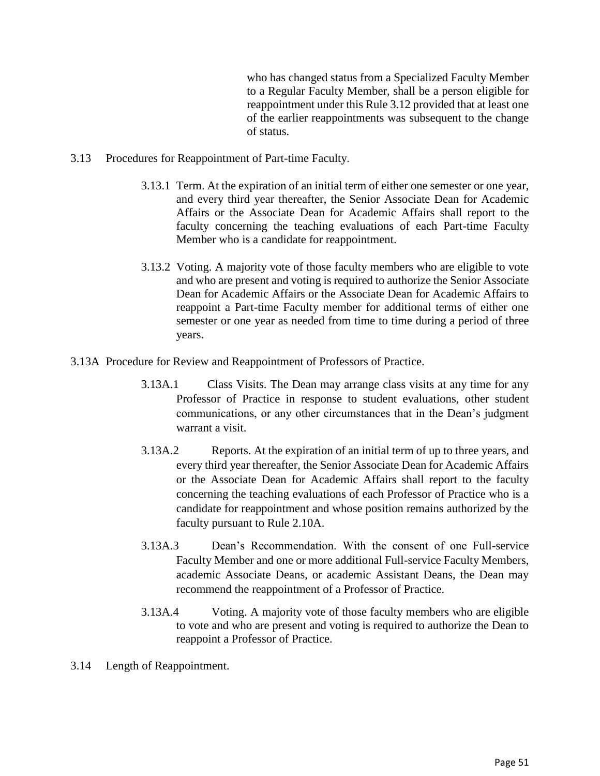who has changed status from a Specialized Faculty Member to a Regular Faculty Member, shall be a person eligible for reappointment under this Rule 3.12 provided that at least one of the earlier reappointments was subsequent to the change of status.

- 3.13 Procedures for Reappointment of Part-time Faculty.
	- 3.13.1 Term. At the expiration of an initial term of either one semester or one year, and every third year thereafter, the Senior Associate Dean for Academic Affairs or the Associate Dean for Academic Affairs shall report to the faculty concerning the teaching evaluations of each Part-time Faculty Member who is a candidate for reappointment.
	- 3.13.2 Voting. A majority vote of those faculty members who are eligible to vote and who are present and voting is required to authorize the Senior Associate Dean for Academic Affairs or the Associate Dean for Academic Affairs to reappoint a Part-time Faculty member for additional terms of either one semester or one year as needed from time to time during a period of three years.
- 3.13A Procedure for Review and Reappointment of Professors of Practice.
	- 3.13A.1 Class Visits. The Dean may arrange class visits at any time for any Professor of Practice in response to student evaluations, other student communications, or any other circumstances that in the Dean's judgment warrant a visit.
	- 3.13A.2 Reports. At the expiration of an initial term of up to three years, and every third year thereafter, the Senior Associate Dean for Academic Affairs or the Associate Dean for Academic Affairs shall report to the faculty concerning the teaching evaluations of each Professor of Practice who is a candidate for reappointment and whose position remains authorized by the faculty pursuant to Rule 2.10A.
	- 3.13A.3 Dean's Recommendation. With the consent of one Full-service Faculty Member and one or more additional Full-service Faculty Members, academic Associate Deans, or academic Assistant Deans, the Dean may recommend the reappointment of a Professor of Practice.
	- 3.13A.4 Voting. A majority vote of those faculty members who are eligible to vote and who are present and voting is required to authorize the Dean to reappoint a Professor of Practice.
- 3.14 Length of Reappointment.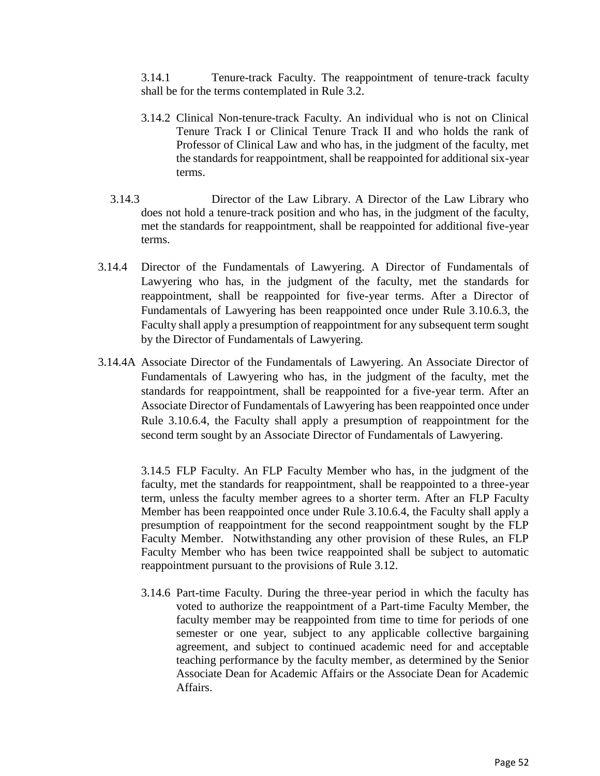3.14.1 Tenure-track Faculty. The reappointment of tenure-track faculty shall be for the terms contemplated in Rule 3.2.

- 3.14.2 Clinical Non-tenure-track Faculty. An individual who is not on Clinical Tenure Track I or Clinical Tenure Track II and who holds the rank of Professor of Clinical Law and who has, in the judgment of the faculty, met the standards for reappointment, shall be reappointed for additional six-year terms.
- 3.14.3 Director of the Law Library. A Director of the Law Library who does not hold a tenure-track position and who has, in the judgment of the faculty, met the standards for reappointment, shall be reappointed for additional five-year terms.
- 3.14.4 Director of the Fundamentals of Lawyering. A Director of Fundamentals of Lawyering who has, in the judgment of the faculty, met the standards for reappointment, shall be reappointed for five-year terms. After a Director of Fundamentals of Lawyering has been reappointed once under Rule 3.10.6.3, the Faculty shall apply a presumption of reappointment for any subsequent term sought by the Director of Fundamentals of Lawyering.
- 3.14.4A Associate Director of the Fundamentals of Lawyering. An Associate Director of Fundamentals of Lawyering who has, in the judgment of the faculty, met the standards for reappointment, shall be reappointed for a five-year term. After an Associate Director of Fundamentals of Lawyering has been reappointed once under Rule 3.10.6.4, the Faculty shall apply a presumption of reappointment for the second term sought by an Associate Director of Fundamentals of Lawyering.

3.14.5 FLP Faculty. An FLP Faculty Member who has, in the judgment of the faculty, met the standards for reappointment, shall be reappointed to a three-year term, unless the faculty member agrees to a shorter term. After an FLP Faculty Member has been reappointed once under Rule 3.10.6.4, the Faculty shall apply a presumption of reappointment for the second reappointment sought by the FLP Faculty Member. Notwithstanding any other provision of these Rules, an FLP Faculty Member who has been twice reappointed shall be subject to automatic reappointment pursuant to the provisions of Rule 3.12.

3.14.6 Part-time Faculty. During the three-year period in which the faculty has voted to authorize the reappointment of a Part-time Faculty Member, the faculty member may be reappointed from time to time for periods of one semester or one year, subject to any applicable collective bargaining agreement, and subject to continued academic need for and acceptable teaching performance by the faculty member, as determined by the Senior Associate Dean for Academic Affairs or the Associate Dean for Academic Affairs.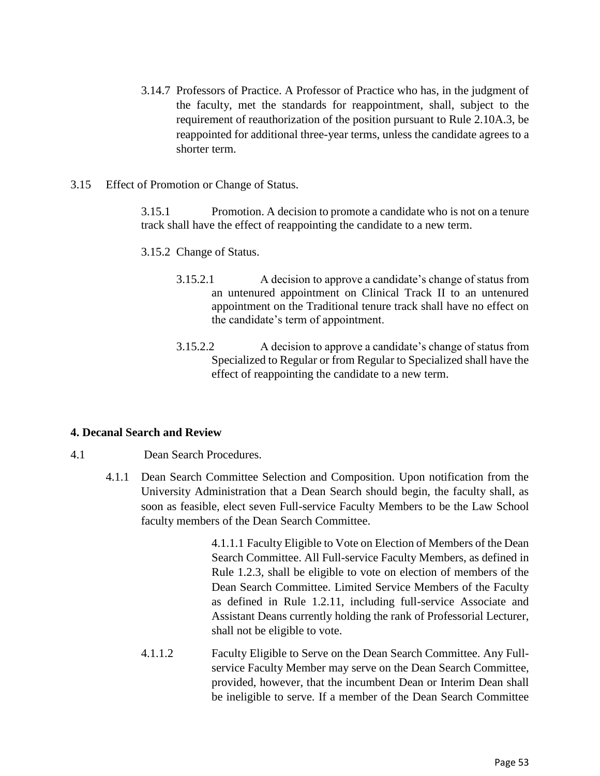- 3.14.7 Professors of Practice. A Professor of Practice who has, in the judgment of the faculty, met the standards for reappointment, shall, subject to the requirement of reauthorization of the position pursuant to Rule 2.10A.3, be reappointed for additional three-year terms, unless the candidate agrees to a shorter term.
- 3.15 Effect of Promotion or Change of Status.

3.15.1 Promotion. A decision to promote a candidate who is not on a tenure track shall have the effect of reappointing the candidate to a new term.

3.15.2 Change of Status.

- 3.15.2.1 A decision to approve a candidate's change of status from an untenured appointment on Clinical Track II to an untenured appointment on the Traditional tenure track shall have no effect on the candidate's term of appointment.
- 3.15.2.2 A decision to approve a candidate's change of status from Specialized to Regular or from Regular to Specialized shall have the effect of reappointing the candidate to a new term.

### **4. Decanal Search and Review**

- 4.1 Dean Search Procedures.
	- 4.1.1 Dean Search Committee Selection and Composition. Upon notification from the University Administration that a Dean Search should begin, the faculty shall, as soon as feasible, elect seven Full-service Faculty Members to be the Law School faculty members of the Dean Search Committee.

4.1.1.1 Faculty Eligible to Vote on Election of Members of the Dean Search Committee. All Full-service Faculty Members, as defined in Rule 1.2.3, shall be eligible to vote on election of members of the Dean Search Committee. Limited Service Members of the Faculty as defined in Rule 1.2.11, including full-service Associate and Assistant Deans currently holding the rank of Professorial Lecturer, shall not be eligible to vote.

4.1.1.2 Faculty Eligible to Serve on the Dean Search Committee. Any Fullservice Faculty Member may serve on the Dean Search Committee, provided, however, that the incumbent Dean or Interim Dean shall be ineligible to serve. If a member of the Dean Search Committee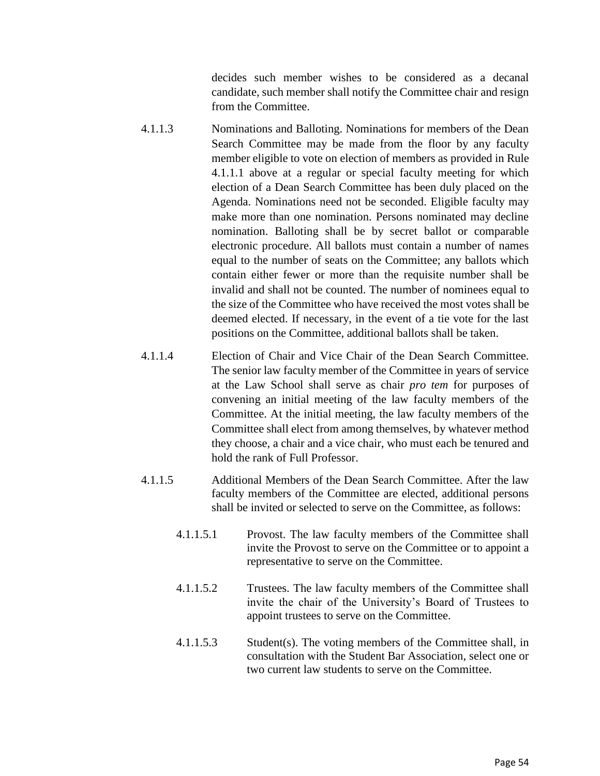decides such member wishes to be considered as a decanal candidate, such member shall notify the Committee chair and resign from the Committee.

- 4.1.1.3 Nominations and Balloting. Nominations for members of the Dean Search Committee may be made from the floor by any faculty member eligible to vote on election of members as provided in Rule 4.1.1.1 above at a regular or special faculty meeting for which election of a Dean Search Committee has been duly placed on the Agenda. Nominations need not be seconded. Eligible faculty may make more than one nomination. Persons nominated may decline nomination. Balloting shall be by secret ballot or comparable electronic procedure. All ballots must contain a number of names equal to the number of seats on the Committee; any ballots which contain either fewer or more than the requisite number shall be invalid and shall not be counted. The number of nominees equal to the size of the Committee who have received the most votes shall be deemed elected. If necessary, in the event of a tie vote for the last positions on the Committee, additional ballots shall be taken.
- 4.1.1.4 Election of Chair and Vice Chair of the Dean Search Committee. The senior law faculty member of the Committee in years of service at the Law School shall serve as chair *pro tem* for purposes of convening an initial meeting of the law faculty members of the Committee. At the initial meeting, the law faculty members of the Committee shall elect from among themselves, by whatever method they choose, a chair and a vice chair, who must each be tenured and hold the rank of Full Professor.
- 4.1.1.5 Additional Members of the Dean Search Committee. After the law faculty members of the Committee are elected, additional persons shall be invited or selected to serve on the Committee, as follows:
	- 4.1.1.5.1 Provost. The law faculty members of the Committee shall invite the Provost to serve on the Committee or to appoint a representative to serve on the Committee.
	- 4.1.1.5.2 Trustees. The law faculty members of the Committee shall invite the chair of the University's Board of Trustees to appoint trustees to serve on the Committee.
	- 4.1.1.5.3 Student(s). The voting members of the Committee shall, in consultation with the Student Bar Association, select one or two current law students to serve on the Committee.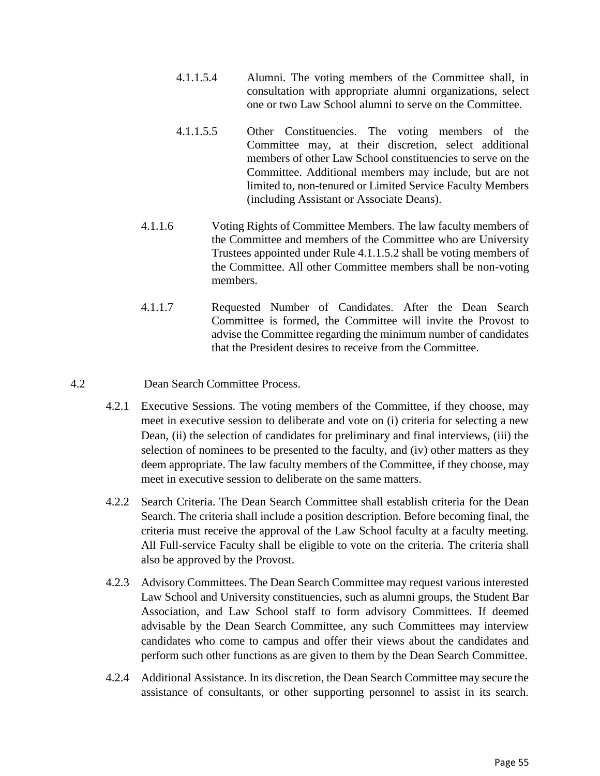- 4.1.1.5.4 Alumni. The voting members of the Committee shall, in consultation with appropriate alumni organizations, select one or two Law School alumni to serve on the Committee.
- 4.1.1.5.5 Other Constituencies. The voting members of the Committee may, at their discretion, select additional members of other Law School constituencies to serve on the Committee. Additional members may include, but are not limited to, non-tenured or Limited Service Faculty Members (including Assistant or Associate Deans).
- 4.1.1.6 Voting Rights of Committee Members. The law faculty members of the Committee and members of the Committee who are University Trustees appointed under Rule 4.1.1.5.2 shall be voting members of the Committee. All other Committee members shall be non-voting members.
- 4.1.1.7 Requested Number of Candidates. After the Dean Search Committee is formed, the Committee will invite the Provost to advise the Committee regarding the minimum number of candidates that the President desires to receive from the Committee.
- 4.2 Dean Search Committee Process.
	- 4.2.1 Executive Sessions. The voting members of the Committee, if they choose, may meet in executive session to deliberate and vote on (i) criteria for selecting a new Dean, (ii) the selection of candidates for preliminary and final interviews, (iii) the selection of nominees to be presented to the faculty, and (iv) other matters as they deem appropriate. The law faculty members of the Committee, if they choose, may meet in executive session to deliberate on the same matters.
	- 4.2.2 Search Criteria. The Dean Search Committee shall establish criteria for the Dean Search. The criteria shall include a position description. Before becoming final, the criteria must receive the approval of the Law School faculty at a faculty meeting. All Full-service Faculty shall be eligible to vote on the criteria. The criteria shall also be approved by the Provost.
	- 4.2.3 Advisory Committees. The Dean Search Committee may request various interested Law School and University constituencies, such as alumni groups, the Student Bar Association, and Law School staff to form advisory Committees. If deemed advisable by the Dean Search Committee, any such Committees may interview candidates who come to campus and offer their views about the candidates and perform such other functions as are given to them by the Dean Search Committee.
	- 4.2.4 Additional Assistance. In its discretion, the Dean Search Committee may secure the assistance of consultants, or other supporting personnel to assist in its search.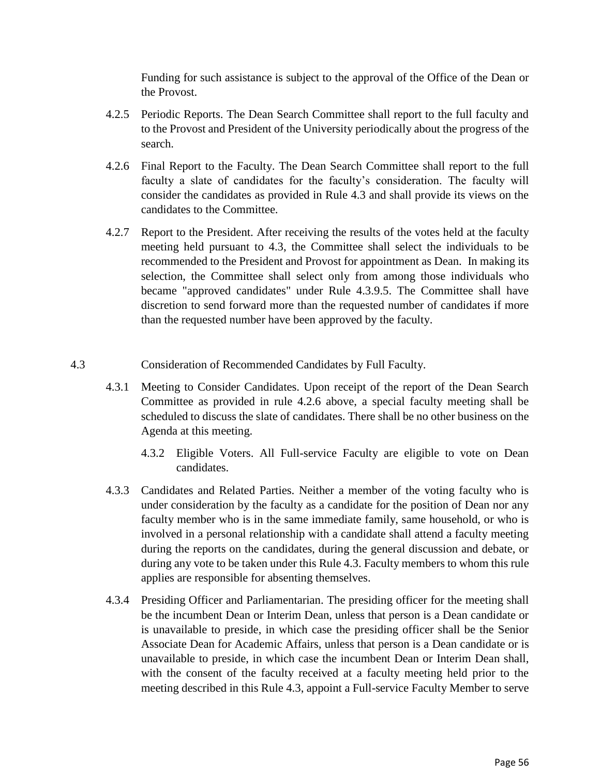Funding for such assistance is subject to the approval of the Office of the Dean or the Provost.

- 4.2.5 Periodic Reports. The Dean Search Committee shall report to the full faculty and to the Provost and President of the University periodically about the progress of the search.
- 4.2.6 Final Report to the Faculty. The Dean Search Committee shall report to the full faculty a slate of candidates for the faculty's consideration. The faculty will consider the candidates as provided in Rule 4.3 and shall provide its views on the candidates to the Committee.
- 4.2.7 Report to the President. After receiving the results of the votes held at the faculty meeting held pursuant to 4.3, the Committee shall select the individuals to be recommended to the President and Provost for appointment as Dean. In making its selection, the Committee shall select only from among those individuals who became "approved candidates" under Rule 4.3.9.5. The Committee shall have discretion to send forward more than the requested number of candidates if more than the requested number have been approved by the faculty.
- 4.3 Consideration of Recommended Candidates by Full Faculty.
	- 4.3.1 Meeting to Consider Candidates. Upon receipt of the report of the Dean Search Committee as provided in rule 4.2.6 above, a special faculty meeting shall be scheduled to discuss the slate of candidates. There shall be no other business on the Agenda at this meeting.
		- 4.3.2 Eligible Voters. All Full-service Faculty are eligible to vote on Dean candidates.
	- 4.3.3 Candidates and Related Parties. Neither a member of the voting faculty who is under consideration by the faculty as a candidate for the position of Dean nor any faculty member who is in the same immediate family, same household, or who is involved in a personal relationship with a candidate shall attend a faculty meeting during the reports on the candidates, during the general discussion and debate, or during any vote to be taken under this Rule 4.3. Faculty members to whom this rule applies are responsible for absenting themselves.
	- 4.3.4 Presiding Officer and Parliamentarian. The presiding officer for the meeting shall be the incumbent Dean or Interim Dean, unless that person is a Dean candidate or is unavailable to preside, in which case the presiding officer shall be the Senior Associate Dean for Academic Affairs, unless that person is a Dean candidate or is unavailable to preside, in which case the incumbent Dean or Interim Dean shall, with the consent of the faculty received at a faculty meeting held prior to the meeting described in this Rule 4.3, appoint a Full-service Faculty Member to serve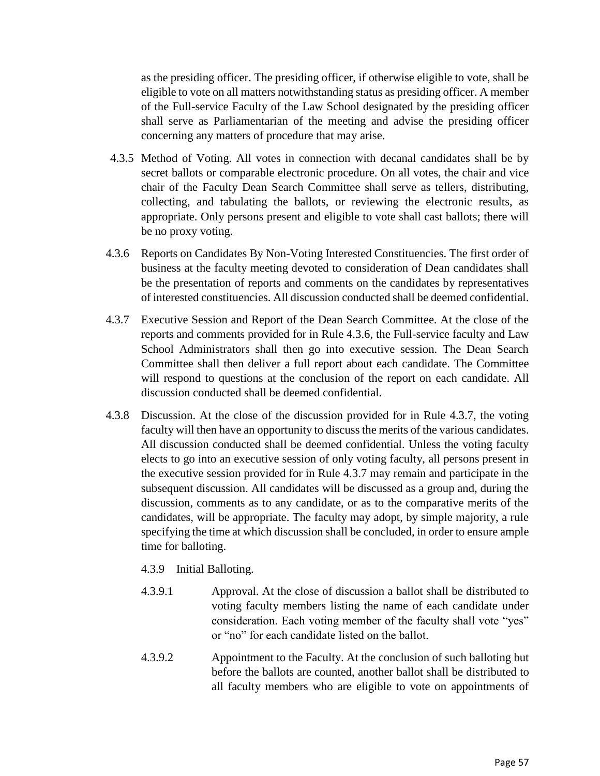as the presiding officer. The presiding officer, if otherwise eligible to vote, shall be eligible to vote on all matters notwithstanding status as presiding officer. A member of the Full-service Faculty of the Law School designated by the presiding officer shall serve as Parliamentarian of the meeting and advise the presiding officer concerning any matters of procedure that may arise.

- 4.3.5 Method of Voting. All votes in connection with decanal candidates shall be by secret ballots or comparable electronic procedure. On all votes, the chair and vice chair of the Faculty Dean Search Committee shall serve as tellers, distributing, collecting, and tabulating the ballots, or reviewing the electronic results, as appropriate. Only persons present and eligible to vote shall cast ballots; there will be no proxy voting.
- 4.3.6 Reports on Candidates By Non-Voting Interested Constituencies. The first order of business at the faculty meeting devoted to consideration of Dean candidates shall be the presentation of reports and comments on the candidates by representatives of interested constituencies. All discussion conducted shall be deemed confidential.
- 4.3.7 Executive Session and Report of the Dean Search Committee. At the close of the reports and comments provided for in Rule 4.3.6, the Full-service faculty and Law School Administrators shall then go into executive session. The Dean Search Committee shall then deliver a full report about each candidate. The Committee will respond to questions at the conclusion of the report on each candidate. All discussion conducted shall be deemed confidential.
- 4.3.8 Discussion. At the close of the discussion provided for in Rule 4.3.7, the voting faculty will then have an opportunity to discuss the merits of the various candidates. All discussion conducted shall be deemed confidential. Unless the voting faculty elects to go into an executive session of only voting faculty, all persons present in the executive session provided for in Rule 4.3.7 may remain and participate in the subsequent discussion. All candidates will be discussed as a group and, during the discussion, comments as to any candidate, or as to the comparative merits of the candidates, will be appropriate. The faculty may adopt, by simple majority, a rule specifying the time at which discussion shall be concluded, in order to ensure ample time for balloting.
	- 4.3.9 Initial Balloting.
	- 4.3.9.1 Approval. At the close of discussion a ballot shall be distributed to voting faculty members listing the name of each candidate under consideration. Each voting member of the faculty shall vote "yes" or "no" for each candidate listed on the ballot.
	- 4.3.9.2 Appointment to the Faculty. At the conclusion of such balloting but before the ballots are counted, another ballot shall be distributed to all faculty members who are eligible to vote on appointments of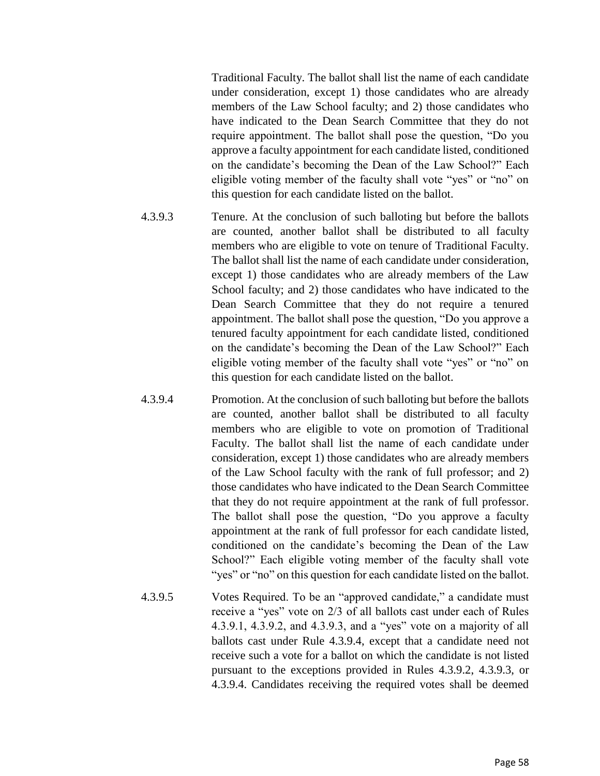Traditional Faculty. The ballot shall list the name of each candidate under consideration, except 1) those candidates who are already members of the Law School faculty; and 2) those candidates who have indicated to the Dean Search Committee that they do not require appointment. The ballot shall pose the question, "Do you approve a faculty appointment for each candidate listed, conditioned on the candidate's becoming the Dean of the Law School?" Each eligible voting member of the faculty shall vote "yes" or "no" on this question for each candidate listed on the ballot.

- 4.3.9.3 Tenure. At the conclusion of such balloting but before the ballots are counted, another ballot shall be distributed to all faculty members who are eligible to vote on tenure of Traditional Faculty. The ballot shall list the name of each candidate under consideration, except 1) those candidates who are already members of the Law School faculty; and 2) those candidates who have indicated to the Dean Search Committee that they do not require a tenured appointment. The ballot shall pose the question, "Do you approve a tenured faculty appointment for each candidate listed, conditioned on the candidate's becoming the Dean of the Law School?" Each eligible voting member of the faculty shall vote "yes" or "no" on this question for each candidate listed on the ballot.
- 4.3.9.4 Promotion. At the conclusion of such balloting but before the ballots are counted, another ballot shall be distributed to all faculty members who are eligible to vote on promotion of Traditional Faculty. The ballot shall list the name of each candidate under consideration, except 1) those candidates who are already members of the Law School faculty with the rank of full professor; and 2) those candidates who have indicated to the Dean Search Committee that they do not require appointment at the rank of full professor. The ballot shall pose the question, "Do you approve a faculty appointment at the rank of full professor for each candidate listed, conditioned on the candidate's becoming the Dean of the Law School?" Each eligible voting member of the faculty shall vote "yes" or "no" on this question for each candidate listed on the ballot.
- 4.3.9.5 Votes Required. To be an "approved candidate," a candidate must receive a "yes" vote on 2/3 of all ballots cast under each of Rules 4.3.9.1, 4.3.9.2, and 4.3.9.3, and a "yes" vote on a majority of all ballots cast under Rule 4.3.9.4, except that a candidate need not receive such a vote for a ballot on which the candidate is not listed pursuant to the exceptions provided in Rules 4.3.9.2, 4.3.9.3, or 4.3.9.4. Candidates receiving the required votes shall be deemed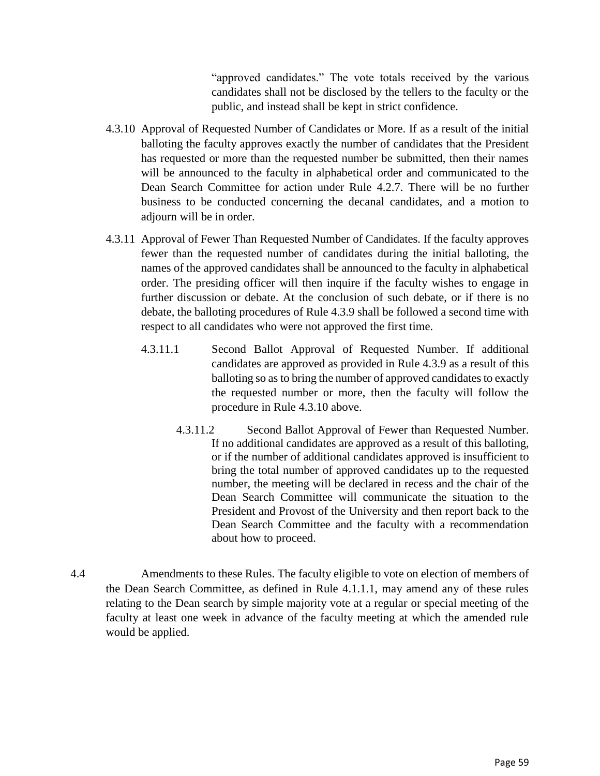"approved candidates." The vote totals received by the various candidates shall not be disclosed by the tellers to the faculty or the public, and instead shall be kept in strict confidence.

- 4.3.10 Approval of Requested Number of Candidates or More. If as a result of the initial balloting the faculty approves exactly the number of candidates that the President has requested or more than the requested number be submitted, then their names will be announced to the faculty in alphabetical order and communicated to the Dean Search Committee for action under Rule 4.2.7. There will be no further business to be conducted concerning the decanal candidates, and a motion to adiourn will be in order.
- 4.3.11 Approval of Fewer Than Requested Number of Candidates. If the faculty approves fewer than the requested number of candidates during the initial balloting, the names of the approved candidates shall be announced to the faculty in alphabetical order. The presiding officer will then inquire if the faculty wishes to engage in further discussion or debate. At the conclusion of such debate, or if there is no debate, the balloting procedures of Rule 4.3.9 shall be followed a second time with respect to all candidates who were not approved the first time.
	- 4.3.11.1 Second Ballot Approval of Requested Number. If additional candidates are approved as provided in Rule 4.3.9 as a result of this balloting so as to bring the number of approved candidates to exactly the requested number or more, then the faculty will follow the procedure in Rule 4.3.10 above.
		- 4.3.11.2 Second Ballot Approval of Fewer than Requested Number. If no additional candidates are approved as a result of this balloting, or if the number of additional candidates approved is insufficient to bring the total number of approved candidates up to the requested number, the meeting will be declared in recess and the chair of the Dean Search Committee will communicate the situation to the President and Provost of the University and then report back to the Dean Search Committee and the faculty with a recommendation about how to proceed.
- 4.4 Amendments to these Rules. The faculty eligible to vote on election of members of the Dean Search Committee, as defined in Rule 4.1.1.1, may amend any of these rules relating to the Dean search by simple majority vote at a regular or special meeting of the faculty at least one week in advance of the faculty meeting at which the amended rule would be applied.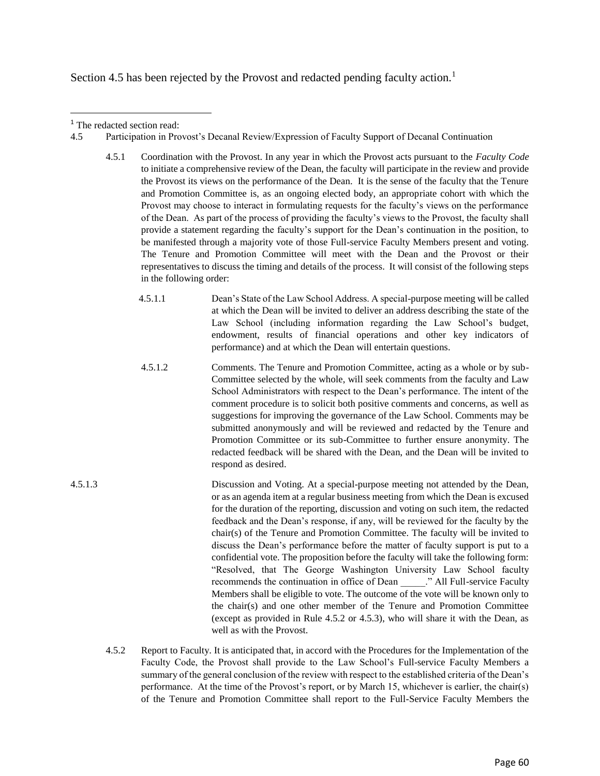Section 4.5 has been rejected by the Provost and redacted pending faculty action.<sup>1</sup>

 $\overline{a}$ 

- 4.5 Participation in Provost's Decanal Review/Expression of Faculty Support of Decanal Continuation
	- 4.5.1 Coordination with the Provost. In any year in which the Provost acts pursuant to the *Faculty Code* to initiate a comprehensive review of the Dean, the faculty will participate in the review and provide the Provost its views on the performance of the Dean. It is the sense of the faculty that the Tenure and Promotion Committee is, as an ongoing elected body, an appropriate cohort with which the Provost may choose to interact in formulating requests for the faculty's views on the performance of the Dean. As part of the process of providing the faculty's views to the Provost, the faculty shall provide a statement regarding the faculty's support for the Dean's continuation in the position, to be manifested through a majority vote of those Full-service Faculty Members present and voting. The Tenure and Promotion Committee will meet with the Dean and the Provost or their representatives to discuss the timing and details of the process. It will consist of the following steps in the following order:
		- 4.5.1.1 Dean's State of the Law School Address. A special-purpose meeting will be called at which the Dean will be invited to deliver an address describing the state of the Law School (including information regarding the Law School's budget, endowment, results of financial operations and other key indicators of performance) and at which the Dean will entertain questions.
		- 4.5.1.2 Comments. The Tenure and Promotion Committee, acting as a whole or by sub-Committee selected by the whole, will seek comments from the faculty and Law School Administrators with respect to the Dean's performance. The intent of the comment procedure is to solicit both positive comments and concerns, as well as suggestions for improving the governance of the Law School. Comments may be submitted anonymously and will be reviewed and redacted by the Tenure and Promotion Committee or its sub-Committee to further ensure anonymity. The redacted feedback will be shared with the Dean, and the Dean will be invited to respond as desired.
- 4.5.1.3 Discussion and Voting. At a special-purpose meeting not attended by the Dean, or as an agenda item at a regular business meeting from which the Dean is excused for the duration of the reporting, discussion and voting on such item, the redacted feedback and the Dean's response, if any, will be reviewed for the faculty by the chair(s) of the Tenure and Promotion Committee. The faculty will be invited to discuss the Dean's performance before the matter of faculty support is put to a confidential vote. The proposition before the faculty will take the following form: "Resolved, that The George Washington University Law School faculty recommends the continuation in office of Dean \_\_\_\_\_." All Full-service Faculty Members shall be eligible to vote. The outcome of the vote will be known only to the chair(s) and one other member of the Tenure and Promotion Committee (except as provided in Rule 4.5.2 or 4.5.3), who will share it with the Dean, as well as with the Provost.
	- 4.5.2 Report to Faculty. It is anticipated that, in accord with the Procedures for the Implementation of the Faculty Code, the Provost shall provide to the Law School's Full-service Faculty Members a summary of the general conclusion of the review with respect to the established criteria of the Dean's performance. At the time of the Provost's report, or by March 15, whichever is earlier, the chair(s) of the Tenure and Promotion Committee shall report to the Full-Service Faculty Members the

<sup>&</sup>lt;sup>1</sup> The redacted section read: